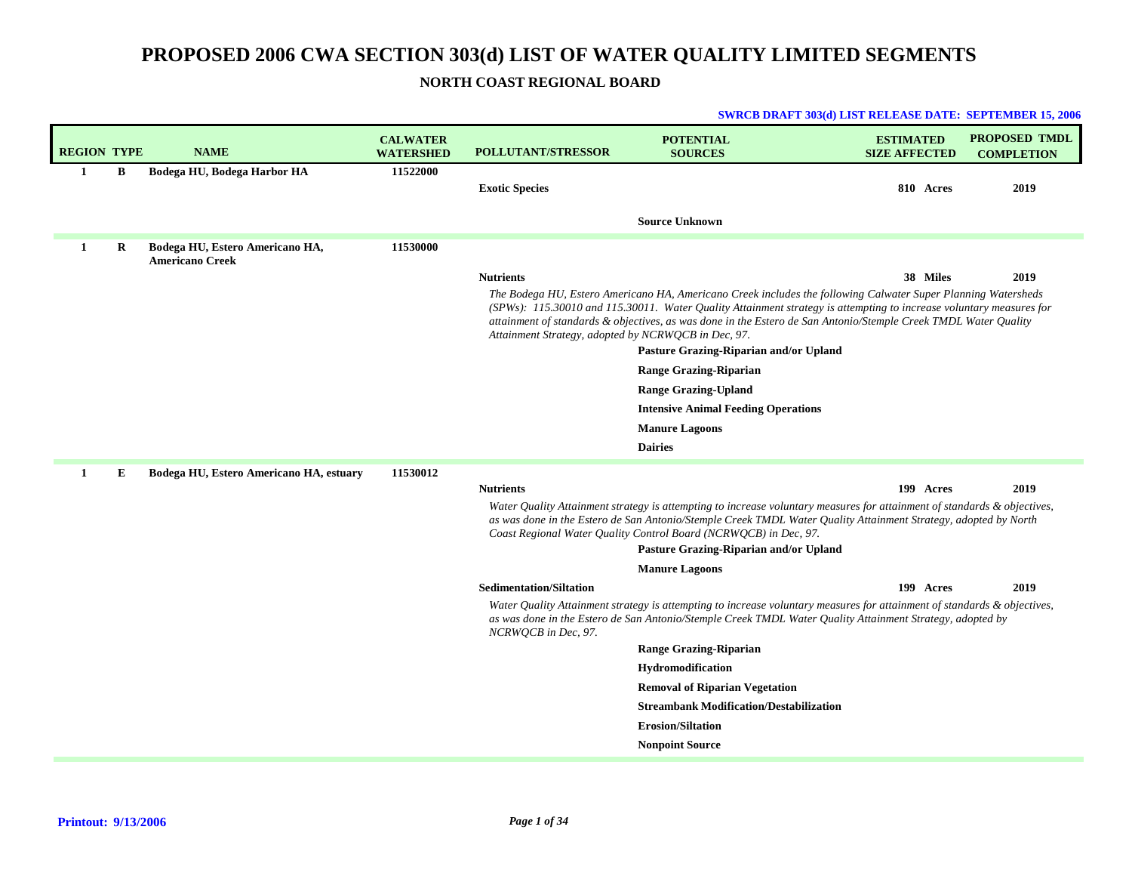## **NORTH COAST REGIONAL BOARD**

| <b>REGION TYPE</b> |         | <b>NAME</b>                                               | <b>CALWATER</b><br><b>WATERSHED</b> | <b>POLLUTANT/STRESSOR</b>                           | <b>POTENTIAL</b><br><b>SOURCES</b>                                                                                                                                                                                                                                                                                                                      | <b>ESTIMATED</b><br><b>SIZE AFFECTED</b> | <b>PROPOSED TMDL</b><br><b>COMPLETION</b> |
|--------------------|---------|-----------------------------------------------------------|-------------------------------------|-----------------------------------------------------|---------------------------------------------------------------------------------------------------------------------------------------------------------------------------------------------------------------------------------------------------------------------------------------------------------------------------------------------------------|------------------------------------------|-------------------------------------------|
| $\mathbf{1}$       | В       | Bodega HU, Bodega Harbor HA                               | 11522000                            | <b>Exotic Species</b>                               |                                                                                                                                                                                                                                                                                                                                                         | 810 Acres                                | 2019                                      |
|                    |         |                                                           |                                     |                                                     | <b>Source Unknown</b>                                                                                                                                                                                                                                                                                                                                   |                                          |                                           |
| $\mathbf{1}$       | $\bf R$ | Bodega HU, Estero Americano HA,<br><b>Americano Creek</b> | 11530000                            |                                                     |                                                                                                                                                                                                                                                                                                                                                         |                                          |                                           |
|                    |         |                                                           |                                     | <b>Nutrients</b>                                    |                                                                                                                                                                                                                                                                                                                                                         | 38 Miles                                 | 2019                                      |
|                    |         |                                                           |                                     | Attainment Strategy, adopted by NCRWQCB in Dec, 97. | The Bodega HU, Estero Americano HA, Americano Creek includes the following Calwater Super Planning Watersheds<br>(SPWs): 115.30010 and 115.30011. Water Quality Attainment strategy is attempting to increase voluntary measures for<br>attainment of standards & objectives, as was done in the Estero de San Antonio/Stemple Creek TMDL Water Quality |                                          |                                           |
|                    |         |                                                           |                                     |                                                     | Pasture Grazing-Riparian and/or Upland                                                                                                                                                                                                                                                                                                                  |                                          |                                           |
|                    |         |                                                           |                                     |                                                     | <b>Range Grazing-Riparian</b>                                                                                                                                                                                                                                                                                                                           |                                          |                                           |
|                    |         |                                                           |                                     |                                                     | <b>Range Grazing-Upland</b>                                                                                                                                                                                                                                                                                                                             |                                          |                                           |
|                    |         |                                                           |                                     |                                                     | <b>Intensive Animal Feeding Operations</b>                                                                                                                                                                                                                                                                                                              |                                          |                                           |
|                    |         |                                                           |                                     |                                                     | <b>Manure Lagoons</b>                                                                                                                                                                                                                                                                                                                                   |                                          |                                           |
|                    |         |                                                           |                                     |                                                     | <b>Dairies</b>                                                                                                                                                                                                                                                                                                                                          |                                          |                                           |
| 1                  | Е       | Bodega HU, Estero Americano HA, estuary                   | 11530012                            |                                                     |                                                                                                                                                                                                                                                                                                                                                         |                                          |                                           |
|                    |         |                                                           |                                     | <b>Nutrients</b>                                    |                                                                                                                                                                                                                                                                                                                                                         | 199 Acres                                | 2019                                      |
|                    |         |                                                           |                                     |                                                     | Water Quality Attainment strategy is attempting to increase voluntary measures for attainment of standards & objectives,<br>as was done in the Estero de San Antonio/Stemple Creek TMDL Water Quality Attainment Strategy, adopted by North<br>Coast Regional Water Quality Control Board (NCRWQCB) in Dec, 97.                                         |                                          |                                           |
|                    |         |                                                           |                                     |                                                     | Pasture Grazing-Riparian and/or Upland                                                                                                                                                                                                                                                                                                                  |                                          |                                           |
|                    |         |                                                           |                                     |                                                     | <b>Manure Lagoons</b>                                                                                                                                                                                                                                                                                                                                   |                                          |                                           |
|                    |         |                                                           |                                     | <b>Sedimentation/Siltation</b>                      |                                                                                                                                                                                                                                                                                                                                                         | 199 Acres                                | 2019                                      |
|                    |         |                                                           |                                     | NCRWQCB in Dec, 97.                                 | Water Quality Attainment strategy is attempting to increase voluntary measures for attainment of standards & objectives,<br>as was done in the Estero de San Antonio/Stemple Creek TMDL Water Quality Attainment Strategy, adopted by                                                                                                                   |                                          |                                           |
|                    |         |                                                           |                                     |                                                     | <b>Range Grazing-Riparian</b>                                                                                                                                                                                                                                                                                                                           |                                          |                                           |
|                    |         |                                                           |                                     |                                                     | <b>Hydromodification</b>                                                                                                                                                                                                                                                                                                                                |                                          |                                           |
|                    |         |                                                           |                                     |                                                     | <b>Removal of Riparian Vegetation</b>                                                                                                                                                                                                                                                                                                                   |                                          |                                           |
|                    |         |                                                           |                                     |                                                     | <b>Streambank Modification/Destabilization</b>                                                                                                                                                                                                                                                                                                          |                                          |                                           |
|                    |         |                                                           |                                     |                                                     | <b>Erosion/Siltation</b>                                                                                                                                                                                                                                                                                                                                |                                          |                                           |
|                    |         |                                                           |                                     |                                                     | <b>Nonpoint Source</b>                                                                                                                                                                                                                                                                                                                                  |                                          |                                           |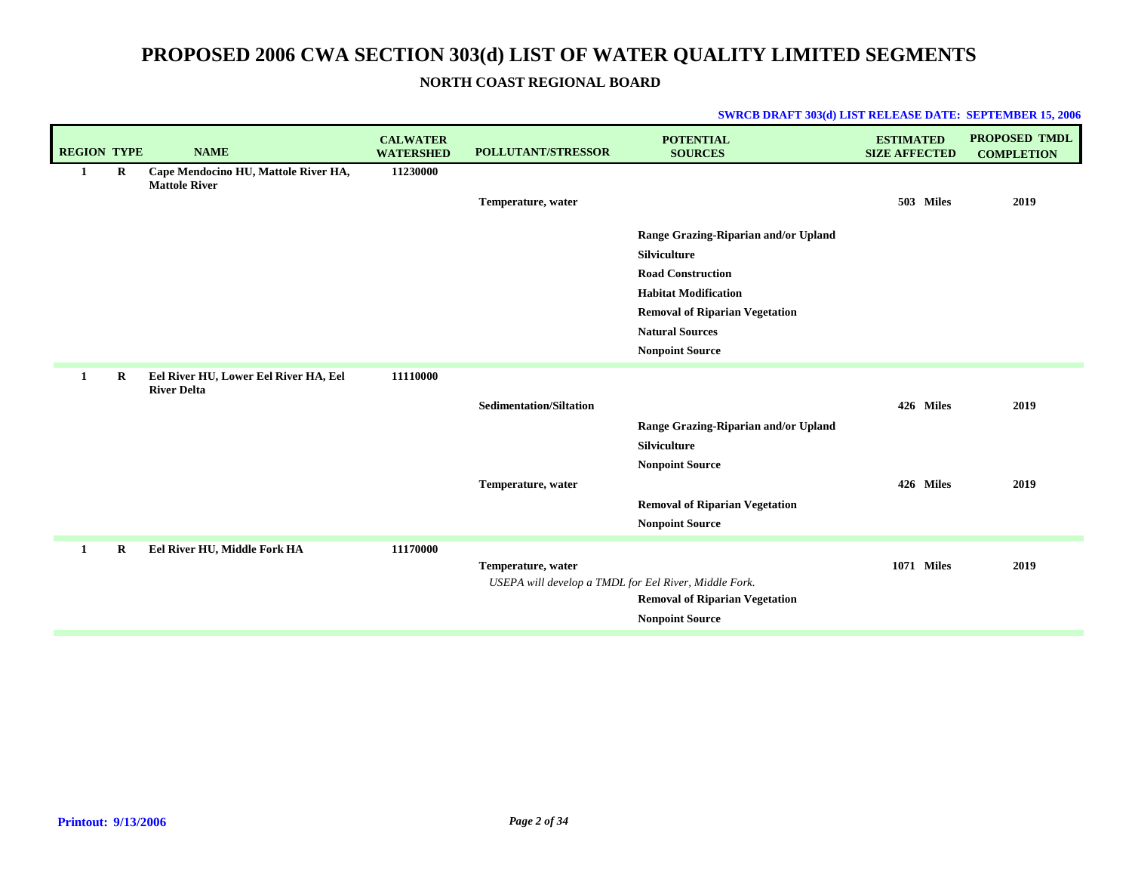## **NORTH COAST REGIONAL BOARD**

| <b>REGION TYPE</b> |   | <b>NAME</b>                                                  | <b>CALWATER</b><br><b>WATERSHED</b> | <b>POLLUTANT/STRESSOR</b>                             | <b>POTENTIAL</b><br><b>SOURCES</b>    | <b>ESTIMATED</b><br><b>SIZE AFFECTED</b> | <b>PROPOSED TMDL</b><br><b>COMPLETION</b> |
|--------------------|---|--------------------------------------------------------------|-------------------------------------|-------------------------------------------------------|---------------------------------------|------------------------------------------|-------------------------------------------|
| 1                  | R | Cape Mendocino HU, Mattole River HA,<br><b>Mattole River</b> | 11230000                            |                                                       |                                       |                                          |                                           |
|                    |   |                                                              |                                     | Temperature, water                                    |                                       | 503 Miles                                | 2019                                      |
|                    |   |                                                              |                                     |                                                       |                                       |                                          |                                           |
|                    |   |                                                              |                                     |                                                       | Range Grazing-Riparian and/or Upland  |                                          |                                           |
|                    |   |                                                              |                                     |                                                       | Silviculture                          |                                          |                                           |
|                    |   |                                                              |                                     |                                                       | <b>Road Construction</b>              |                                          |                                           |
|                    |   |                                                              |                                     |                                                       | <b>Habitat Modification</b>           |                                          |                                           |
|                    |   |                                                              |                                     |                                                       | <b>Removal of Riparian Vegetation</b> |                                          |                                           |
|                    |   |                                                              |                                     |                                                       | <b>Natural Sources</b>                |                                          |                                           |
|                    |   |                                                              |                                     |                                                       | <b>Nonpoint Source</b>                |                                          |                                           |
| 1                  | R | Eel River HU, Lower Eel River HA, Eel<br><b>River Delta</b>  | 11110000                            |                                                       |                                       |                                          |                                           |
|                    |   |                                                              |                                     | <b>Sedimentation/Siltation</b>                        |                                       | 426 Miles                                | 2019                                      |
|                    |   |                                                              |                                     |                                                       | Range Grazing-Riparian and/or Upland  |                                          |                                           |
|                    |   |                                                              |                                     |                                                       | Silviculture                          |                                          |                                           |
|                    |   |                                                              |                                     |                                                       | <b>Nonpoint Source</b>                |                                          |                                           |
|                    |   |                                                              |                                     | Temperature, water                                    |                                       | 426 Miles                                | 2019                                      |
|                    |   |                                                              |                                     |                                                       | <b>Removal of Riparian Vegetation</b> |                                          |                                           |
|                    |   |                                                              |                                     |                                                       | <b>Nonpoint Source</b>                |                                          |                                           |
| 1                  | R | Eel River HU, Middle Fork HA                                 | 11170000                            |                                                       |                                       |                                          |                                           |
|                    |   |                                                              |                                     | Temperature, water                                    |                                       | <b>1071 Miles</b>                        | 2019                                      |
|                    |   |                                                              |                                     | USEPA will develop a TMDL for Eel River, Middle Fork. |                                       |                                          |                                           |
|                    |   |                                                              |                                     |                                                       | <b>Removal of Riparian Vegetation</b> |                                          |                                           |
|                    |   |                                                              |                                     |                                                       | <b>Nonpoint Source</b>                |                                          |                                           |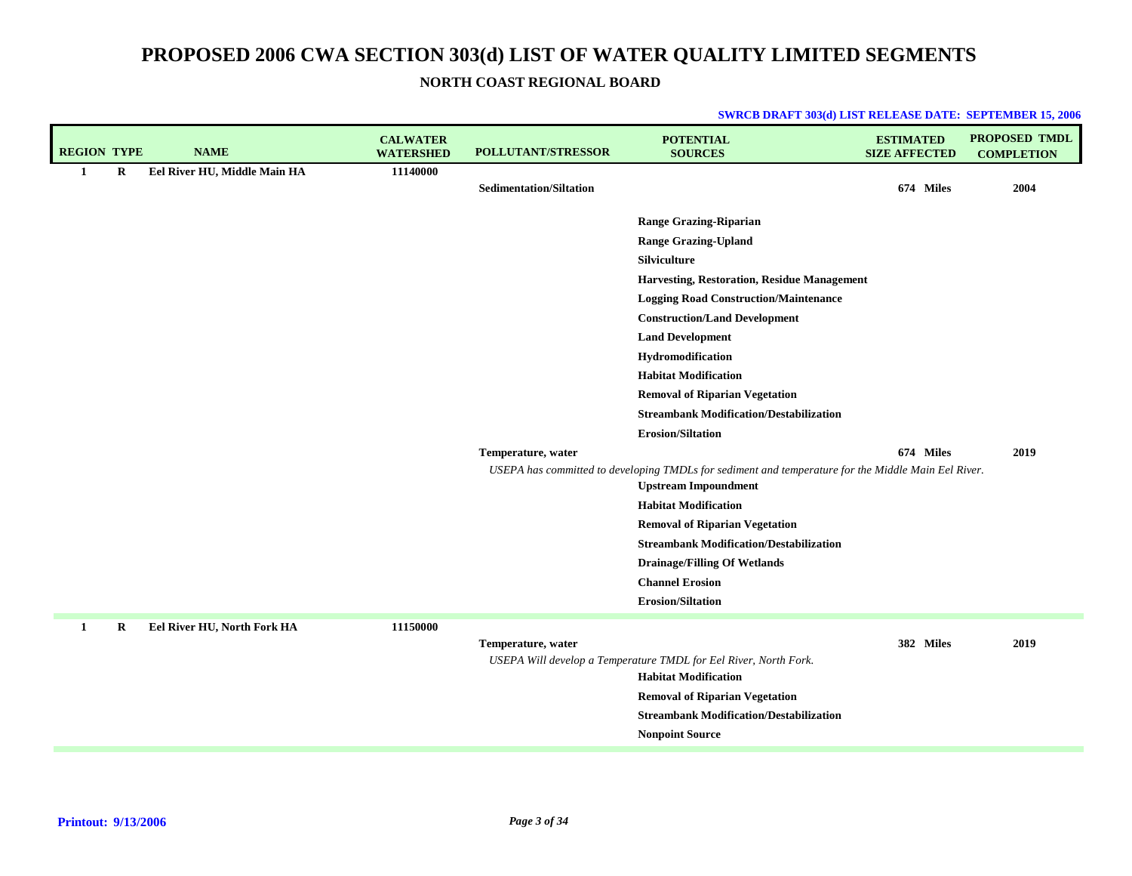**NORTH COAST REGIONAL BOARD**

| <b>REGION TYPE</b> |   | <b>NAME</b>                  | <b>CALWATER</b><br><b>WATERSHED</b> | POLLUTANT/STRESSOR             | <b>POTENTIAL</b><br><b>SOURCES</b>                                                                                                 | <b>ESTIMATED</b><br><b>SIZE AFFECTED</b> | <b>PROPOSED TMDL</b><br><b>COMPLETION</b> |
|--------------------|---|------------------------------|-------------------------------------|--------------------------------|------------------------------------------------------------------------------------------------------------------------------------|------------------------------------------|-------------------------------------------|
| $\mathbf{1}$       | R | Eel River HU, Middle Main HA | 11140000                            |                                |                                                                                                                                    |                                          |                                           |
|                    |   |                              |                                     | <b>Sedimentation/Siltation</b> |                                                                                                                                    | 674 Miles                                | 2004                                      |
|                    |   |                              |                                     |                                | <b>Range Grazing-Riparian</b>                                                                                                      |                                          |                                           |
|                    |   |                              |                                     |                                | <b>Range Grazing-Upland</b>                                                                                                        |                                          |                                           |
|                    |   |                              |                                     |                                | Silviculture                                                                                                                       |                                          |                                           |
|                    |   |                              |                                     |                                | Harvesting, Restoration, Residue Management                                                                                        |                                          |                                           |
|                    |   |                              |                                     |                                | <b>Logging Road Construction/Maintenance</b>                                                                                       |                                          |                                           |
|                    |   |                              |                                     |                                | <b>Construction/Land Development</b>                                                                                               |                                          |                                           |
|                    |   |                              |                                     |                                | <b>Land Development</b>                                                                                                            |                                          |                                           |
|                    |   |                              |                                     |                                | Hydromodification                                                                                                                  |                                          |                                           |
|                    |   |                              |                                     |                                | <b>Habitat Modification</b>                                                                                                        |                                          |                                           |
|                    |   |                              |                                     |                                | <b>Removal of Riparian Vegetation</b>                                                                                              |                                          |                                           |
|                    |   |                              |                                     |                                | <b>Streambank Modification/Destabilization</b>                                                                                     |                                          |                                           |
|                    |   |                              |                                     |                                | <b>Erosion/Siltation</b>                                                                                                           |                                          |                                           |
|                    |   |                              |                                     | Temperature, water             |                                                                                                                                    | 674 Miles                                | 2019                                      |
|                    |   |                              |                                     |                                | USEPA has committed to developing TMDLs for sediment and temperature for the Middle Main Eel River.<br><b>Upstream Impoundment</b> |                                          |                                           |
|                    |   |                              |                                     |                                | <b>Habitat Modification</b>                                                                                                        |                                          |                                           |
|                    |   |                              |                                     |                                | <b>Removal of Riparian Vegetation</b>                                                                                              |                                          |                                           |
|                    |   |                              |                                     |                                | <b>Streambank Modification/Destabilization</b>                                                                                     |                                          |                                           |
|                    |   |                              |                                     |                                | <b>Drainage/Filling Of Wetlands</b>                                                                                                |                                          |                                           |
|                    |   |                              |                                     |                                | <b>Channel Erosion</b>                                                                                                             |                                          |                                           |
|                    |   |                              |                                     |                                | <b>Erosion/Siltation</b>                                                                                                           |                                          |                                           |
| 1                  | R | Eel River HU, North Fork HA  | 11150000                            |                                |                                                                                                                                    |                                          |                                           |
|                    |   |                              |                                     | Temperature, water             |                                                                                                                                    | 382 Miles                                | 2019                                      |
|                    |   |                              |                                     |                                | USEPA Will develop a Temperature TMDL for Eel River, North Fork.                                                                   |                                          |                                           |
|                    |   |                              |                                     |                                | <b>Habitat Modification</b>                                                                                                        |                                          |                                           |
|                    |   |                              |                                     |                                | <b>Removal of Riparian Vegetation</b>                                                                                              |                                          |                                           |
|                    |   |                              |                                     |                                | <b>Streambank Modification/Destabilization</b>                                                                                     |                                          |                                           |
|                    |   |                              |                                     |                                | <b>Nonpoint Source</b>                                                                                                             |                                          |                                           |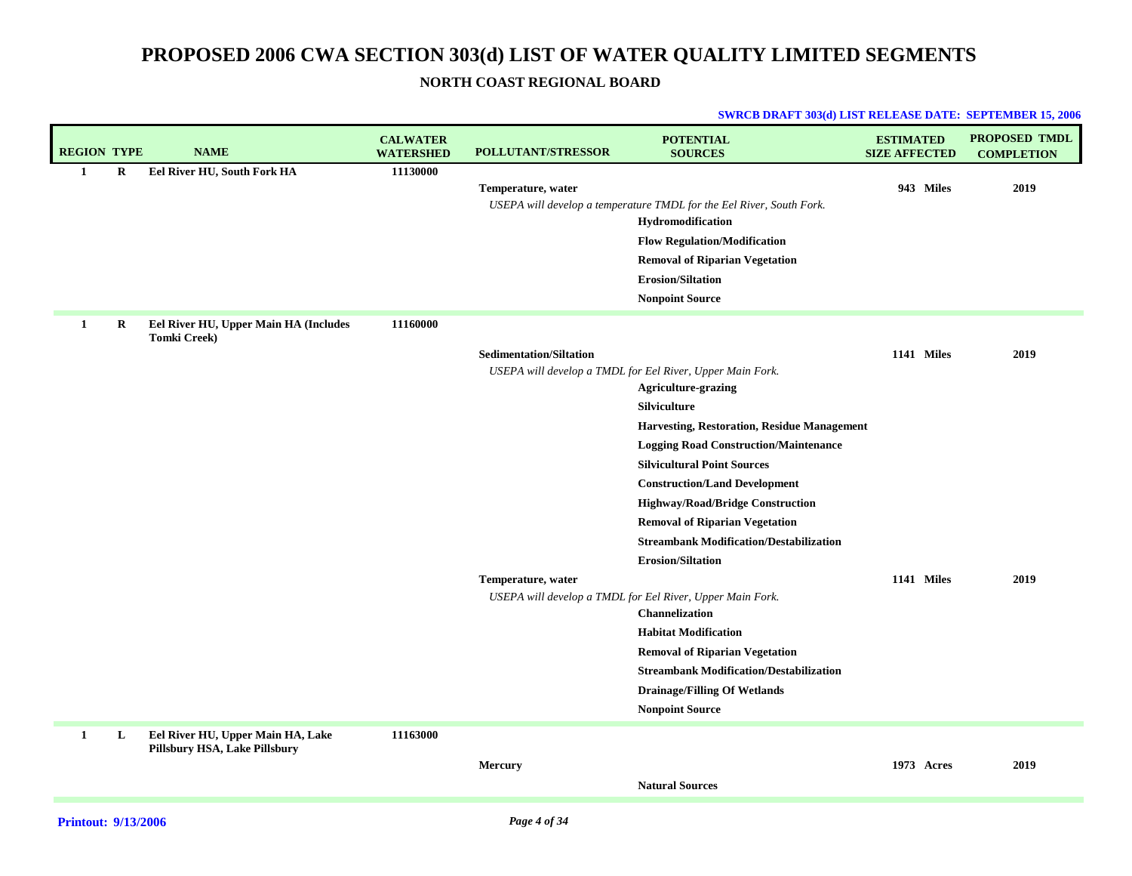## **NORTH COAST REGIONAL BOARD**

| <b>REGION TYPE</b> |          | <b>NAME</b>                                                        | <b>CALWATER</b><br><b>WATERSHED</b> | <b>POLLUTANT/STRESSOR</b>                            | <b>POTENTIAL</b><br><b>SOURCES</b>                                                                                                                                                                                                                                                                                                                                                                                                                                                                                                                                                                                                                                                                                               | <b>ESTIMATED</b><br><b>SIZE AFFECTED</b> | <b>PROPOSED TMDL</b><br><b>COMPLETION</b> |
|--------------------|----------|--------------------------------------------------------------------|-------------------------------------|------------------------------------------------------|----------------------------------------------------------------------------------------------------------------------------------------------------------------------------------------------------------------------------------------------------------------------------------------------------------------------------------------------------------------------------------------------------------------------------------------------------------------------------------------------------------------------------------------------------------------------------------------------------------------------------------------------------------------------------------------------------------------------------------|------------------------------------------|-------------------------------------------|
| 1                  | $\bf{R}$ | Eel River HU, South Fork HA                                        | 11130000                            | Temperature, water                                   | USEPA will develop a temperature TMDL for the Eel River, South Fork.<br>Hydromodification<br><b>Flow Regulation/Modification</b><br><b>Removal of Riparian Vegetation</b><br>Erosion/Siltation<br><b>Nonpoint Source</b>                                                                                                                                                                                                                                                                                                                                                                                                                                                                                                         | 943 Miles                                | 2019                                      |
| $\mathbf{1}$       | R        | Eel River HU, Upper Main HA (Includes<br><b>Tomki Creek)</b>       | 11160000                            | <b>Sedimentation/Siltation</b><br>Temperature, water | USEPA will develop a TMDL for Eel River, Upper Main Fork.<br><b>Agriculture-grazing</b><br>Silviculture<br><b>Harvesting, Restoration, Residue Management</b><br><b>Logging Road Construction/Maintenance</b><br><b>Silvicultural Point Sources</b><br><b>Construction/Land Development</b><br>Highway/Road/Bridge Construction<br><b>Removal of Riparian Vegetation</b><br><b>Streambank Modification/Destabilization</b><br><b>Erosion/Siltation</b><br>USEPA will develop a TMDL for Eel River, Upper Main Fork.<br>Channelization<br><b>Habitat Modification</b><br><b>Removal of Riparian Vegetation</b><br><b>Streambank Modification/Destabilization</b><br><b>Drainage/Filling Of Wetlands</b><br><b>Nonpoint Source</b> | 1141 Miles<br>1141 Miles                 | 2019<br>2019                              |
| $\mathbf{1}$       | L        | Eel River HU, Upper Main HA, Lake<br>Pillsbury HSA, Lake Pillsbury | 11163000                            | Mercury                                              | <b>Natural Sources</b>                                                                                                                                                                                                                                                                                                                                                                                                                                                                                                                                                                                                                                                                                                           | 1973 Acres                               | 2019                                      |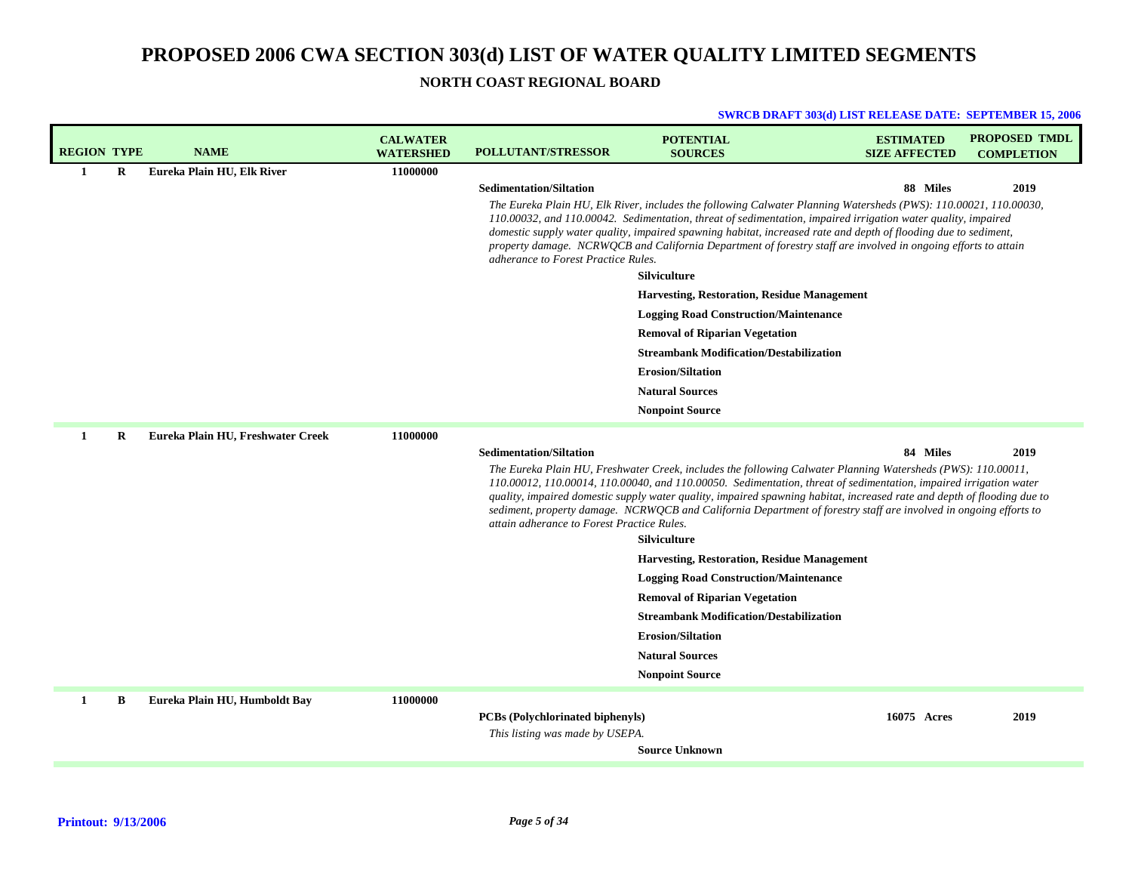**NORTH COAST REGIONAL BOARD**

| <b>REGION TYPE</b> |   | <b>NAME</b>                       | <b>CALWATER</b><br><b>WATERSHED</b> | <b>POLLUTANT/STRESSOR</b>                                           | <b>POTENTIAL</b><br><b>SOURCES</b>                                                                                                                                                                                                                                                                                                                                                                                                                                                | <b>ESTIMATED</b><br><b>SIZE AFFECTED</b> | <b>PROPOSED TMDL</b><br><b>COMPLETION</b> |
|--------------------|---|-----------------------------------|-------------------------------------|---------------------------------------------------------------------|-----------------------------------------------------------------------------------------------------------------------------------------------------------------------------------------------------------------------------------------------------------------------------------------------------------------------------------------------------------------------------------------------------------------------------------------------------------------------------------|------------------------------------------|-------------------------------------------|
| $\mathbf{1}$       | R | Eureka Plain HU, Elk River        | 11000000                            |                                                                     |                                                                                                                                                                                                                                                                                                                                                                                                                                                                                   |                                          |                                           |
|                    |   |                                   |                                     | <b>Sedimentation/Siltation</b>                                      |                                                                                                                                                                                                                                                                                                                                                                                                                                                                                   | 88 Miles                                 | 2019                                      |
|                    |   |                                   |                                     | adherance to Forest Practice Rules.                                 | The Eureka Plain HU, Elk River, includes the following Calwater Planning Watersheds (PWS): 110.00021, 110.00030,<br>110.00032, and 110.00042. Sedimentation, threat of sedimentation, impaired irrigation water quality, impaired<br>domestic supply water quality, impaired spawning habitat, increased rate and depth of flooding due to sediment,<br>property damage. NCRWQCB and California Department of forestry staff are involved in ongoing efforts to attain            |                                          |                                           |
|                    |   |                                   |                                     |                                                                     | Silviculture                                                                                                                                                                                                                                                                                                                                                                                                                                                                      |                                          |                                           |
|                    |   |                                   |                                     |                                                                     | <b>Harvesting, Restoration, Residue Management</b>                                                                                                                                                                                                                                                                                                                                                                                                                                |                                          |                                           |
|                    |   |                                   |                                     |                                                                     | <b>Logging Road Construction/Maintenance</b>                                                                                                                                                                                                                                                                                                                                                                                                                                      |                                          |                                           |
|                    |   |                                   |                                     |                                                                     | <b>Removal of Riparian Vegetation</b>                                                                                                                                                                                                                                                                                                                                                                                                                                             |                                          |                                           |
|                    |   |                                   |                                     |                                                                     | <b>Streambank Modification/Destabilization</b>                                                                                                                                                                                                                                                                                                                                                                                                                                    |                                          |                                           |
|                    |   |                                   |                                     |                                                                     | <b>Erosion/Siltation</b>                                                                                                                                                                                                                                                                                                                                                                                                                                                          |                                          |                                           |
|                    |   |                                   |                                     |                                                                     | <b>Natural Sources</b>                                                                                                                                                                                                                                                                                                                                                                                                                                                            |                                          |                                           |
|                    |   |                                   |                                     |                                                                     | <b>Nonpoint Source</b>                                                                                                                                                                                                                                                                                                                                                                                                                                                            |                                          |                                           |
| 1                  | R | Eureka Plain HU, Freshwater Creek | 11000000                            |                                                                     |                                                                                                                                                                                                                                                                                                                                                                                                                                                                                   |                                          |                                           |
|                    |   |                                   |                                     | <b>Sedimentation/Siltation</b>                                      |                                                                                                                                                                                                                                                                                                                                                                                                                                                                                   | 84 Miles                                 | 2019                                      |
|                    |   |                                   |                                     | attain adherance to Forest Practice Rules.                          | The Eureka Plain HU, Freshwater Creek, includes the following Calwater Planning Watersheds (PWS): 110.00011,<br>110.00012, 110.00014, 110.00040, and 110.00050. Sedimentation, threat of sedimentation, impaired irrigation water<br>quality, impaired domestic supply water quality, impaired spawning habitat, increased rate and depth of flooding due to<br>sediment, property damage. NCRWQCB and California Department of forestry staff are involved in ongoing efforts to |                                          |                                           |
|                    |   |                                   |                                     |                                                                     | <b>Silviculture</b>                                                                                                                                                                                                                                                                                                                                                                                                                                                               |                                          |                                           |
|                    |   |                                   |                                     |                                                                     | <b>Harvesting, Restoration, Residue Management</b>                                                                                                                                                                                                                                                                                                                                                                                                                                |                                          |                                           |
|                    |   |                                   |                                     |                                                                     | <b>Logging Road Construction/Maintenance</b>                                                                                                                                                                                                                                                                                                                                                                                                                                      |                                          |                                           |
|                    |   |                                   |                                     |                                                                     | <b>Removal of Riparian Vegetation</b>                                                                                                                                                                                                                                                                                                                                                                                                                                             |                                          |                                           |
|                    |   |                                   |                                     |                                                                     | <b>Streambank Modification/Destabilization</b>                                                                                                                                                                                                                                                                                                                                                                                                                                    |                                          |                                           |
|                    |   |                                   |                                     |                                                                     | <b>Erosion/Siltation</b>                                                                                                                                                                                                                                                                                                                                                                                                                                                          |                                          |                                           |
|                    |   |                                   |                                     |                                                                     | <b>Natural Sources</b>                                                                                                                                                                                                                                                                                                                                                                                                                                                            |                                          |                                           |
|                    |   |                                   |                                     |                                                                     | <b>Nonpoint Source</b>                                                                                                                                                                                                                                                                                                                                                                                                                                                            |                                          |                                           |
| $\mathbf{1}$       | B | Eureka Plain HU, Humboldt Bay     | 11000000                            | PCBs (Polychlorinated biphenyls)<br>This listing was made by USEPA. | <b>Source Unknown</b>                                                                                                                                                                                                                                                                                                                                                                                                                                                             | 16075 Acres                              | 2019                                      |
|                    |   |                                   |                                     |                                                                     |                                                                                                                                                                                                                                                                                                                                                                                                                                                                                   |                                          |                                           |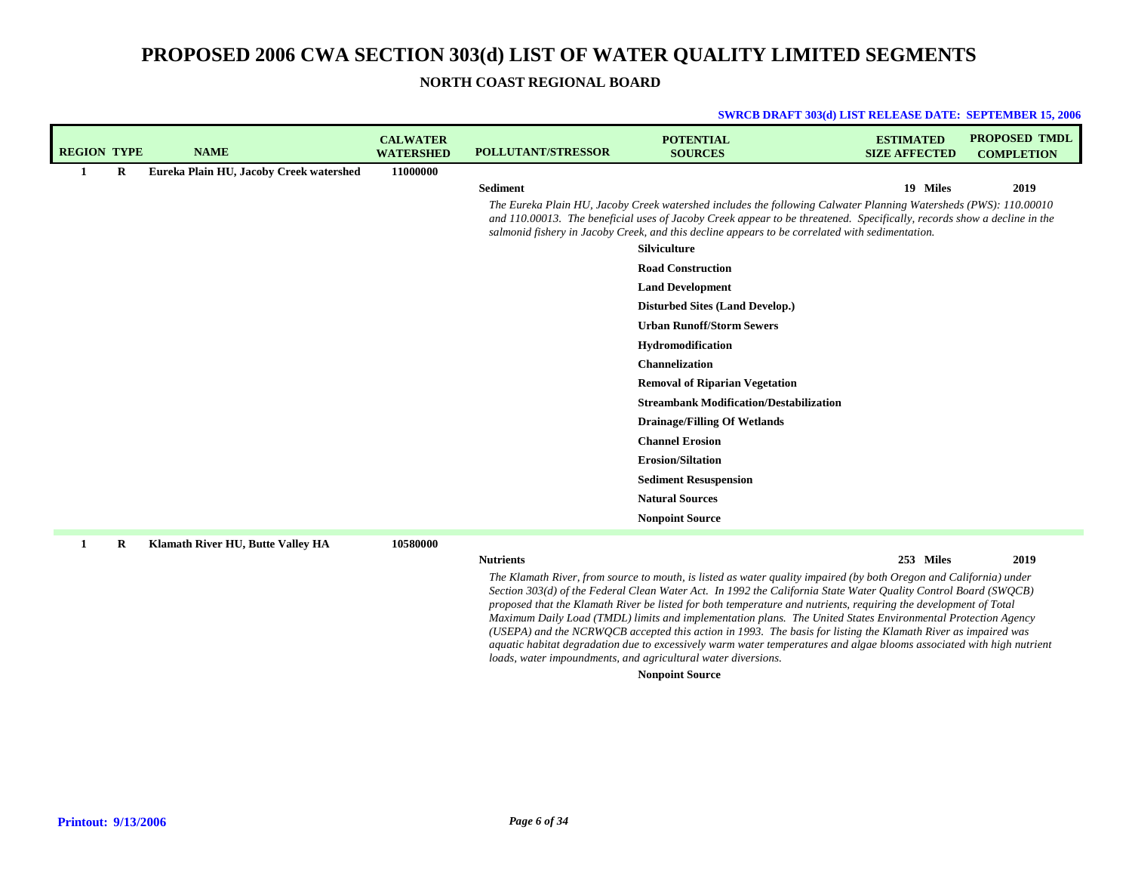**NORTH COAST REGIONAL BOARD**

#### **SWRCB DRAFT 303(d) LIST RELEASE DATE: SEPTEMBER 15, 2006**

| <b>REGION TYPE</b> |         | <b>NAME</b>                             | <b>CALWATER</b><br><b>WATERSHED</b> | <b>POLLUTANT/STRESSOR</b> | <b>POTENTIAL</b><br><b>SOURCES</b>                                                                                                                                                                                                                                                                                                             | <b>ESTIMATED</b><br><b>SIZE AFFECTED</b> | <b>PROPOSED TMDL</b><br><b>COMPLETION</b> |
|--------------------|---------|-----------------------------------------|-------------------------------------|---------------------------|------------------------------------------------------------------------------------------------------------------------------------------------------------------------------------------------------------------------------------------------------------------------------------------------------------------------------------------------|------------------------------------------|-------------------------------------------|
| 1                  | $\bf R$ | Eureka Plain HU, Jacoby Creek watershed | 11000000                            |                           |                                                                                                                                                                                                                                                                                                                                                |                                          |                                           |
|                    |         |                                         |                                     | <b>Sediment</b>           |                                                                                                                                                                                                                                                                                                                                                | 19 Miles                                 | 2019                                      |
|                    |         |                                         |                                     |                           | The Eureka Plain HU, Jacoby Creek watershed includes the following Calwater Planning Watersheds (PWS): 110.00010<br>and 110.00013. The beneficial uses of Jacoby Creek appear to be threatened. Specifically, records show a decline in the<br>salmonid fishery in Jacoby Creek, and this decline appears to be correlated with sedimentation. |                                          |                                           |
|                    |         |                                         |                                     |                           | Silviculture                                                                                                                                                                                                                                                                                                                                   |                                          |                                           |
|                    |         |                                         |                                     |                           | <b>Road Construction</b>                                                                                                                                                                                                                                                                                                                       |                                          |                                           |
|                    |         |                                         |                                     |                           | <b>Land Development</b>                                                                                                                                                                                                                                                                                                                        |                                          |                                           |
|                    |         |                                         |                                     |                           | <b>Disturbed Sites (Land Develop.)</b>                                                                                                                                                                                                                                                                                                         |                                          |                                           |
|                    |         |                                         |                                     |                           | <b>Urban Runoff/Storm Sewers</b>                                                                                                                                                                                                                                                                                                               |                                          |                                           |
|                    |         |                                         |                                     |                           | Hydromodification                                                                                                                                                                                                                                                                                                                              |                                          |                                           |
|                    |         |                                         |                                     |                           | <b>Channelization</b>                                                                                                                                                                                                                                                                                                                          |                                          |                                           |
|                    |         |                                         |                                     |                           | <b>Removal of Riparian Vegetation</b>                                                                                                                                                                                                                                                                                                          |                                          |                                           |
|                    |         |                                         |                                     |                           | <b>Streambank Modification/Destabilization</b>                                                                                                                                                                                                                                                                                                 |                                          |                                           |
|                    |         |                                         |                                     |                           | <b>Drainage/Filling Of Wetlands</b>                                                                                                                                                                                                                                                                                                            |                                          |                                           |
|                    |         |                                         |                                     |                           | <b>Channel Erosion</b>                                                                                                                                                                                                                                                                                                                         |                                          |                                           |
|                    |         |                                         |                                     |                           | <b>Erosion/Siltation</b>                                                                                                                                                                                                                                                                                                                       |                                          |                                           |
|                    |         |                                         |                                     |                           | <b>Sediment Resuspension</b>                                                                                                                                                                                                                                                                                                                   |                                          |                                           |
|                    |         |                                         |                                     |                           | <b>Natural Sources</b>                                                                                                                                                                                                                                                                                                                         |                                          |                                           |
|                    |         |                                         |                                     |                           | <b>Nonpoint Source</b>                                                                                                                                                                                                                                                                                                                         |                                          |                                           |
|                    | R       | Klamath River HU, Butte Valley HA       | 10580000                            |                           |                                                                                                                                                                                                                                                                                                                                                |                                          |                                           |
|                    |         |                                         |                                     | <b>Nutrients</b>          |                                                                                                                                                                                                                                                                                                                                                | 253 Miles                                | 2019                                      |

#### **Nutrients**

**2019 Miles**

The Klamath River, from source to mouth, is listed as water quality impaired (by both Oregon and California) under Section 303(d) of the Federal Clean Water Act. In 1992 the California State Water Quality Control Board (SWQCB) proposed that the Klamath River be listed for both temperature and nutrients, requiring the development of Total *Maximum Daily Load (TMDL) limits and implementation plans. The United States Environmental Protection Agency* (USEPA) and the NCRWQCB accepted this action in 1993. The basis for listing the Klamath River as impaired was aquatic habitat degradation due to excessively warm water temperatures and algae blooms associated with high nutrient *loads, water impoundments, and agricultural water diversions.*

## **Nonpoint Source**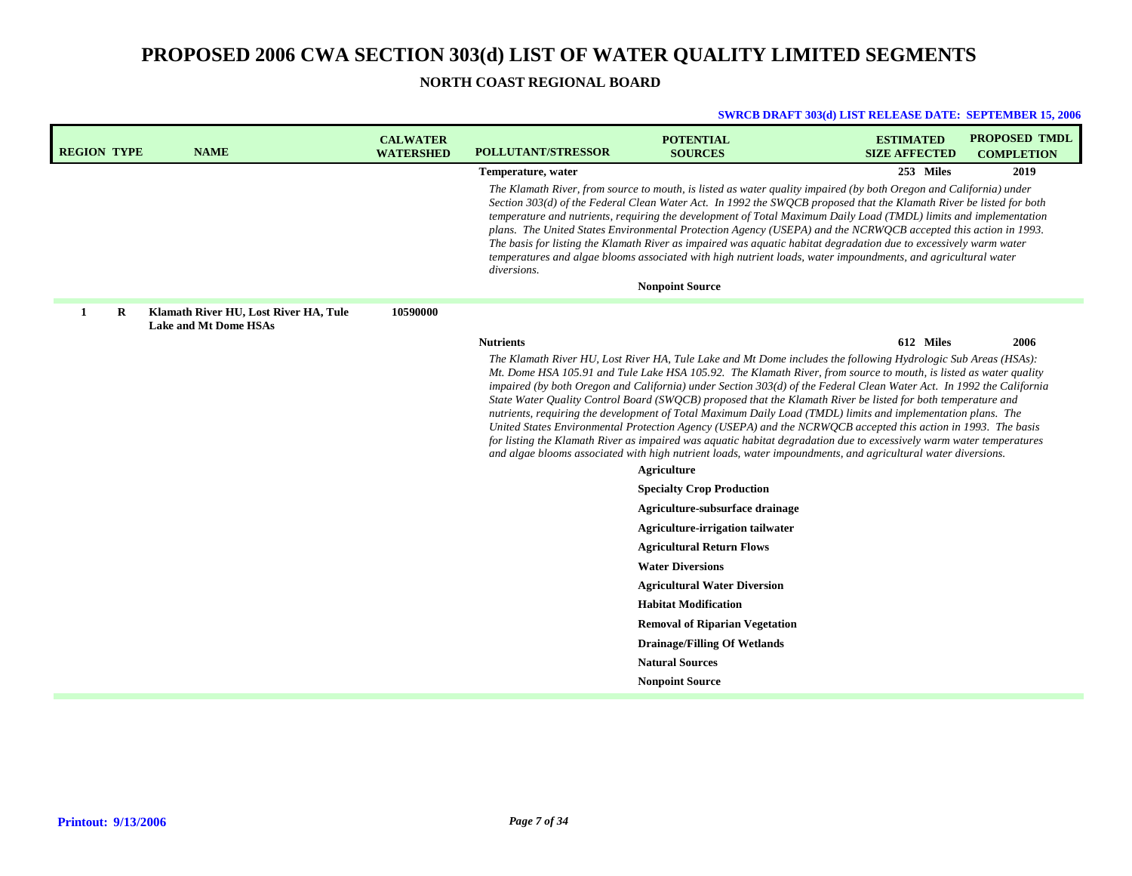**NORTH COAST REGIONAL BOARD**

| <b>REGION TYPE</b> |   | <b>NAME</b>                                                           | <b>CALWATER</b><br><b>WATERSHED</b> | <b>POLLUTANT/STRESSOR</b> | <b>POTENTIAL</b><br><b>SOURCES</b>                                                                                                                                                                                                                                                                                                                                                                                                                                                                                                                                                                                                                                                                                                                                                                                                                                                                                                                                                                      | <b>ESTIMATED</b><br><b>SIZE AFFECTED</b> | <b>PROPOSED TMDL</b><br><b>COMPLETION</b> |
|--------------------|---|-----------------------------------------------------------------------|-------------------------------------|---------------------------|---------------------------------------------------------------------------------------------------------------------------------------------------------------------------------------------------------------------------------------------------------------------------------------------------------------------------------------------------------------------------------------------------------------------------------------------------------------------------------------------------------------------------------------------------------------------------------------------------------------------------------------------------------------------------------------------------------------------------------------------------------------------------------------------------------------------------------------------------------------------------------------------------------------------------------------------------------------------------------------------------------|------------------------------------------|-------------------------------------------|
|                    |   |                                                                       |                                     | Temperature, water        |                                                                                                                                                                                                                                                                                                                                                                                                                                                                                                                                                                                                                                                                                                                                                                                                                                                                                                                                                                                                         | 253 Miles                                | 2019                                      |
|                    |   |                                                                       |                                     | diversions.               | The Klamath River, from source to mouth, is listed as water quality impaired (by both Oregon and California) under<br>Section 303(d) of the Federal Clean Water Act. In 1992 the SWOCB proposed that the Klamath River be listed for both<br>temperature and nutrients, requiring the development of Total Maximum Daily Load (TMDL) limits and implementation<br>plans. The United States Environmental Protection Agency (USEPA) and the NCRWOCB accepted this action in 1993.<br>The basis for listing the Klamath River as impaired was aquatic habitat degradation due to excessively warm water<br>temperatures and algae blooms associated with high nutrient loads, water impoundments, and agricultural water<br><b>Nonpoint Source</b>                                                                                                                                                                                                                                                        |                                          |                                           |
|                    |   |                                                                       |                                     |                           |                                                                                                                                                                                                                                                                                                                                                                                                                                                                                                                                                                                                                                                                                                                                                                                                                                                                                                                                                                                                         |                                          |                                           |
| $\mathbf{1}$       | R | Klamath River HU, Lost River HA, Tule<br><b>Lake and Mt Dome HSAs</b> | 10590000                            |                           |                                                                                                                                                                                                                                                                                                                                                                                                                                                                                                                                                                                                                                                                                                                                                                                                                                                                                                                                                                                                         |                                          |                                           |
|                    |   |                                                                       |                                     | <b>Nutrients</b>          |                                                                                                                                                                                                                                                                                                                                                                                                                                                                                                                                                                                                                                                                                                                                                                                                                                                                                                                                                                                                         | 612 Miles                                | 2006                                      |
|                    |   |                                                                       |                                     |                           | The Klamath River HU, Lost River HA, Tule Lake and Mt Dome includes the following Hydrologic Sub Areas (HSAs):<br>Mt. Dome HSA 105.91 and Tule Lake HSA 105.92. The Klamath River, from source to mouth, is listed as water quality<br>impaired (by both Oregon and California) under Section 303(d) of the Federal Clean Water Act. In 1992 the California<br>State Water Quality Control Board (SWQCB) proposed that the Klamath River be listed for both temperature and<br>nutrients, requiring the development of Total Maximum Daily Load (TMDL) limits and implementation plans. The<br>United States Environmental Protection Agency (USEPA) and the NCRWOCB accepted this action in 1993. The basis<br>for listing the Klamath River as impaired was aquatic habitat degradation due to excessively warm water temperatures<br>and algae blooms associated with high nutrient loads, water impoundments, and agricultural water diversions.<br>Agriculture<br><b>Specialty Crop Production</b> |                                          |                                           |
|                    |   |                                                                       |                                     |                           | Agriculture-subsurface drainage                                                                                                                                                                                                                                                                                                                                                                                                                                                                                                                                                                                                                                                                                                                                                                                                                                                                                                                                                                         |                                          |                                           |
|                    |   |                                                                       |                                     |                           | <b>Agriculture-irrigation tailwater</b>                                                                                                                                                                                                                                                                                                                                                                                                                                                                                                                                                                                                                                                                                                                                                                                                                                                                                                                                                                 |                                          |                                           |
|                    |   |                                                                       |                                     |                           | <b>Agricultural Return Flows</b>                                                                                                                                                                                                                                                                                                                                                                                                                                                                                                                                                                                                                                                                                                                                                                                                                                                                                                                                                                        |                                          |                                           |
|                    |   |                                                                       |                                     |                           | <b>Water Diversions</b>                                                                                                                                                                                                                                                                                                                                                                                                                                                                                                                                                                                                                                                                                                                                                                                                                                                                                                                                                                                 |                                          |                                           |
|                    |   |                                                                       |                                     |                           | <b>Agricultural Water Diversion</b>                                                                                                                                                                                                                                                                                                                                                                                                                                                                                                                                                                                                                                                                                                                                                                                                                                                                                                                                                                     |                                          |                                           |
|                    |   |                                                                       |                                     |                           | <b>Habitat Modification</b>                                                                                                                                                                                                                                                                                                                                                                                                                                                                                                                                                                                                                                                                                                                                                                                                                                                                                                                                                                             |                                          |                                           |
|                    |   |                                                                       |                                     |                           | <b>Removal of Riparian Vegetation</b>                                                                                                                                                                                                                                                                                                                                                                                                                                                                                                                                                                                                                                                                                                                                                                                                                                                                                                                                                                   |                                          |                                           |
|                    |   |                                                                       |                                     |                           | <b>Drainage/Filling Of Wetlands</b>                                                                                                                                                                                                                                                                                                                                                                                                                                                                                                                                                                                                                                                                                                                                                                                                                                                                                                                                                                     |                                          |                                           |
|                    |   |                                                                       |                                     |                           | <b>Natural Sources</b>                                                                                                                                                                                                                                                                                                                                                                                                                                                                                                                                                                                                                                                                                                                                                                                                                                                                                                                                                                                  |                                          |                                           |
|                    |   |                                                                       |                                     |                           | <b>Nonpoint Source</b>                                                                                                                                                                                                                                                                                                                                                                                                                                                                                                                                                                                                                                                                                                                                                                                                                                                                                                                                                                                  |                                          |                                           |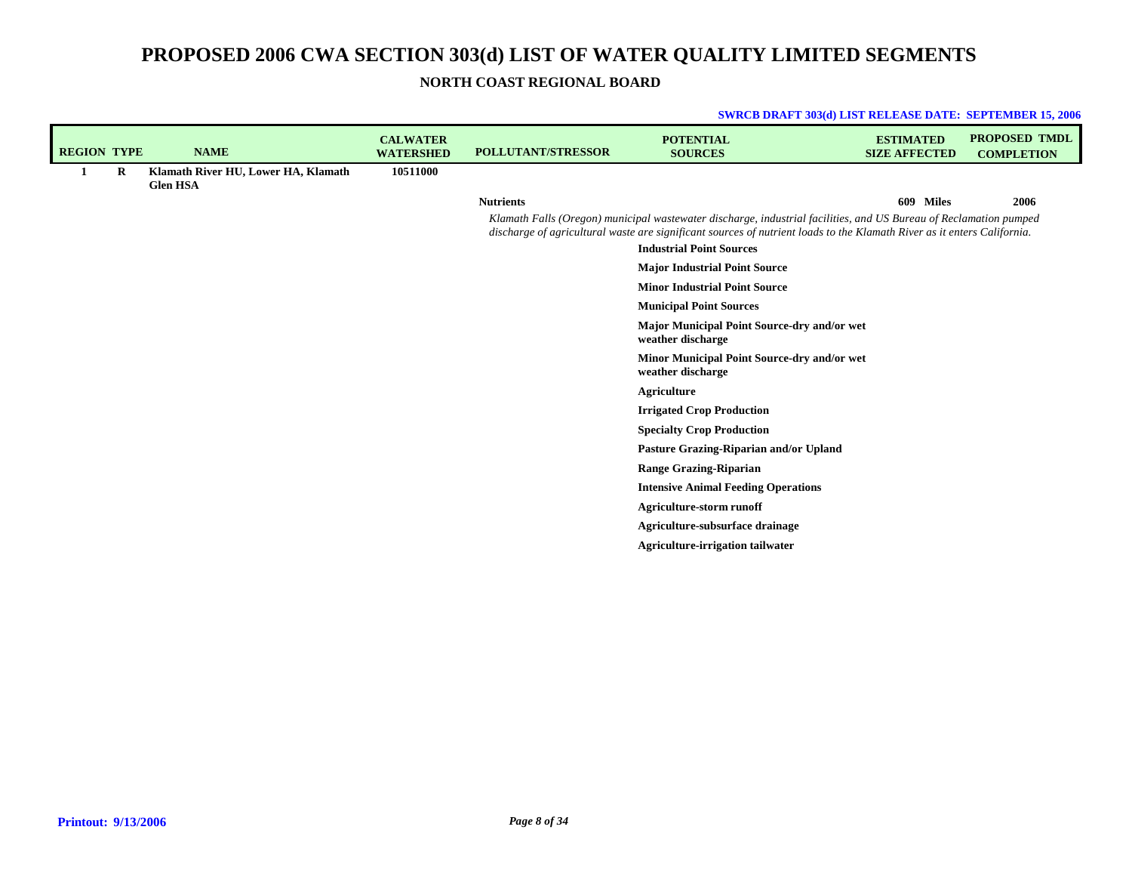**NORTH COAST REGIONAL BOARD**

| <b>REGION TYPE</b> |         | <b>NAME</b>                                            | <b>CALWATER</b><br><b>WATERSHED</b> | <b>POLLUTANT/STRESSOR</b> | <b>POTENTIAL</b><br><b>SOURCES</b>                                                                                                                                                                                                           | <b>ESTIMATED</b><br><b>SIZE AFFECTED</b> | <b>PROPOSED TMDL</b><br><b>COMPLETION</b> |
|--------------------|---------|--------------------------------------------------------|-------------------------------------|---------------------------|----------------------------------------------------------------------------------------------------------------------------------------------------------------------------------------------------------------------------------------------|------------------------------------------|-------------------------------------------|
| 1                  | $\bf R$ | Klamath River HU, Lower HA, Klamath<br><b>Glen HSA</b> | 10511000                            |                           |                                                                                                                                                                                                                                              |                                          |                                           |
|                    |         |                                                        |                                     | <b>Nutrients</b>          |                                                                                                                                                                                                                                              | 609 Miles                                | 2006                                      |
|                    |         |                                                        |                                     |                           | Klamath Falls (Oregon) municipal wastewater discharge, industrial facilities, and US Bureau of Reclamation pumped<br>discharge of agricultural waste are significant sources of nutrient loads to the Klamath River as it enters California. |                                          |                                           |
|                    |         |                                                        |                                     |                           | <b>Industrial Point Sources</b>                                                                                                                                                                                                              |                                          |                                           |
|                    |         |                                                        |                                     |                           | <b>Major Industrial Point Source</b>                                                                                                                                                                                                         |                                          |                                           |
|                    |         |                                                        |                                     |                           | <b>Minor Industrial Point Source</b>                                                                                                                                                                                                         |                                          |                                           |
|                    |         |                                                        |                                     |                           | <b>Municipal Point Sources</b>                                                                                                                                                                                                               |                                          |                                           |
|                    |         |                                                        |                                     |                           | Major Municipal Point Source-dry and/or wet<br>weather discharge                                                                                                                                                                             |                                          |                                           |
|                    |         |                                                        |                                     |                           | Minor Municipal Point Source-dry and/or wet<br>weather discharge                                                                                                                                                                             |                                          |                                           |
|                    |         |                                                        |                                     |                           | <b>Agriculture</b>                                                                                                                                                                                                                           |                                          |                                           |
|                    |         |                                                        |                                     |                           | <b>Irrigated Crop Production</b>                                                                                                                                                                                                             |                                          |                                           |
|                    |         |                                                        |                                     |                           | <b>Specialty Crop Production</b>                                                                                                                                                                                                             |                                          |                                           |
|                    |         |                                                        |                                     |                           | Pasture Grazing-Riparian and/or Upland                                                                                                                                                                                                       |                                          |                                           |
|                    |         |                                                        |                                     |                           | <b>Range Grazing-Riparian</b>                                                                                                                                                                                                                |                                          |                                           |
|                    |         |                                                        |                                     |                           | <b>Intensive Animal Feeding Operations</b>                                                                                                                                                                                                   |                                          |                                           |
|                    |         |                                                        |                                     |                           | <b>Agriculture-storm runoff</b>                                                                                                                                                                                                              |                                          |                                           |
|                    |         |                                                        |                                     |                           | Agriculture-subsurface drainage                                                                                                                                                                                                              |                                          |                                           |
|                    |         |                                                        |                                     |                           | <b>Agriculture-irrigation tailwater</b>                                                                                                                                                                                                      |                                          |                                           |
|                    |         |                                                        |                                     |                           |                                                                                                                                                                                                                                              |                                          |                                           |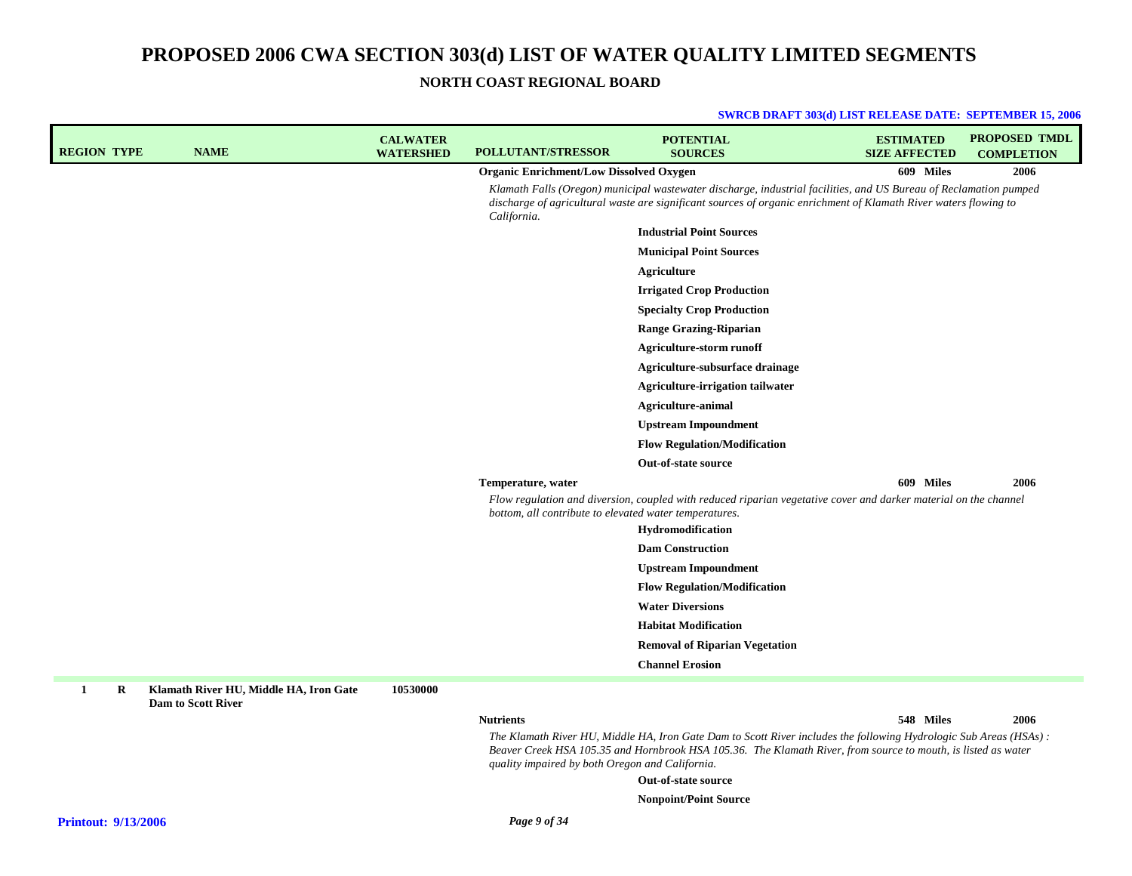**NORTH COAST REGIONAL BOARD**

| <b>REGION TYPE</b>         | <b>NAME</b>                                                         | <b>CALWATER</b><br><b>WATERSHED</b> | <b>POLLUTANT/STRESSOR</b>                              | <b>POTENTIAL</b><br><b>SOURCES</b>                                                                                                                                                                                                    | <b>ESTIMATED</b><br><b>SIZE AFFECTED</b> | <b>PROPOSED TMDL</b><br><b>COMPLETION</b> |
|----------------------------|---------------------------------------------------------------------|-------------------------------------|--------------------------------------------------------|---------------------------------------------------------------------------------------------------------------------------------------------------------------------------------------------------------------------------------------|------------------------------------------|-------------------------------------------|
|                            |                                                                     |                                     | <b>Organic Enrichment/Low Dissolved Oxygen</b>         |                                                                                                                                                                                                                                       | 609 Miles                                | 2006                                      |
|                            |                                                                     |                                     | California.                                            | Klamath Falls (Oregon) municipal wastewater discharge, industrial facilities, and US Bureau of Reclamation pumped<br>discharge of agricultural waste are significant sources of organic enrichment of Klamath River waters flowing to |                                          |                                           |
|                            |                                                                     |                                     |                                                        | <b>Industrial Point Sources</b>                                                                                                                                                                                                       |                                          |                                           |
|                            |                                                                     |                                     |                                                        | <b>Municipal Point Sources</b>                                                                                                                                                                                                        |                                          |                                           |
|                            |                                                                     |                                     |                                                        | Agriculture                                                                                                                                                                                                                           |                                          |                                           |
|                            |                                                                     |                                     |                                                        | <b>Irrigated Crop Production</b>                                                                                                                                                                                                      |                                          |                                           |
|                            |                                                                     |                                     |                                                        | <b>Specialty Crop Production</b>                                                                                                                                                                                                      |                                          |                                           |
|                            |                                                                     |                                     |                                                        | <b>Range Grazing-Riparian</b>                                                                                                                                                                                                         |                                          |                                           |
|                            |                                                                     |                                     |                                                        | Agriculture-storm runoff                                                                                                                                                                                                              |                                          |                                           |
|                            |                                                                     |                                     |                                                        | Agriculture-subsurface drainage                                                                                                                                                                                                       |                                          |                                           |
|                            |                                                                     |                                     |                                                        | <b>Agriculture-irrigation tailwater</b>                                                                                                                                                                                               |                                          |                                           |
|                            |                                                                     |                                     |                                                        | <b>Agriculture-animal</b>                                                                                                                                                                                                             |                                          |                                           |
|                            |                                                                     |                                     |                                                        | <b>Upstream Impoundment</b>                                                                                                                                                                                                           |                                          |                                           |
|                            |                                                                     |                                     |                                                        | <b>Flow Regulation/Modification</b>                                                                                                                                                                                                   |                                          |                                           |
|                            |                                                                     |                                     |                                                        | Out-of-state source                                                                                                                                                                                                                   |                                          |                                           |
|                            |                                                                     |                                     | Temperature, water                                     |                                                                                                                                                                                                                                       | 609 Miles                                | 2006                                      |
|                            |                                                                     |                                     | bottom, all contribute to elevated water temperatures. | Flow regulation and diversion, coupled with reduced riparian vegetative cover and darker material on the channel                                                                                                                      |                                          |                                           |
|                            |                                                                     |                                     |                                                        | Hydromodification                                                                                                                                                                                                                     |                                          |                                           |
|                            |                                                                     |                                     |                                                        | <b>Dam Construction</b>                                                                                                                                                                                                               |                                          |                                           |
|                            |                                                                     |                                     |                                                        | <b>Upstream Impoundment</b>                                                                                                                                                                                                           |                                          |                                           |
|                            |                                                                     |                                     |                                                        | <b>Flow Regulation/Modification</b>                                                                                                                                                                                                   |                                          |                                           |
|                            |                                                                     |                                     |                                                        | <b>Water Diversions</b>                                                                                                                                                                                                               |                                          |                                           |
|                            |                                                                     |                                     |                                                        | <b>Habitat Modification</b>                                                                                                                                                                                                           |                                          |                                           |
|                            |                                                                     |                                     |                                                        | <b>Removal of Riparian Vegetation</b>                                                                                                                                                                                                 |                                          |                                           |
|                            |                                                                     |                                     |                                                        | <b>Channel Erosion</b>                                                                                                                                                                                                                |                                          |                                           |
| 1<br>R                     | Klamath River HU, Middle HA, Iron Gate<br><b>Dam to Scott River</b> | 10530000                            |                                                        |                                                                                                                                                                                                                                       |                                          |                                           |
|                            |                                                                     |                                     | <b>Nutrients</b>                                       |                                                                                                                                                                                                                                       | 548 Miles                                | 2006                                      |
|                            |                                                                     |                                     | quality impaired by both Oregon and California.        | The Klamath River HU, Middle HA, Iron Gate Dam to Scott River includes the following Hydrologic Sub Areas (HSAs):<br>Beaver Creek HSA 105.35 and Hornbrook HSA 105.36. The Klamath River, from source to mouth, is listed as water    |                                          |                                           |
|                            |                                                                     |                                     |                                                        | Out-of-state source                                                                                                                                                                                                                   |                                          |                                           |
|                            |                                                                     |                                     |                                                        | <b>Nonpoint/Point Source</b>                                                                                                                                                                                                          |                                          |                                           |
| <b>Printout: 9/13/2006</b> |                                                                     |                                     | Page 9 of 34                                           |                                                                                                                                                                                                                                       |                                          |                                           |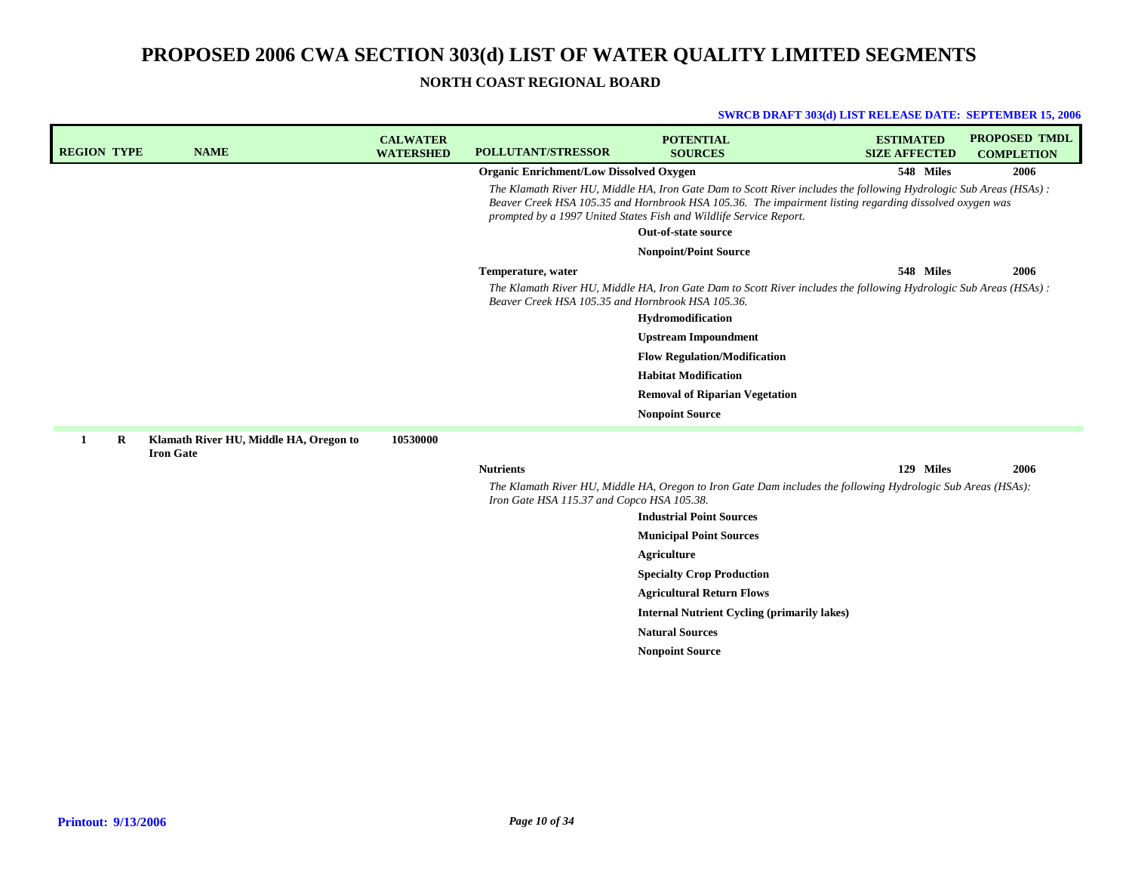## **NORTH COAST REGIONAL BOARD**

| <b>REGION TYPE</b> |         | <b>NAME</b>                                                | <b>CALWATER</b><br><b>WATERSHED</b> | <b>POLLUTANT/STRESSOR</b>                         | <b>POTENTIAL</b><br><b>SOURCES</b>                                                                                                                                                                                                                                                                 | <b>ESTIMATED</b><br><b>SIZE AFFECTED</b> | <b>PROPOSED TMDL</b><br><b>COMPLETION</b> |
|--------------------|---------|------------------------------------------------------------|-------------------------------------|---------------------------------------------------|----------------------------------------------------------------------------------------------------------------------------------------------------------------------------------------------------------------------------------------------------------------------------------------------------|------------------------------------------|-------------------------------------------|
|                    |         |                                                            |                                     | <b>Organic Enrichment/Low Dissolved Oxygen</b>    |                                                                                                                                                                                                                                                                                                    | 548 Miles                                | 2006                                      |
|                    |         |                                                            |                                     |                                                   | The Klamath River HU, Middle HA, Iron Gate Dam to Scott River includes the following Hydrologic Sub Areas (HSAs):<br>Beaver Creek HSA 105.35 and Hornbrook HSA 105.36. The impairment listing regarding dissolved oxygen was<br>prompted by a 1997 United States Fish and Wildlife Service Report. |                                          |                                           |
|                    |         |                                                            |                                     |                                                   | Out-of-state source                                                                                                                                                                                                                                                                                |                                          |                                           |
|                    |         |                                                            |                                     |                                                   | <b>Nonpoint/Point Source</b>                                                                                                                                                                                                                                                                       |                                          |                                           |
|                    |         |                                                            |                                     | Temperature, water                                |                                                                                                                                                                                                                                                                                                    | 548 Miles                                | 2006                                      |
|                    |         |                                                            |                                     | Beaver Creek HSA 105.35 and Hornbrook HSA 105.36. | The Klamath River HU, Middle HA, Iron Gate Dam to Scott River includes the following Hydrologic Sub Areas (HSAs):                                                                                                                                                                                  |                                          |                                           |
|                    |         |                                                            |                                     |                                                   | Hydromodification                                                                                                                                                                                                                                                                                  |                                          |                                           |
|                    |         |                                                            |                                     |                                                   | <b>Upstream Impoundment</b>                                                                                                                                                                                                                                                                        |                                          |                                           |
|                    |         |                                                            |                                     |                                                   | <b>Flow Regulation/Modification</b>                                                                                                                                                                                                                                                                |                                          |                                           |
|                    |         |                                                            |                                     |                                                   | <b>Habitat Modification</b>                                                                                                                                                                                                                                                                        |                                          |                                           |
|                    |         |                                                            |                                     |                                                   | <b>Removal of Riparian Vegetation</b>                                                                                                                                                                                                                                                              |                                          |                                           |
|                    |         |                                                            |                                     |                                                   | <b>Nonpoint Source</b>                                                                                                                                                                                                                                                                             |                                          |                                           |
| 1                  | $\bf R$ | Klamath River HU, Middle HA, Oregon to<br><b>Iron Gate</b> | 10530000                            |                                                   |                                                                                                                                                                                                                                                                                                    |                                          |                                           |
|                    |         |                                                            |                                     | <b>Nutrients</b>                                  |                                                                                                                                                                                                                                                                                                    | 129 Miles                                | 2006                                      |
|                    |         |                                                            |                                     | Iron Gate HSA 115.37 and Copco HSA 105.38.        | The Klamath River HU, Middle HA, Oregon to Iron Gate Dam includes the following Hydrologic Sub Areas (HSAs):                                                                                                                                                                                       |                                          |                                           |
|                    |         |                                                            |                                     |                                                   | <b>Industrial Point Sources</b>                                                                                                                                                                                                                                                                    |                                          |                                           |
|                    |         |                                                            |                                     |                                                   | <b>Municipal Point Sources</b>                                                                                                                                                                                                                                                                     |                                          |                                           |
|                    |         |                                                            |                                     |                                                   | Agriculture                                                                                                                                                                                                                                                                                        |                                          |                                           |
|                    |         |                                                            |                                     |                                                   | <b>Specialty Crop Production</b>                                                                                                                                                                                                                                                                   |                                          |                                           |
|                    |         |                                                            |                                     |                                                   | <b>Agricultural Return Flows</b>                                                                                                                                                                                                                                                                   |                                          |                                           |
|                    |         |                                                            |                                     |                                                   | <b>Internal Nutrient Cycling (primarily lakes)</b>                                                                                                                                                                                                                                                 |                                          |                                           |
|                    |         |                                                            |                                     |                                                   | <b>Natural Sources</b>                                                                                                                                                                                                                                                                             |                                          |                                           |
|                    |         |                                                            |                                     |                                                   | <b>Nonpoint Source</b>                                                                                                                                                                                                                                                                             |                                          |                                           |
|                    |         |                                                            |                                     |                                                   |                                                                                                                                                                                                                                                                                                    |                                          |                                           |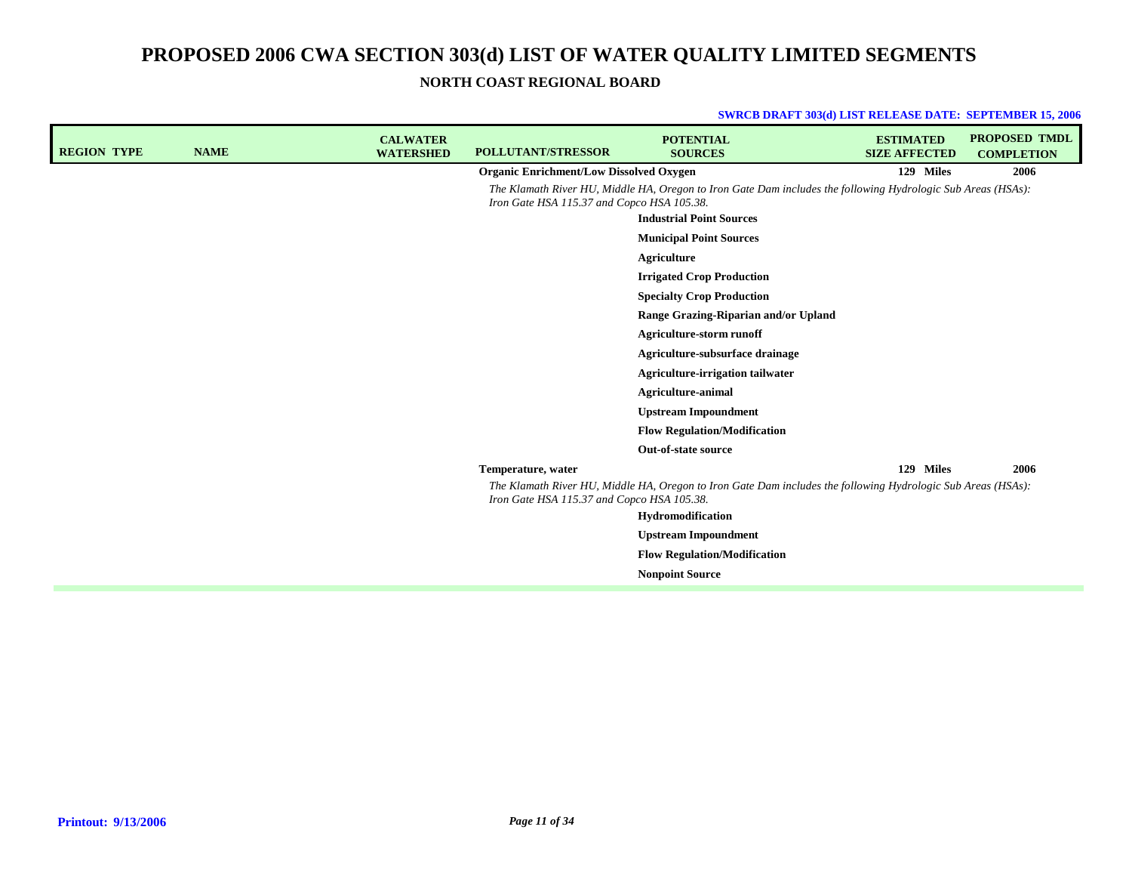**NORTH COAST REGIONAL BOARD**

| <b>REGION TYPE</b> | <b>NAME</b> | <b>CALWATER</b><br><b>WATERSHED</b> | <b>POLLUTANT/STRESSOR</b>                      | <b>POTENTIAL</b><br><b>SOURCES</b>                                                                           | <b>ESTIMATED</b><br><b>SIZE AFFECTED</b> | <b>PROPOSED TMDL</b><br><b>COMPLETION</b> |
|--------------------|-------------|-------------------------------------|------------------------------------------------|--------------------------------------------------------------------------------------------------------------|------------------------------------------|-------------------------------------------|
|                    |             |                                     | <b>Organic Enrichment/Low Dissolved Oxygen</b> |                                                                                                              | 129 Miles                                | 2006                                      |
|                    |             |                                     | Iron Gate HSA 115.37 and Copco HSA 105.38.     | The Klamath River HU, Middle HA, Oregon to Iron Gate Dam includes the following Hydrologic Sub Areas (HSAs): |                                          |                                           |
|                    |             |                                     |                                                | <b>Industrial Point Sources</b>                                                                              |                                          |                                           |
|                    |             |                                     |                                                | <b>Municipal Point Sources</b>                                                                               |                                          |                                           |
|                    |             |                                     |                                                | Agriculture                                                                                                  |                                          |                                           |
|                    |             |                                     |                                                | <b>Irrigated Crop Production</b>                                                                             |                                          |                                           |
|                    |             |                                     |                                                | <b>Specialty Crop Production</b>                                                                             |                                          |                                           |
|                    |             |                                     |                                                | Range Grazing-Riparian and/or Upland                                                                         |                                          |                                           |
|                    |             |                                     |                                                | Agriculture-storm runoff                                                                                     |                                          |                                           |
|                    |             |                                     |                                                | Agriculture-subsurface drainage                                                                              |                                          |                                           |
|                    |             |                                     |                                                | <b>Agriculture-irrigation tailwater</b>                                                                      |                                          |                                           |
|                    |             |                                     |                                                | <b>Agriculture-animal</b>                                                                                    |                                          |                                           |
|                    |             |                                     |                                                | <b>Upstream Impoundment</b>                                                                                  |                                          |                                           |
|                    |             |                                     |                                                | <b>Flow Regulation/Modification</b>                                                                          |                                          |                                           |
|                    |             |                                     |                                                | Out-of-state source                                                                                          |                                          |                                           |
|                    |             |                                     | Temperature, water                             |                                                                                                              | 129 Miles                                | 2006                                      |
|                    |             |                                     | Iron Gate HSA 115.37 and Copco HSA 105.38.     | The Klamath River HU, Middle HA, Oregon to Iron Gate Dam includes the following Hydrologic Sub Areas (HSAs): |                                          |                                           |
|                    |             |                                     |                                                | Hydromodification                                                                                            |                                          |                                           |
|                    |             |                                     |                                                | <b>Upstream Impoundment</b>                                                                                  |                                          |                                           |
|                    |             |                                     |                                                | <b>Flow Regulation/Modification</b>                                                                          |                                          |                                           |
|                    |             |                                     |                                                | <b>Nonpoint Source</b>                                                                                       |                                          |                                           |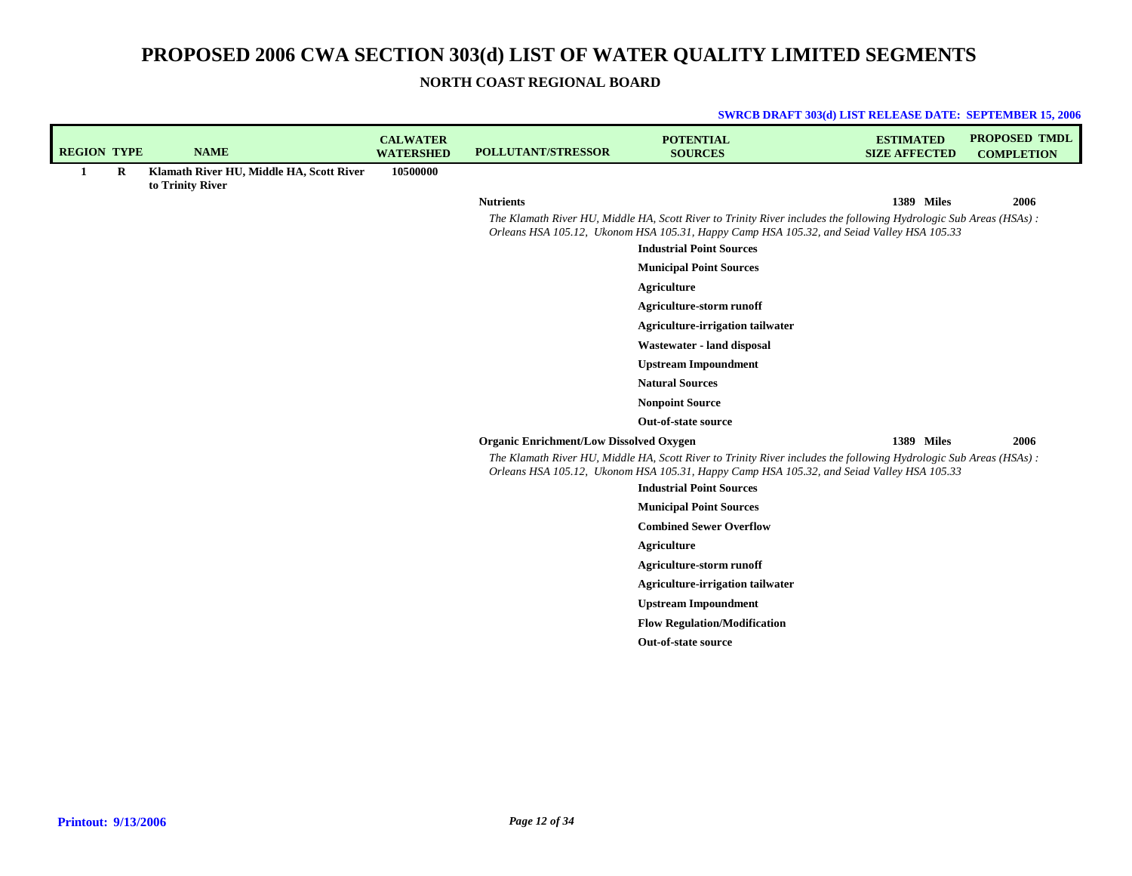**SWRCB DRAFT 303(d) LIST RELEASE DATE: SEPTEMBER 15, 2006**

**NORTH COAST REGIONAL BOARD**

| <b>REGION TYPE</b> |         | <b>NAME</b>                                                  | <b>CALWATER</b><br><b>WATERSHED</b> | <b>POLLUTANT/STRESSOR</b>                      | <b>POTENTIAL</b><br><b>SOURCES</b>                                                                                                                                                                                                                | <b>ESTIMATED</b><br><b>SIZE AFFECTED</b> | <b>PROPOSED TMDL</b><br><b>COMPLETION</b> |
|--------------------|---------|--------------------------------------------------------------|-------------------------------------|------------------------------------------------|---------------------------------------------------------------------------------------------------------------------------------------------------------------------------------------------------------------------------------------------------|------------------------------------------|-------------------------------------------|
| 1                  | $\bf R$ | Klamath River HU, Middle HA, Scott River<br>to Trinity River | 10500000                            |                                                |                                                                                                                                                                                                                                                   |                                          |                                           |
|                    |         |                                                              |                                     | <b>Nutrients</b>                               |                                                                                                                                                                                                                                                   | 1389 Miles                               | 2006                                      |
|                    |         |                                                              |                                     |                                                | The Klamath River HU, Middle HA, Scott River to Trinity River includes the following Hydrologic Sub Areas (HSAs):<br>Orleans HSA 105.12, Ukonom HSA 105.31, Happy Camp HSA 105.32, and Seiad Valley HSA 105.33<br><b>Industrial Point Sources</b> |                                          |                                           |
|                    |         |                                                              |                                     |                                                | <b>Municipal Point Sources</b>                                                                                                                                                                                                                    |                                          |                                           |
|                    |         |                                                              |                                     |                                                | <b>Agriculture</b>                                                                                                                                                                                                                                |                                          |                                           |
|                    |         |                                                              |                                     |                                                | <b>Agriculture-storm runoff</b>                                                                                                                                                                                                                   |                                          |                                           |
|                    |         |                                                              |                                     |                                                | <b>Agriculture-irrigation tailwater</b>                                                                                                                                                                                                           |                                          |                                           |
|                    |         |                                                              |                                     |                                                | Wastewater - land disposal                                                                                                                                                                                                                        |                                          |                                           |
|                    |         |                                                              |                                     |                                                | <b>Upstream Impoundment</b>                                                                                                                                                                                                                       |                                          |                                           |
|                    |         |                                                              |                                     |                                                | <b>Natural Sources</b>                                                                                                                                                                                                                            |                                          |                                           |
|                    |         |                                                              |                                     |                                                | <b>Nonpoint Source</b>                                                                                                                                                                                                                            |                                          |                                           |
|                    |         |                                                              |                                     |                                                | Out-of-state source                                                                                                                                                                                                                               |                                          |                                           |
|                    |         |                                                              |                                     | <b>Organic Enrichment/Low Dissolved Oxygen</b> |                                                                                                                                                                                                                                                   | 1389 Miles                               | 2006                                      |
|                    |         |                                                              |                                     |                                                | The Klamath River HU, Middle HA, Scott River to Trinity River includes the following Hydrologic Sub Areas (HSAs):<br>Orleans HSA 105.12, Ukonom HSA 105.31, Happy Camp HSA 105.32, and Seiad Valley HSA 105.33                                    |                                          |                                           |
|                    |         |                                                              |                                     |                                                | <b>Industrial Point Sources</b>                                                                                                                                                                                                                   |                                          |                                           |
|                    |         |                                                              |                                     |                                                | <b>Municipal Point Sources</b>                                                                                                                                                                                                                    |                                          |                                           |
|                    |         |                                                              |                                     |                                                | <b>Combined Sewer Overflow</b>                                                                                                                                                                                                                    |                                          |                                           |
|                    |         |                                                              |                                     |                                                | <b>Agriculture</b>                                                                                                                                                                                                                                |                                          |                                           |
|                    |         |                                                              |                                     |                                                | <b>Agriculture-storm runoff</b>                                                                                                                                                                                                                   |                                          |                                           |
|                    |         |                                                              |                                     |                                                | <b>Agriculture-irrigation tailwater</b>                                                                                                                                                                                                           |                                          |                                           |
|                    |         |                                                              |                                     |                                                | <b>Upstream Impoundment</b>                                                                                                                                                                                                                       |                                          |                                           |
|                    |         |                                                              |                                     |                                                | <b>Flow Regulation/Modification</b><br>Out-of-state source                                                                                                                                                                                        |                                          |                                           |
|                    |         |                                                              |                                     |                                                |                                                                                                                                                                                                                                                   |                                          |                                           |
|                    |         |                                                              |                                     |                                                |                                                                                                                                                                                                                                                   |                                          |                                           |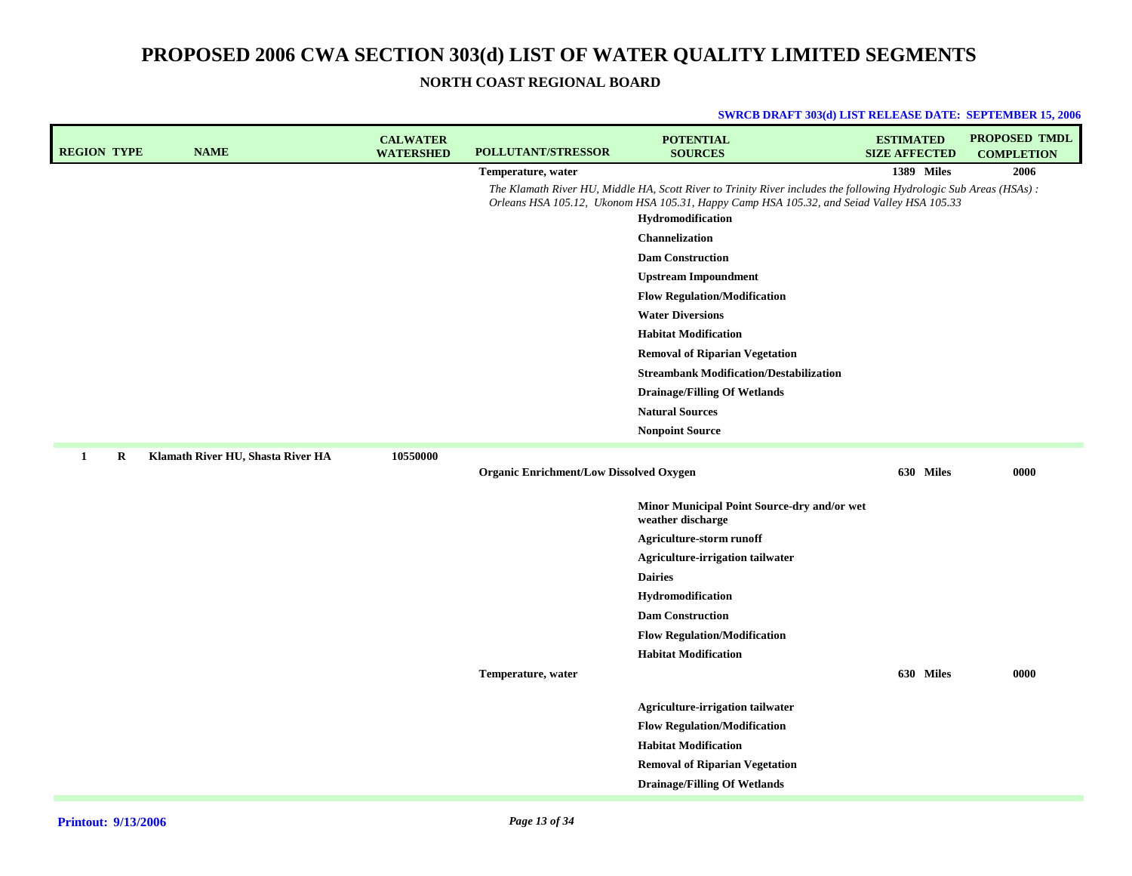## **NORTH COAST REGIONAL BOARD**

| <b>REGION TYPE</b> | <b>NAME</b>                       | <b>CALWATER</b><br><b>WATERSHED</b> | POLLUTANT/STRESSOR                             | <b>POTENTIAL</b><br><b>SOURCES</b>                                                                                                                                                                                                  | <b>ESTIMATED</b><br><b>SIZE AFFECTED</b> | PROPOSED TMDL<br><b>COMPLETION</b> |
|--------------------|-----------------------------------|-------------------------------------|------------------------------------------------|-------------------------------------------------------------------------------------------------------------------------------------------------------------------------------------------------------------------------------------|------------------------------------------|------------------------------------|
|                    |                                   |                                     | Temperature, water                             |                                                                                                                                                                                                                                     | 1389 Miles                               | 2006                               |
|                    |                                   |                                     |                                                | The Klamath River HU, Middle HA, Scott River to Trinity River includes the following Hydrologic Sub Areas (HSAs):<br>Orleans HSA 105.12, Ukonom HSA 105.31, Happy Camp HSA 105.32, and Seiad Valley HSA 105.33<br>Hydromodification |                                          |                                    |
|                    |                                   |                                     |                                                | Channelization                                                                                                                                                                                                                      |                                          |                                    |
|                    |                                   |                                     |                                                | <b>Dam Construction</b>                                                                                                                                                                                                             |                                          |                                    |
|                    |                                   |                                     |                                                | <b>Upstream Impoundment</b>                                                                                                                                                                                                         |                                          |                                    |
|                    |                                   |                                     |                                                | <b>Flow Regulation/Modification</b>                                                                                                                                                                                                 |                                          |                                    |
|                    |                                   |                                     |                                                | <b>Water Diversions</b>                                                                                                                                                                                                             |                                          |                                    |
|                    |                                   |                                     |                                                | <b>Habitat Modification</b>                                                                                                                                                                                                         |                                          |                                    |
|                    |                                   |                                     |                                                | <b>Removal of Riparian Vegetation</b>                                                                                                                                                                                               |                                          |                                    |
|                    |                                   |                                     |                                                | <b>Streambank Modification/Destabilization</b>                                                                                                                                                                                      |                                          |                                    |
|                    |                                   |                                     |                                                | <b>Drainage/Filling Of Wetlands</b>                                                                                                                                                                                                 |                                          |                                    |
|                    |                                   |                                     |                                                | <b>Natural Sources</b>                                                                                                                                                                                                              |                                          |                                    |
|                    |                                   |                                     |                                                | <b>Nonpoint Source</b>                                                                                                                                                                                                              |                                          |                                    |
| 1<br>R             | Klamath River HU, Shasta River HA | 10550000                            |                                                |                                                                                                                                                                                                                                     |                                          |                                    |
|                    |                                   |                                     | <b>Organic Enrichment/Low Dissolved Oxygen</b> |                                                                                                                                                                                                                                     | 630 Miles                                | 0000                               |
|                    |                                   |                                     |                                                | Minor Municipal Point Source-dry and/or wet<br>weather discharge                                                                                                                                                                    |                                          |                                    |
|                    |                                   |                                     |                                                | <b>Agriculture-storm runoff</b>                                                                                                                                                                                                     |                                          |                                    |
|                    |                                   |                                     |                                                | Agriculture-irrigation tailwater                                                                                                                                                                                                    |                                          |                                    |
|                    |                                   |                                     |                                                | <b>Dairies</b>                                                                                                                                                                                                                      |                                          |                                    |
|                    |                                   |                                     |                                                | <b>Hydromodification</b>                                                                                                                                                                                                            |                                          |                                    |
|                    |                                   |                                     |                                                | <b>Dam Construction</b>                                                                                                                                                                                                             |                                          |                                    |
|                    |                                   |                                     |                                                | <b>Flow Regulation/Modification</b>                                                                                                                                                                                                 |                                          |                                    |
|                    |                                   |                                     |                                                | <b>Habitat Modification</b>                                                                                                                                                                                                         |                                          |                                    |
|                    |                                   |                                     | Temperature, water                             |                                                                                                                                                                                                                                     | 630 Miles                                | 0000                               |
|                    |                                   |                                     |                                                | Agriculture-irrigation tailwater                                                                                                                                                                                                    |                                          |                                    |
|                    |                                   |                                     |                                                | <b>Flow Regulation/Modification</b>                                                                                                                                                                                                 |                                          |                                    |
|                    |                                   |                                     |                                                | <b>Habitat Modification</b>                                                                                                                                                                                                         |                                          |                                    |
|                    |                                   |                                     |                                                | <b>Removal of Riparian Vegetation</b>                                                                                                                                                                                               |                                          |                                    |
|                    |                                   |                                     |                                                | <b>Drainage/Filling Of Wetlands</b>                                                                                                                                                                                                 |                                          |                                    |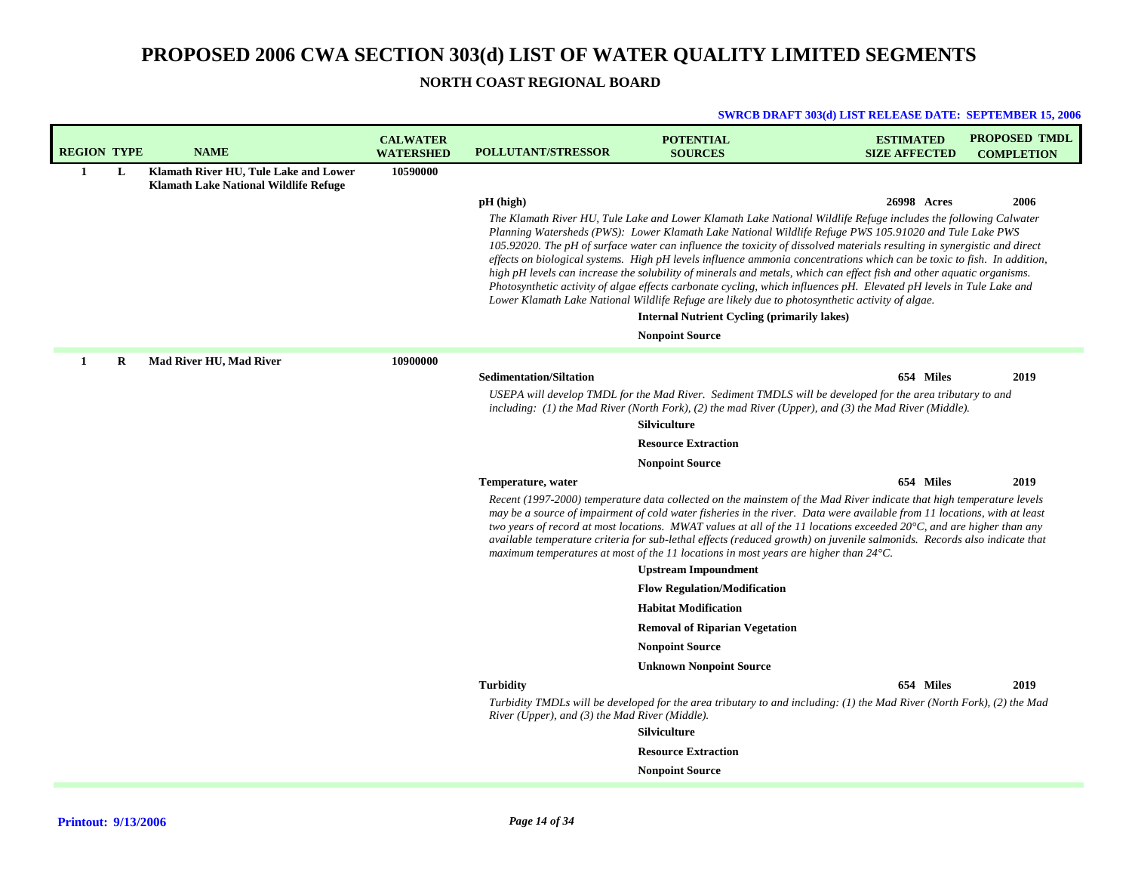**NORTH COAST REGIONAL BOARD**

| <b>REGION TYPE</b> |   | <b>NAME</b>                                                                           | <b>CALWATER</b><br><b>WATERSHED</b> | <b>POLLUTANT/STRESSOR</b>                                            | <b>POTENTIAL</b><br><b>SOURCES</b>                                                                                                                                                                                                                                                                                                                                                                                                                                                                                                                                                                                                                                                                                                                                                                                                                                                         | <b>ESTIMATED</b><br><b>SIZE AFFECTED</b> | <b>PROPOSED TMDL</b><br><b>COMPLETION</b> |
|--------------------|---|---------------------------------------------------------------------------------------|-------------------------------------|----------------------------------------------------------------------|--------------------------------------------------------------------------------------------------------------------------------------------------------------------------------------------------------------------------------------------------------------------------------------------------------------------------------------------------------------------------------------------------------------------------------------------------------------------------------------------------------------------------------------------------------------------------------------------------------------------------------------------------------------------------------------------------------------------------------------------------------------------------------------------------------------------------------------------------------------------------------------------|------------------------------------------|-------------------------------------------|
| 1                  | L | Klamath River HU, Tule Lake and Lower<br><b>Klamath Lake National Wildlife Refuge</b> | 10590000                            |                                                                      |                                                                                                                                                                                                                                                                                                                                                                                                                                                                                                                                                                                                                                                                                                                                                                                                                                                                                            |                                          |                                           |
|                    |   |                                                                                       |                                     | $pH$ (high)                                                          |                                                                                                                                                                                                                                                                                                                                                                                                                                                                                                                                                                                                                                                                                                                                                                                                                                                                                            | 26998 Acres                              | 2006                                      |
|                    |   |                                                                                       |                                     |                                                                      | The Klamath River HU, Tule Lake and Lower Klamath Lake National Wildlife Refuge includes the following Calwater<br>Planning Watersheds (PWS): Lower Klamath Lake National Wildlife Refuge PWS 105.91020 and Tule Lake PWS<br>105.92020. The pH of surface water can influence the toxicity of dissolved materials resulting in synergistic and direct<br>effects on biological systems. High pH levels influence ammonia concentrations which can be toxic to fish. In addition,<br>high pH levels can increase the solubility of minerals and metals, which can effect fish and other aquatic organisms.<br>Photosynthetic activity of algae effects carbonate cycling, which influences pH. Elevated pH levels in Tule Lake and<br>Lower Klamath Lake National Wildlife Refuge are likely due to photosynthetic activity of algae.<br><b>Internal Nutrient Cycling (primarily lakes)</b> |                                          |                                           |
|                    |   |                                                                                       |                                     |                                                                      | <b>Nonpoint Source</b>                                                                                                                                                                                                                                                                                                                                                                                                                                                                                                                                                                                                                                                                                                                                                                                                                                                                     |                                          |                                           |
| 1                  | R | Mad River HU, Mad River                                                               | 10900000                            |                                                                      |                                                                                                                                                                                                                                                                                                                                                                                                                                                                                                                                                                                                                                                                                                                                                                                                                                                                                            |                                          |                                           |
|                    |   |                                                                                       |                                     | <b>Sedimentation/Siltation</b>                                       |                                                                                                                                                                                                                                                                                                                                                                                                                                                                                                                                                                                                                                                                                                                                                                                                                                                                                            | 654 Miles                                | 2019                                      |
|                    |   |                                                                                       |                                     |                                                                      | USEPA will develop TMDL for the Mad River. Sediment TMDLS will be developed for the area tributary to and<br>including: (1) the Mad River (North Fork), (2) the mad River (Upper), and (3) the Mad River (Middle).<br><b>Silviculture</b>                                                                                                                                                                                                                                                                                                                                                                                                                                                                                                                                                                                                                                                  |                                          |                                           |
|                    |   |                                                                                       |                                     |                                                                      | <b>Resource Extraction</b>                                                                                                                                                                                                                                                                                                                                                                                                                                                                                                                                                                                                                                                                                                                                                                                                                                                                 |                                          |                                           |
|                    |   |                                                                                       |                                     |                                                                      | <b>Nonpoint Source</b>                                                                                                                                                                                                                                                                                                                                                                                                                                                                                                                                                                                                                                                                                                                                                                                                                                                                     |                                          |                                           |
|                    |   |                                                                                       |                                     | Temperature, water                                                   |                                                                                                                                                                                                                                                                                                                                                                                                                                                                                                                                                                                                                                                                                                                                                                                                                                                                                            | 654 Miles                                | 2019                                      |
|                    |   |                                                                                       |                                     |                                                                      | Recent (1997-2000) temperature data collected on the mainstem of the Mad River indicate that high temperature levels<br>may be a source of impairment of cold water fisheries in the river. Data were available from 11 locations, with at least<br>two years of record at most locations. MWAT values at all of the 11 locations exceeded $20^{\circ}$ C, and are higher than any<br>available temperature criteria for sub-lethal effects (reduced growth) on juvenile salmonids. Records also indicate that<br>maximum temperatures at most of the 11 locations in most years are higher than $24^{\circ}$ C.                                                                                                                                                                                                                                                                           |                                          |                                           |
|                    |   |                                                                                       |                                     |                                                                      | <b>Upstream Impoundment</b>                                                                                                                                                                                                                                                                                                                                                                                                                                                                                                                                                                                                                                                                                                                                                                                                                                                                |                                          |                                           |
|                    |   |                                                                                       |                                     |                                                                      | <b>Flow Regulation/Modification</b>                                                                                                                                                                                                                                                                                                                                                                                                                                                                                                                                                                                                                                                                                                                                                                                                                                                        |                                          |                                           |
|                    |   |                                                                                       |                                     |                                                                      | <b>Habitat Modification</b>                                                                                                                                                                                                                                                                                                                                                                                                                                                                                                                                                                                                                                                                                                                                                                                                                                                                |                                          |                                           |
|                    |   |                                                                                       |                                     |                                                                      | <b>Removal of Riparian Vegetation</b>                                                                                                                                                                                                                                                                                                                                                                                                                                                                                                                                                                                                                                                                                                                                                                                                                                                      |                                          |                                           |
|                    |   |                                                                                       |                                     |                                                                      | <b>Nonpoint Source</b>                                                                                                                                                                                                                                                                                                                                                                                                                                                                                                                                                                                                                                                                                                                                                                                                                                                                     |                                          |                                           |
|                    |   |                                                                                       |                                     |                                                                      | <b>Unknown Nonpoint Source</b>                                                                                                                                                                                                                                                                                                                                                                                                                                                                                                                                                                                                                                                                                                                                                                                                                                                             |                                          |                                           |
|                    |   |                                                                                       |                                     | <b>Turbidity</b><br>River (Upper), and $(3)$ the Mad River (Middle). | Turbidity TMDLs will be developed for the area tributary to and including: (1) the Mad River (North Fork), (2) the Mad<br><b>Silviculture</b>                                                                                                                                                                                                                                                                                                                                                                                                                                                                                                                                                                                                                                                                                                                                              | 654 Miles                                | 2019                                      |
|                    |   |                                                                                       |                                     |                                                                      | <b>Resource Extraction</b>                                                                                                                                                                                                                                                                                                                                                                                                                                                                                                                                                                                                                                                                                                                                                                                                                                                                 |                                          |                                           |
|                    |   |                                                                                       |                                     |                                                                      | <b>Nonpoint Source</b>                                                                                                                                                                                                                                                                                                                                                                                                                                                                                                                                                                                                                                                                                                                                                                                                                                                                     |                                          |                                           |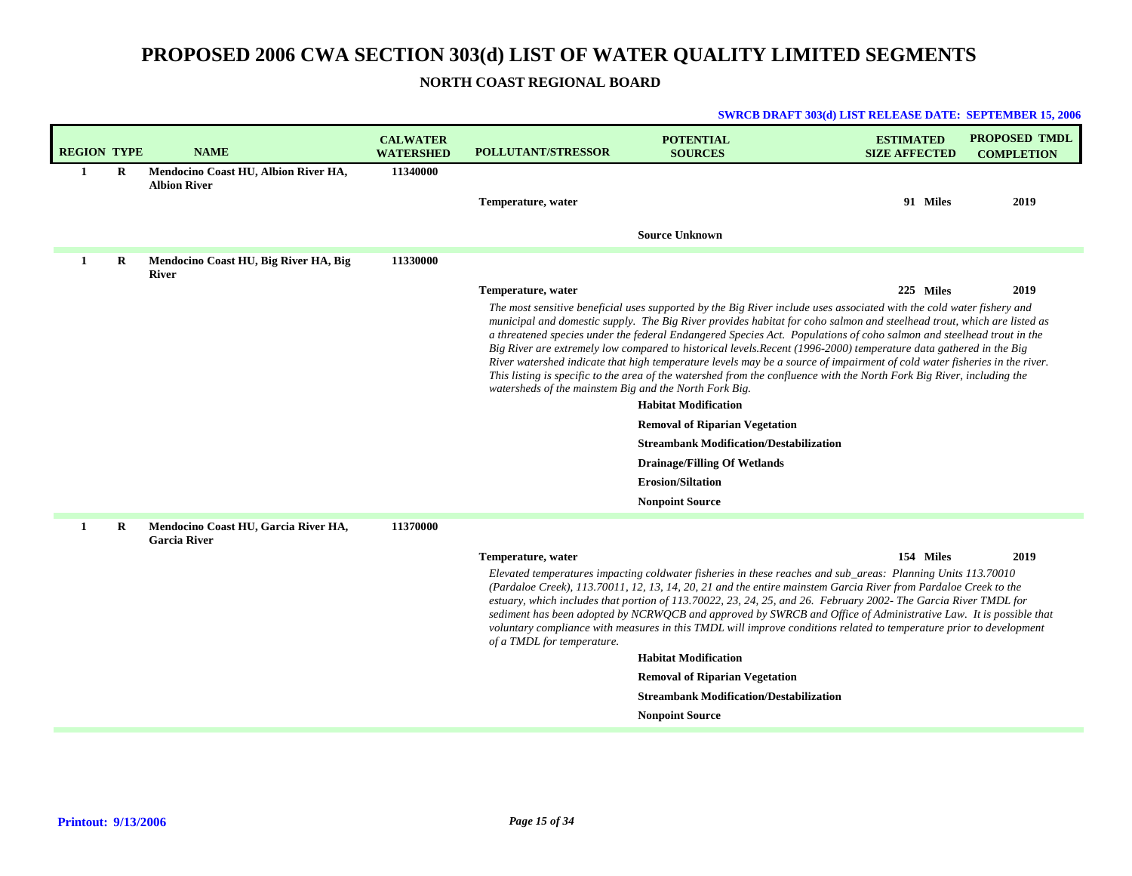**NORTH COAST REGIONAL BOARD**

| <b>REGION TYPE</b> |          | <b>NAME</b>                                                 | <b>CALWATER</b><br><b>WATERSHED</b> | <b>POLLUTANT/STRESSOR</b>                              | <b>POTENTIAL</b><br><b>SOURCES</b>                                                                                                                                                                                                                                                                                                                                                                                                                                                                                                                                                                                                                                                                                                                                                                                                                                                                                                                                          | <b>ESTIMATED</b><br><b>SIZE AFFECTED</b> | <b>PROPOSED TMDL</b><br><b>COMPLETION</b> |
|--------------------|----------|-------------------------------------------------------------|-------------------------------------|--------------------------------------------------------|-----------------------------------------------------------------------------------------------------------------------------------------------------------------------------------------------------------------------------------------------------------------------------------------------------------------------------------------------------------------------------------------------------------------------------------------------------------------------------------------------------------------------------------------------------------------------------------------------------------------------------------------------------------------------------------------------------------------------------------------------------------------------------------------------------------------------------------------------------------------------------------------------------------------------------------------------------------------------------|------------------------------------------|-------------------------------------------|
| 1                  | $\bf{R}$ | Mendocino Coast HU, Albion River HA,<br><b>Albion River</b> | 11340000                            | Temperature, water                                     |                                                                                                                                                                                                                                                                                                                                                                                                                                                                                                                                                                                                                                                                                                                                                                                                                                                                                                                                                                             | 91 Miles                                 | 2019                                      |
|                    |          |                                                             |                                     |                                                        | <b>Source Unknown</b>                                                                                                                                                                                                                                                                                                                                                                                                                                                                                                                                                                                                                                                                                                                                                                                                                                                                                                                                                       |                                          |                                           |
| 1                  | R        | Mendocino Coast HU, Big River HA, Big<br><b>River</b>       | 11330000                            |                                                        |                                                                                                                                                                                                                                                                                                                                                                                                                                                                                                                                                                                                                                                                                                                                                                                                                                                                                                                                                                             |                                          |                                           |
|                    |          |                                                             |                                     | Temperature, water                                     |                                                                                                                                                                                                                                                                                                                                                                                                                                                                                                                                                                                                                                                                                                                                                                                                                                                                                                                                                                             | 225 Miles                                | 2019                                      |
|                    |          |                                                             |                                     | watersheds of the mainstem Big and the North Fork Big. | The most sensitive beneficial uses supported by the Big River include uses associated with the cold water fishery and<br>municipal and domestic supply. The Big River provides habitat for coho salmon and steelhead trout, which are listed as<br>a threatened species under the federal Endangered Species Act. Populations of coho salmon and steelhead trout in the<br>Big River are extremely low compared to historical levels. Recent (1996-2000) temperature data gathered in the Big<br>River watershed indicate that high temperature levels may be a source of impairment of cold water fisheries in the river.<br>This listing is specific to the area of the watershed from the confluence with the North Fork Big River, including the<br><b>Habitat Modification</b><br><b>Removal of Riparian Vegetation</b><br><b>Streambank Modification/Destabilization</b><br><b>Drainage/Filling Of Wetlands</b><br><b>Erosion/Siltation</b><br><b>Nonpoint Source</b> |                                          |                                           |
| 1                  | R        | Mendocino Coast HU, Garcia River HA,<br><b>Garcia River</b> | 11370000                            |                                                        |                                                                                                                                                                                                                                                                                                                                                                                                                                                                                                                                                                                                                                                                                                                                                                                                                                                                                                                                                                             |                                          |                                           |
|                    |          |                                                             |                                     | Temperature, water                                     |                                                                                                                                                                                                                                                                                                                                                                                                                                                                                                                                                                                                                                                                                                                                                                                                                                                                                                                                                                             | 154 Miles                                | 2019                                      |
|                    |          |                                                             |                                     | of a TMDL for temperature.                             | Elevated temperatures impacting coldwater fisheries in these reaches and sub_areas: Planning Units 113.70010<br>(Pardaloe Creek), 113.70011, 12, 13, 14, 20, 21 and the entire mainstem Garcia River from Pardaloe Creek to the<br>estuary, which includes that portion of 113.70022, 23, 24, 25, and 26. February 2002- The Garcia River TMDL for<br>sediment has been adopted by NCRWQCB and approved by SWRCB and Office of Administrative Law. It is possible that<br>voluntary compliance with measures in this TMDL will improve conditions related to temperature prior to development                                                                                                                                                                                                                                                                                                                                                                               |                                          |                                           |
|                    |          |                                                             |                                     |                                                        | <b>Habitat Modification</b>                                                                                                                                                                                                                                                                                                                                                                                                                                                                                                                                                                                                                                                                                                                                                                                                                                                                                                                                                 |                                          |                                           |
|                    |          |                                                             |                                     |                                                        | <b>Removal of Riparian Vegetation</b>                                                                                                                                                                                                                                                                                                                                                                                                                                                                                                                                                                                                                                                                                                                                                                                                                                                                                                                                       |                                          |                                           |
|                    |          |                                                             |                                     |                                                        | <b>Streambank Modification/Destabilization</b>                                                                                                                                                                                                                                                                                                                                                                                                                                                                                                                                                                                                                                                                                                                                                                                                                                                                                                                              |                                          |                                           |
|                    |          |                                                             |                                     |                                                        | <b>Nonpoint Source</b>                                                                                                                                                                                                                                                                                                                                                                                                                                                                                                                                                                                                                                                                                                                                                                                                                                                                                                                                                      |                                          |                                           |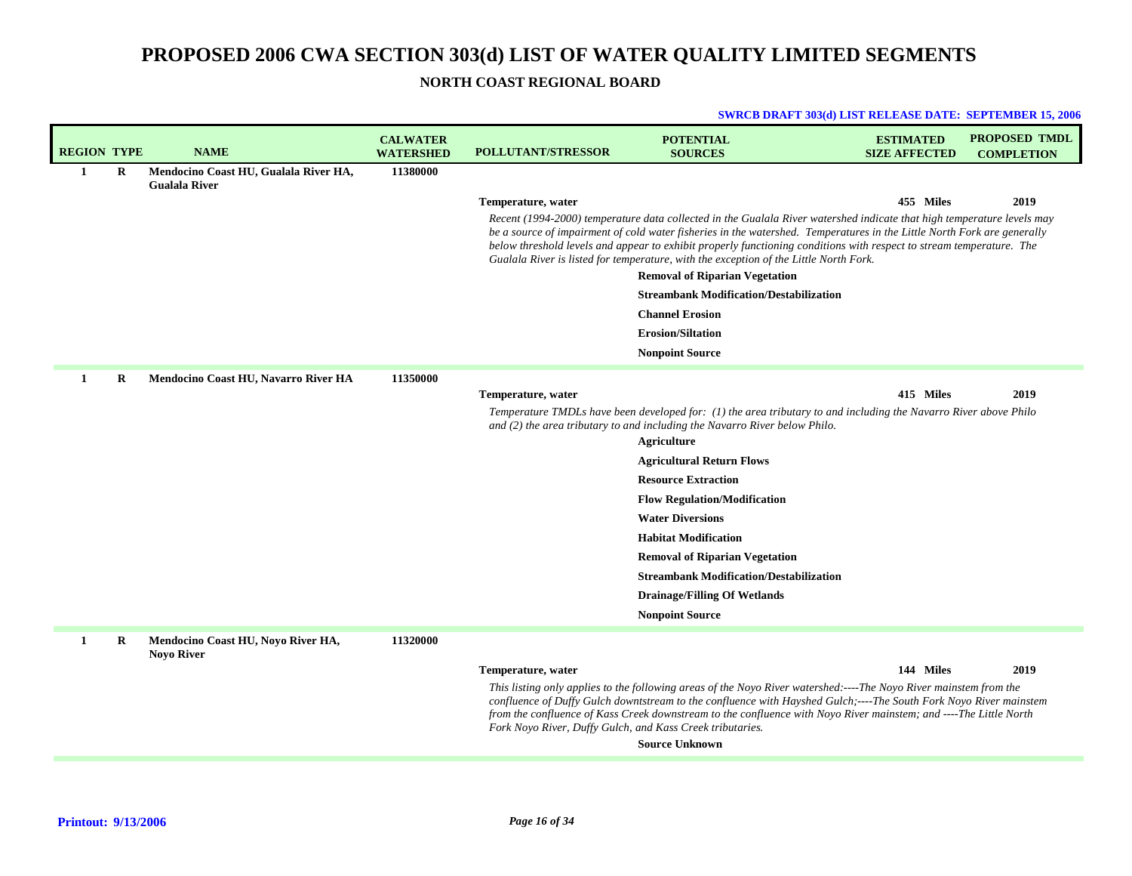## **NORTH COAST REGIONAL BOARD**

|                    |             |                                                               |                                     |                           | <b>SWRCB DRAFT 303(d) LIST RELEASE DATE: SEPTEMBER 15, 2006</b>                                                                                                                                                                                                                                                                                                                                                                                                    |                                          |                                    |
|--------------------|-------------|---------------------------------------------------------------|-------------------------------------|---------------------------|--------------------------------------------------------------------------------------------------------------------------------------------------------------------------------------------------------------------------------------------------------------------------------------------------------------------------------------------------------------------------------------------------------------------------------------------------------------------|------------------------------------------|------------------------------------|
| <b>REGION TYPE</b> |             | <b>NAME</b>                                                   | <b>CALWATER</b><br><b>WATERSHED</b> | <b>POLLUTANT/STRESSOR</b> | <b>POTENTIAL</b><br><b>SOURCES</b>                                                                                                                                                                                                                                                                                                                                                                                                                                 | <b>ESTIMATED</b><br><b>SIZE AFFECTED</b> | PROPOSED TMDL<br><b>COMPLETION</b> |
| $\mathbf{1}$       | $\mathbf R$ | Mendocino Coast HU, Gualala River HA,<br><b>Gualala River</b> | 11380000                            |                           |                                                                                                                                                                                                                                                                                                                                                                                                                                                                    |                                          |                                    |
|                    |             |                                                               |                                     | Temperature, water        |                                                                                                                                                                                                                                                                                                                                                                                                                                                                    | 455 Miles                                | 2019                               |
|                    |             |                                                               |                                     |                           | Recent (1994-2000) temperature data collected in the Gualala River watershed indicate that high temperature levels may<br>be a source of impairment of cold water fisheries in the watershed. Temperatures in the Little North Fork are generally<br>below threshold levels and appear to exhibit properly functioning conditions with respect to stream temperature. The<br>Gualala River is listed for temperature, with the exception of the Little North Fork. |                                          |                                    |
|                    |             |                                                               |                                     |                           | <b>Removal of Riparian Vegetation</b>                                                                                                                                                                                                                                                                                                                                                                                                                              |                                          |                                    |
|                    |             |                                                               |                                     |                           | <b>Streambank Modification/Destabilization</b>                                                                                                                                                                                                                                                                                                                                                                                                                     |                                          |                                    |
|                    |             |                                                               |                                     |                           | <b>Channel Erosion</b>                                                                                                                                                                                                                                                                                                                                                                                                                                             |                                          |                                    |
|                    |             |                                                               |                                     |                           | <b>Erosion/Siltation</b>                                                                                                                                                                                                                                                                                                                                                                                                                                           |                                          |                                    |
|                    |             |                                                               |                                     |                           | <b>Nonpoint Source</b>                                                                                                                                                                                                                                                                                                                                                                                                                                             |                                          |                                    |
| 1                  | R           | Mendocino Coast HU, Navarro River HA                          | 11350000                            |                           |                                                                                                                                                                                                                                                                                                                                                                                                                                                                    |                                          |                                    |
|                    |             |                                                               |                                     | Temperature, water        |                                                                                                                                                                                                                                                                                                                                                                                                                                                                    | 415 Miles                                | 2019                               |
|                    |             |                                                               |                                     |                           | Temperature TMDLs have been developed for: (1) the area tributary to and including the Navarro River above Philo<br>and (2) the area tributary to and including the Navarro River below Philo.                                                                                                                                                                                                                                                                     |                                          |                                    |
|                    |             |                                                               |                                     |                           | <b>Agriculture</b>                                                                                                                                                                                                                                                                                                                                                                                                                                                 |                                          |                                    |
|                    |             |                                                               |                                     |                           | <b>Agricultural Return Flows</b>                                                                                                                                                                                                                                                                                                                                                                                                                                   |                                          |                                    |
|                    |             |                                                               |                                     |                           | <b>Resource Extraction</b>                                                                                                                                                                                                                                                                                                                                                                                                                                         |                                          |                                    |
|                    |             |                                                               |                                     |                           | <b>Flow Regulation/Modification</b>                                                                                                                                                                                                                                                                                                                                                                                                                                |                                          |                                    |
|                    |             |                                                               |                                     |                           | <b>Water Diversions</b>                                                                                                                                                                                                                                                                                                                                                                                                                                            |                                          |                                    |
|                    |             |                                                               |                                     |                           | <b>Habitat Modification</b>                                                                                                                                                                                                                                                                                                                                                                                                                                        |                                          |                                    |
|                    |             |                                                               |                                     |                           | <b>Removal of Riparian Vegetation</b>                                                                                                                                                                                                                                                                                                                                                                                                                              |                                          |                                    |
|                    |             |                                                               |                                     |                           | <b>Streambank Modification/Destabilization</b>                                                                                                                                                                                                                                                                                                                                                                                                                     |                                          |                                    |
|                    |             |                                                               |                                     |                           | <b>Drainage/Filling Of Wetlands</b>                                                                                                                                                                                                                                                                                                                                                                                                                                |                                          |                                    |
|                    |             |                                                               |                                     |                           | <b>Nonpoint Source</b>                                                                                                                                                                                                                                                                                                                                                                                                                                             |                                          |                                    |
| 1                  | $\bf R$     | Mendocino Coast HU, Noyo River HA,<br><b>Noyo River</b>       | 11320000                            |                           |                                                                                                                                                                                                                                                                                                                                                                                                                                                                    |                                          |                                    |
|                    |             |                                                               |                                     | Temperature, water        |                                                                                                                                                                                                                                                                                                                                                                                                                                                                    | 144 Miles                                | 2019                               |
|                    |             |                                                               |                                     |                           | This listing only applies to the following areas of the Noyo River watershed:----The Noyo River mainstem from the<br>confluence of Duffy Gulch downtstream to the confluence with Hayshed Gulch;----The South Fork Noyo River mainstem<br>from the confluence of Kass Creek downstream to the confluence with Noyo River mainstem; and ----The Little North<br>Fork Noyo River, Duffy Gulch, and Kass Creek tributaries.                                           |                                          |                                    |
|                    |             |                                                               |                                     |                           | <b>Source Unknown</b>                                                                                                                                                                                                                                                                                                                                                                                                                                              |                                          |                                    |
|                    |             |                                                               |                                     |                           |                                                                                                                                                                                                                                                                                                                                                                                                                                                                    |                                          |                                    |

## **Printout: 9/13/2006**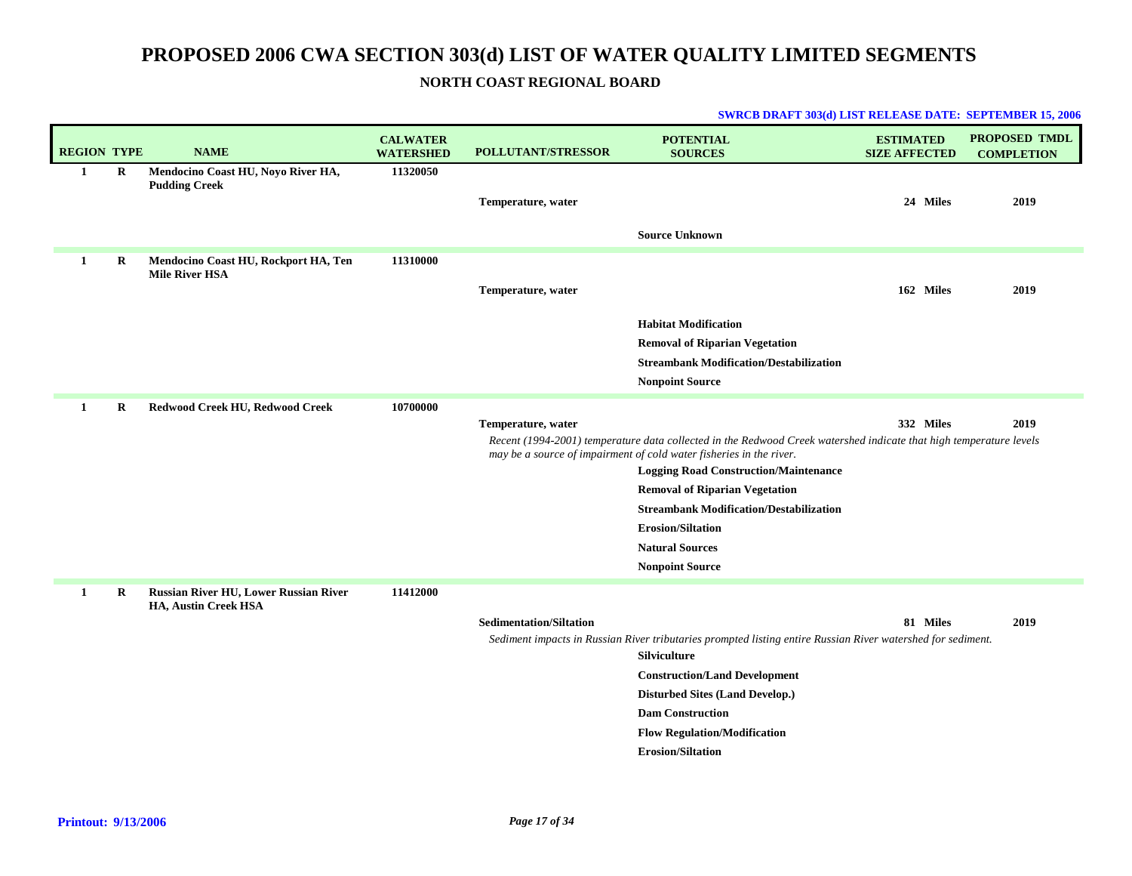## **NORTH COAST REGIONAL BOARD**

|                    |              |                                                               |                                     |                           | SWRCB DRAFT 303(d) LIST RELEASE DATE: SEPTEMBER 15, 200                                                                                                                                   |                                          |                                           |
|--------------------|--------------|---------------------------------------------------------------|-------------------------------------|---------------------------|-------------------------------------------------------------------------------------------------------------------------------------------------------------------------------------------|------------------------------------------|-------------------------------------------|
| <b>REGION TYPE</b> |              | <b>NAME</b>                                                   | <b>CALWATER</b><br><b>WATERSHED</b> | <b>POLLUTANT/STRESSOR</b> | <b>POTENTIAL</b><br><b>SOURCES</b>                                                                                                                                                        | <b>ESTIMATED</b><br><b>SIZE AFFECTED</b> | <b>PROPOSED TMDL</b><br><b>COMPLETION</b> |
| 1                  | R            | Mendocino Coast HU, Noyo River HA,<br><b>Pudding Creek</b>    | 11320050                            | Temperature, water        |                                                                                                                                                                                           | 24 Miles                                 | 2019                                      |
|                    |              |                                                               |                                     |                           | <b>Source Unknown</b>                                                                                                                                                                     |                                          |                                           |
|                    | R            | Mendocino Coast HU, Rockport HA, Ten<br><b>Mile River HSA</b> | 11310000                            |                           |                                                                                                                                                                                           |                                          |                                           |
|                    |              |                                                               |                                     | Temperature, water        |                                                                                                                                                                                           | 162 Miles                                | 2019                                      |
|                    |              |                                                               |                                     |                           | <b>Habitat Modification</b>                                                                                                                                                               |                                          |                                           |
|                    |              |                                                               |                                     |                           | <b>Removal of Riparian Vegetation</b>                                                                                                                                                     |                                          |                                           |
|                    |              |                                                               |                                     |                           | <b>Streambank Modification/Destabilization</b>                                                                                                                                            |                                          |                                           |
|                    |              |                                                               |                                     |                           | <b>Nonpoint Source</b>                                                                                                                                                                    |                                          |                                           |
| 1                  | $\bf R$      | Redwood Creek HU, Redwood Creek                               | 10700000                            |                           |                                                                                                                                                                                           |                                          |                                           |
|                    |              |                                                               |                                     | Temperature, water        |                                                                                                                                                                                           | 332 Miles                                | 2019                                      |
|                    |              |                                                               |                                     |                           | Recent (1994-2001) temperature data collected in the Redwood Creek watershed indicate that high temperature levels<br>may be a source of impairment of cold water fisheries in the river. |                                          |                                           |
|                    |              |                                                               |                                     |                           | <b>Logging Road Construction/Maintenance</b>                                                                                                                                              |                                          |                                           |
|                    |              |                                                               |                                     |                           | <b>Removal of Riparian Vegetation</b>                                                                                                                                                     |                                          |                                           |
|                    |              |                                                               |                                     |                           | <b>Streambank Modification/Destabilization</b>                                                                                                                                            |                                          |                                           |
|                    |              |                                                               |                                     |                           | <b>Erosion/Siltation</b>                                                                                                                                                                  |                                          |                                           |
|                    |              |                                                               |                                     |                           | <b>Natural Sources</b>                                                                                                                                                                    |                                          |                                           |
|                    |              |                                                               |                                     |                           | <b>Nonpoint Source</b>                                                                                                                                                                    |                                          |                                           |
|                    | $\mathbf{D}$ | <b>Ducaton Divon HHI Lowen Ducaton Divon</b>                  | 11412000                            |                           |                                                                                                                                                                                           |                                          |                                           |

#### **DRAFT 303(d) LIST RELEASE DATE: SEPTEMBER 15, 2006**

**Russian River HU, Lower Russian River 11412000 HA, Austin Creek HSA 1R**

#### **Sedimentation/Siltation**

**81 2019 Miles**

*Sediment impacts in Russian River tributaries prompted listing entire Russian River watershed for sediment.*

**Silviculture Construction/Land Development**

**Disturbed Sites (Land Develop.)**

**Dam Construction**

**Flow Regulation/Modification**

**Erosion/Siltation**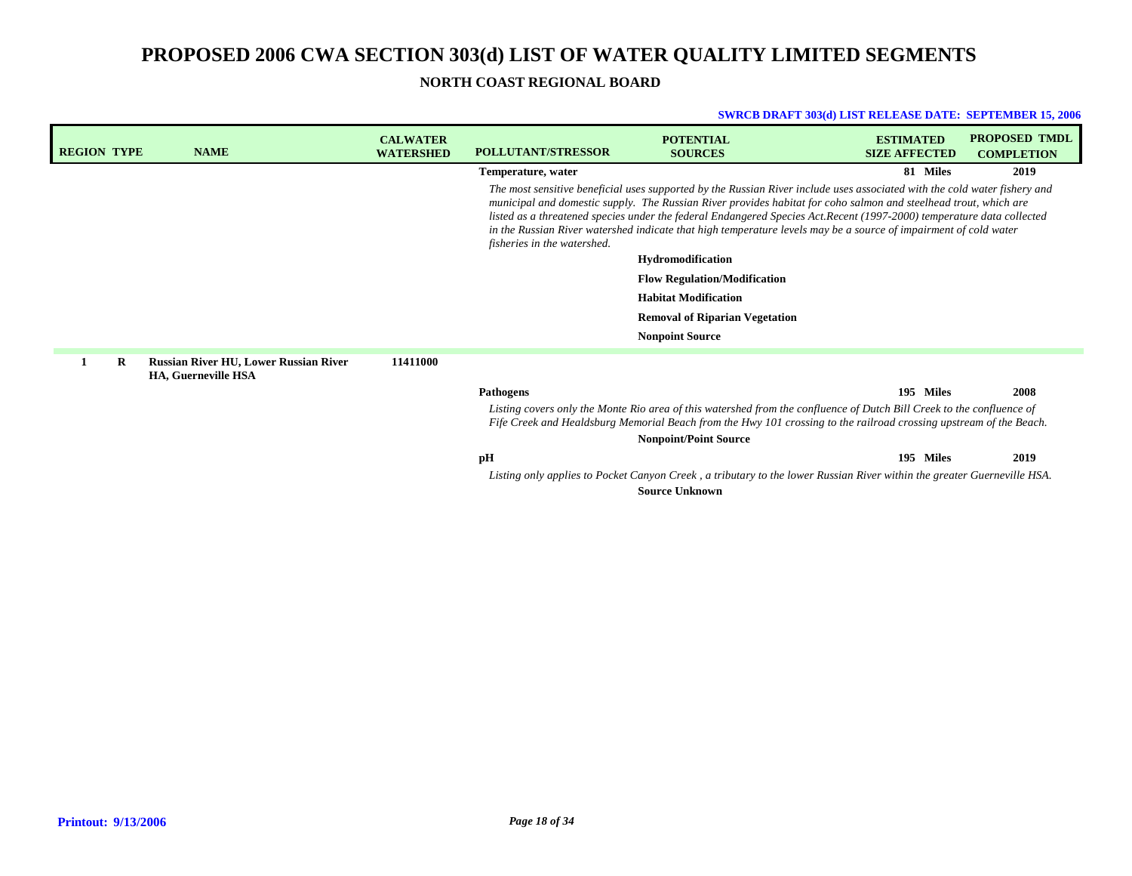**NORTH COAST REGIONAL BOARD**

| <b>REGION TYPE</b> | <b>NAME</b>                                                                | <b>CALWATER</b><br><b>WATERSHED</b> | <b>POLLUTANT/STRESSOR</b>                                                                                                                                                                                                                   | <b>POTENTIAL</b><br><b>SOURCES</b>                                                                                                                                                                                                                                                                                                                                                                                                                                                          | <b>ESTIMATED</b><br><b>SIZE AFFECTED</b> | <b>PROPOSED TMDL</b><br><b>COMPLETION</b> |  |
|--------------------|----------------------------------------------------------------------------|-------------------------------------|---------------------------------------------------------------------------------------------------------------------------------------------------------------------------------------------------------------------------------------------|---------------------------------------------------------------------------------------------------------------------------------------------------------------------------------------------------------------------------------------------------------------------------------------------------------------------------------------------------------------------------------------------------------------------------------------------------------------------------------------------|------------------------------------------|-------------------------------------------|--|
|                    |                                                                            |                                     | Temperature, water                                                                                                                                                                                                                          |                                                                                                                                                                                                                                                                                                                                                                                                                                                                                             | 81 Miles                                 | 2019                                      |  |
|                    |                                                                            |                                     | fisheries in the watershed.                                                                                                                                                                                                                 | The most sensitive beneficial uses supported by the Russian River include uses associated with the cold water fishery and<br>municipal and domestic supply. The Russian River provides habitat for coho salmon and steelhead trout, which are<br>listed as a threatened species under the federal Endangered Species Act. Recent (1997-2000) temperature data collected<br>in the Russian River watershed indicate that high temperature levels may be a source of impairment of cold water |                                          |                                           |  |
|                    |                                                                            |                                     |                                                                                                                                                                                                                                             | <b>Hydromodification</b>                                                                                                                                                                                                                                                                                                                                                                                                                                                                    |                                          |                                           |  |
|                    |                                                                            |                                     |                                                                                                                                                                                                                                             | <b>Flow Regulation/Modification</b>                                                                                                                                                                                                                                                                                                                                                                                                                                                         |                                          |                                           |  |
|                    |                                                                            |                                     |                                                                                                                                                                                                                                             | <b>Habitat Modification</b>                                                                                                                                                                                                                                                                                                                                                                                                                                                                 |                                          |                                           |  |
|                    |                                                                            |                                     |                                                                                                                                                                                                                                             | <b>Removal of Riparian Vegetation</b>                                                                                                                                                                                                                                                                                                                                                                                                                                                       |                                          |                                           |  |
|                    |                                                                            |                                     |                                                                                                                                                                                                                                             | <b>Nonpoint Source</b>                                                                                                                                                                                                                                                                                                                                                                                                                                                                      |                                          |                                           |  |
| R                  | <b>Russian River HU, Lower Russian River</b><br><b>HA, Guerneville HSA</b> | 11411000                            |                                                                                                                                                                                                                                             |                                                                                                                                                                                                                                                                                                                                                                                                                                                                                             |                                          |                                           |  |
|                    |                                                                            |                                     | <b>Pathogens</b>                                                                                                                                                                                                                            |                                                                                                                                                                                                                                                                                                                                                                                                                                                                                             | 195 Miles                                | 2008                                      |  |
|                    |                                                                            |                                     | Listing covers only the Monte Rio area of this watershed from the confluence of Dutch Bill Creek to the confluence of<br>Fife Creek and Healdsburg Memorial Beach from the Hwy 101 crossing to the railroad crossing upstream of the Beach. |                                                                                                                                                                                                                                                                                                                                                                                                                                                                                             |                                          |                                           |  |
|                    |                                                                            |                                     |                                                                                                                                                                                                                                             | <b>Nonpoint/Point Source</b>                                                                                                                                                                                                                                                                                                                                                                                                                                                                |                                          |                                           |  |
|                    |                                                                            |                                     | pH                                                                                                                                                                                                                                          |                                                                                                                                                                                                                                                                                                                                                                                                                                                                                             | 195 Miles                                | 2019                                      |  |
|                    |                                                                            |                                     |                                                                                                                                                                                                                                             | Listing only applies to Pocket Canyon Creek, a tributary to the lower Russian River within the greater Guerneville HSA.<br><b>Source Unknown</b>                                                                                                                                                                                                                                                                                                                                            |                                          |                                           |  |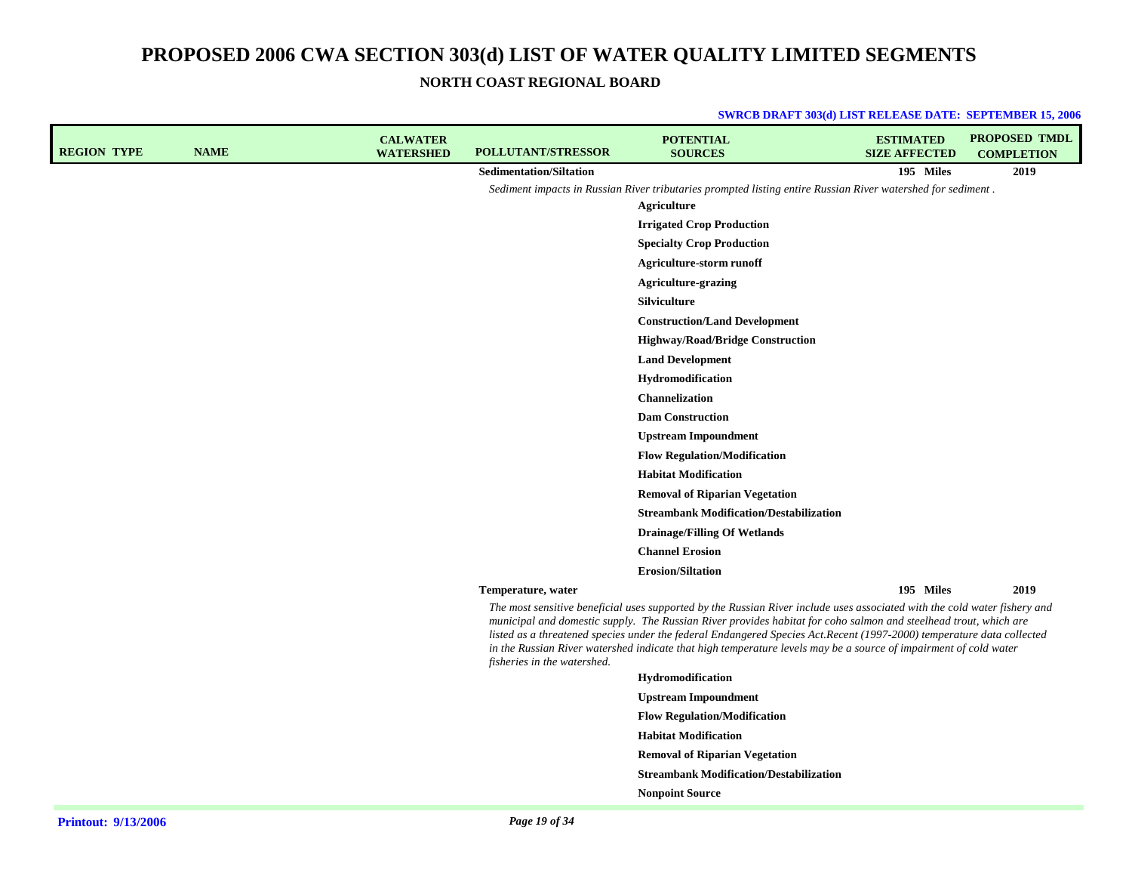**NORTH COAST REGIONAL BOARD**

| <b>REGION TYPE</b> | <b>NAME</b> | <b>CALWATER</b><br><b>WATERSHED</b> | <b>POLLUTANT/STRESSOR</b>      | <b>POTENTIAL</b><br><b>SOURCES</b>                                                                                                                                                                                                                                                                                                                                                                                                                                                         | <b>ESTIMATED</b><br><b>SIZE AFFECTED</b> | <b>PROPOSED TMDL</b><br><b>COMPLETION</b> |
|--------------------|-------------|-------------------------------------|--------------------------------|--------------------------------------------------------------------------------------------------------------------------------------------------------------------------------------------------------------------------------------------------------------------------------------------------------------------------------------------------------------------------------------------------------------------------------------------------------------------------------------------|------------------------------------------|-------------------------------------------|
|                    |             |                                     | <b>Sedimentation/Siltation</b> |                                                                                                                                                                                                                                                                                                                                                                                                                                                                                            | 195 Miles                                | 2019                                      |
|                    |             |                                     |                                | Sediment impacts in Russian River tributaries prompted listing entire Russian River watershed for sediment.                                                                                                                                                                                                                                                                                                                                                                                |                                          |                                           |
|                    |             |                                     |                                | Agriculture                                                                                                                                                                                                                                                                                                                                                                                                                                                                                |                                          |                                           |
|                    |             |                                     |                                | <b>Irrigated Crop Production</b>                                                                                                                                                                                                                                                                                                                                                                                                                                                           |                                          |                                           |
|                    |             |                                     |                                | <b>Specialty Crop Production</b>                                                                                                                                                                                                                                                                                                                                                                                                                                                           |                                          |                                           |
|                    |             |                                     |                                | Agriculture-storm runoff                                                                                                                                                                                                                                                                                                                                                                                                                                                                   |                                          |                                           |
|                    |             |                                     |                                | <b>Agriculture-grazing</b>                                                                                                                                                                                                                                                                                                                                                                                                                                                                 |                                          |                                           |
|                    |             |                                     |                                | <b>Silviculture</b>                                                                                                                                                                                                                                                                                                                                                                                                                                                                        |                                          |                                           |
|                    |             |                                     |                                | <b>Construction/Land Development</b>                                                                                                                                                                                                                                                                                                                                                                                                                                                       |                                          |                                           |
|                    |             |                                     |                                | <b>Highway/Road/Bridge Construction</b>                                                                                                                                                                                                                                                                                                                                                                                                                                                    |                                          |                                           |
|                    |             |                                     |                                | <b>Land Development</b>                                                                                                                                                                                                                                                                                                                                                                                                                                                                    |                                          |                                           |
|                    |             |                                     |                                | Hydromodification                                                                                                                                                                                                                                                                                                                                                                                                                                                                          |                                          |                                           |
|                    |             |                                     |                                | <b>Channelization</b>                                                                                                                                                                                                                                                                                                                                                                                                                                                                      |                                          |                                           |
|                    |             |                                     |                                | <b>Dam Construction</b>                                                                                                                                                                                                                                                                                                                                                                                                                                                                    |                                          |                                           |
|                    |             |                                     |                                | <b>Upstream Impoundment</b>                                                                                                                                                                                                                                                                                                                                                                                                                                                                |                                          |                                           |
|                    |             |                                     |                                | <b>Flow Regulation/Modification</b>                                                                                                                                                                                                                                                                                                                                                                                                                                                        |                                          |                                           |
|                    |             |                                     |                                | <b>Habitat Modification</b>                                                                                                                                                                                                                                                                                                                                                                                                                                                                |                                          |                                           |
|                    |             |                                     |                                | <b>Removal of Riparian Vegetation</b>                                                                                                                                                                                                                                                                                                                                                                                                                                                      |                                          |                                           |
|                    |             |                                     |                                | <b>Streambank Modification/Destabilization</b>                                                                                                                                                                                                                                                                                                                                                                                                                                             |                                          |                                           |
|                    |             |                                     |                                | <b>Drainage/Filling Of Wetlands</b>                                                                                                                                                                                                                                                                                                                                                                                                                                                        |                                          |                                           |
|                    |             |                                     |                                | <b>Channel Erosion</b>                                                                                                                                                                                                                                                                                                                                                                                                                                                                     |                                          |                                           |
|                    |             |                                     |                                | <b>Erosion/Siltation</b>                                                                                                                                                                                                                                                                                                                                                                                                                                                                   |                                          |                                           |
|                    |             |                                     | Temperature, water             |                                                                                                                                                                                                                                                                                                                                                                                                                                                                                            | 195 Miles                                | 2019                                      |
|                    |             |                                     | fisheries in the watershed.    | The most sensitive beneficial uses supported by the Russian River include uses associated with the cold water fishery and<br>municipal and domestic supply. The Russian River provides habitat for coho salmon and steelhead trout, which are<br>listed as a threatened species under the federal Endangered Species Act.Recent (1997-2000) temperature data collected<br>in the Russian River watershed indicate that high temperature levels may be a source of impairment of cold water |                                          |                                           |
|                    |             |                                     |                                | Hydromodification                                                                                                                                                                                                                                                                                                                                                                                                                                                                          |                                          |                                           |
|                    |             |                                     |                                | <b>Upstream Impoundment</b>                                                                                                                                                                                                                                                                                                                                                                                                                                                                |                                          |                                           |
|                    |             |                                     |                                | <b>Flow Regulation/Modification</b>                                                                                                                                                                                                                                                                                                                                                                                                                                                        |                                          |                                           |
|                    |             |                                     |                                | <b>Habitat Modification</b>                                                                                                                                                                                                                                                                                                                                                                                                                                                                |                                          |                                           |
|                    |             |                                     |                                | <b>Removal of Riparian Vegetation</b>                                                                                                                                                                                                                                                                                                                                                                                                                                                      |                                          |                                           |

- **Streambank Modification/Destabilization**
- **Nonpoint Source**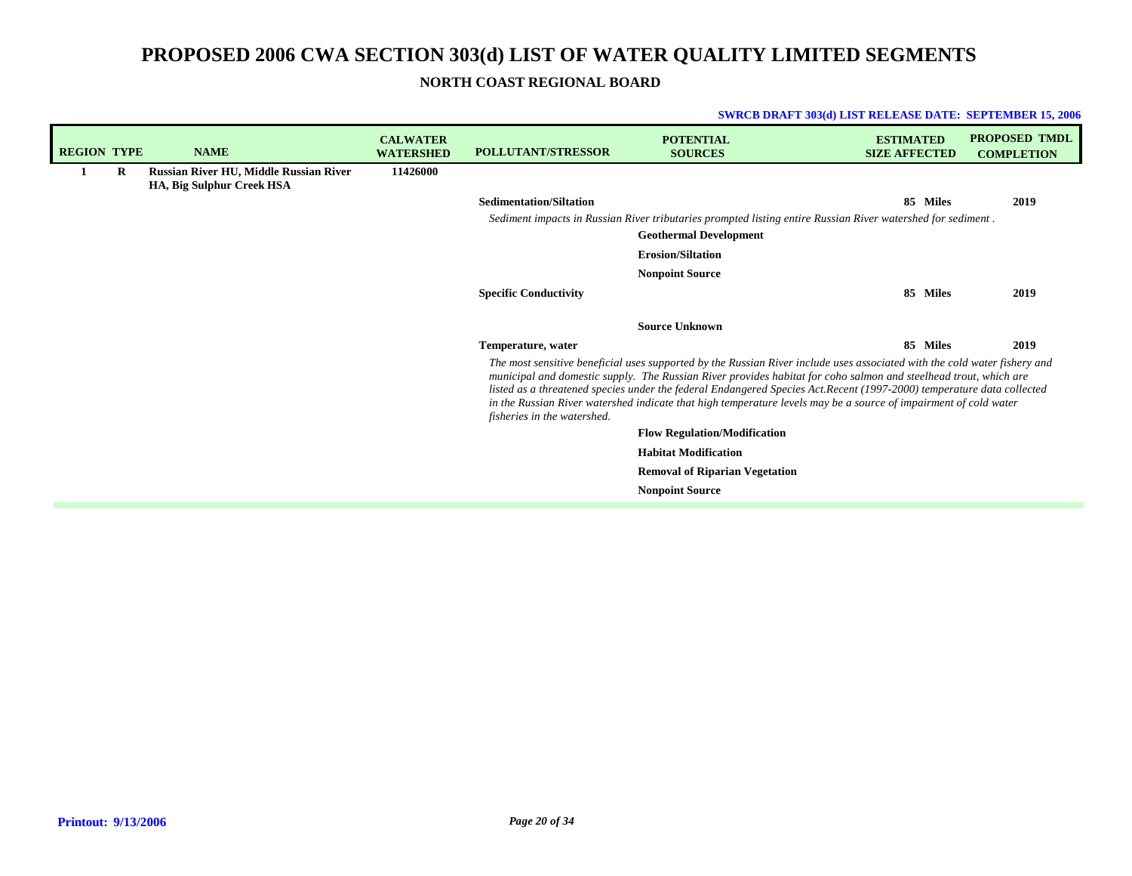**SWRCB DRAFT 303(d) LIST RELEASE DATE: SEPTEMBER 15, 2006**

**NORTH COAST REGIONAL BOARD**

| <b>REGION TYPE</b> |   | <b>NAME</b>                                                                | <b>CALWATER</b><br><b>WATERSHED</b> | <b>POLLUTANT/STRESSOR</b>                                                                                                                                                                                                                                                                                                                                                                                                                                                                                                 | <b>POTENTIAL</b><br><b>SOURCES</b>                                                                                                           | <b>ESTIMATED</b><br><b>SIZE AFFECTED</b> | <b>PROPOSED TMDL</b><br><b>COMPLETION</b> |  |
|--------------------|---|----------------------------------------------------------------------------|-------------------------------------|---------------------------------------------------------------------------------------------------------------------------------------------------------------------------------------------------------------------------------------------------------------------------------------------------------------------------------------------------------------------------------------------------------------------------------------------------------------------------------------------------------------------------|----------------------------------------------------------------------------------------------------------------------------------------------|------------------------------------------|-------------------------------------------|--|
|                    | R | <b>Russian River HU, Middle Russian River</b><br>HA, Big Sulphur Creek HSA | 11426000                            |                                                                                                                                                                                                                                                                                                                                                                                                                                                                                                                           |                                                                                                                                              |                                          |                                           |  |
|                    |   |                                                                            |                                     | <b>Sedimentation/Siltation</b>                                                                                                                                                                                                                                                                                                                                                                                                                                                                                            |                                                                                                                                              | 85 Miles                                 | 2019                                      |  |
|                    |   |                                                                            |                                     |                                                                                                                                                                                                                                                                                                                                                                                                                                                                                                                           | Sediment impacts in Russian River tributaries prompted listing entire Russian River watershed for sediment.<br><b>Geothermal Development</b> |                                          |                                           |  |
|                    |   |                                                                            |                                     |                                                                                                                                                                                                                                                                                                                                                                                                                                                                                                                           |                                                                                                                                              |                                          |                                           |  |
|                    |   |                                                                            |                                     |                                                                                                                                                                                                                                                                                                                                                                                                                                                                                                                           | <b>Erosion/Siltation</b>                                                                                                                     |                                          |                                           |  |
|                    |   |                                                                            |                                     |                                                                                                                                                                                                                                                                                                                                                                                                                                                                                                                           | <b>Nonpoint Source</b>                                                                                                                       |                                          |                                           |  |
|                    |   |                                                                            |                                     | <b>Specific Conductivity</b>                                                                                                                                                                                                                                                                                                                                                                                                                                                                                              |                                                                                                                                              | 85<br><b>Miles</b>                       | 2019                                      |  |
|                    |   |                                                                            |                                     |                                                                                                                                                                                                                                                                                                                                                                                                                                                                                                                           | <b>Source Unknown</b>                                                                                                                        |                                          |                                           |  |
|                    |   |                                                                            |                                     | Temperature, water                                                                                                                                                                                                                                                                                                                                                                                                                                                                                                        |                                                                                                                                              | 85 Miles                                 | 2019                                      |  |
|                    |   |                                                                            |                                     | The most sensitive beneficial uses supported by the Russian River include uses associated with the cold water fishery and<br>municipal and domestic supply. The Russian River provides habitat for coho salmon and steelhead trout, which are<br>listed as a threatened species under the federal Endangered Species Act.Recent (1997-2000) temperature data collected<br>in the Russian River watershed indicate that high temperature levels may be a source of impairment of cold water<br>fisheries in the watershed. |                                                                                                                                              |                                          |                                           |  |
|                    |   |                                                                            |                                     |                                                                                                                                                                                                                                                                                                                                                                                                                                                                                                                           | <b>Flow Regulation/Modification</b>                                                                                                          |                                          |                                           |  |
|                    |   |                                                                            |                                     |                                                                                                                                                                                                                                                                                                                                                                                                                                                                                                                           | <b>Habitat Modification</b>                                                                                                                  |                                          |                                           |  |
|                    |   |                                                                            |                                     |                                                                                                                                                                                                                                                                                                                                                                                                                                                                                                                           | <b>Removal of Riparian Vegetation</b>                                                                                                        |                                          |                                           |  |
|                    |   |                                                                            |                                     |                                                                                                                                                                                                                                                                                                                                                                                                                                                                                                                           | <b>Nonpoint Source</b>                                                                                                                       |                                          |                                           |  |
|                    |   |                                                                            |                                     |                                                                                                                                                                                                                                                                                                                                                                                                                                                                                                                           |                                                                                                                                              |                                          |                                           |  |

**Printout: 9/13/2006**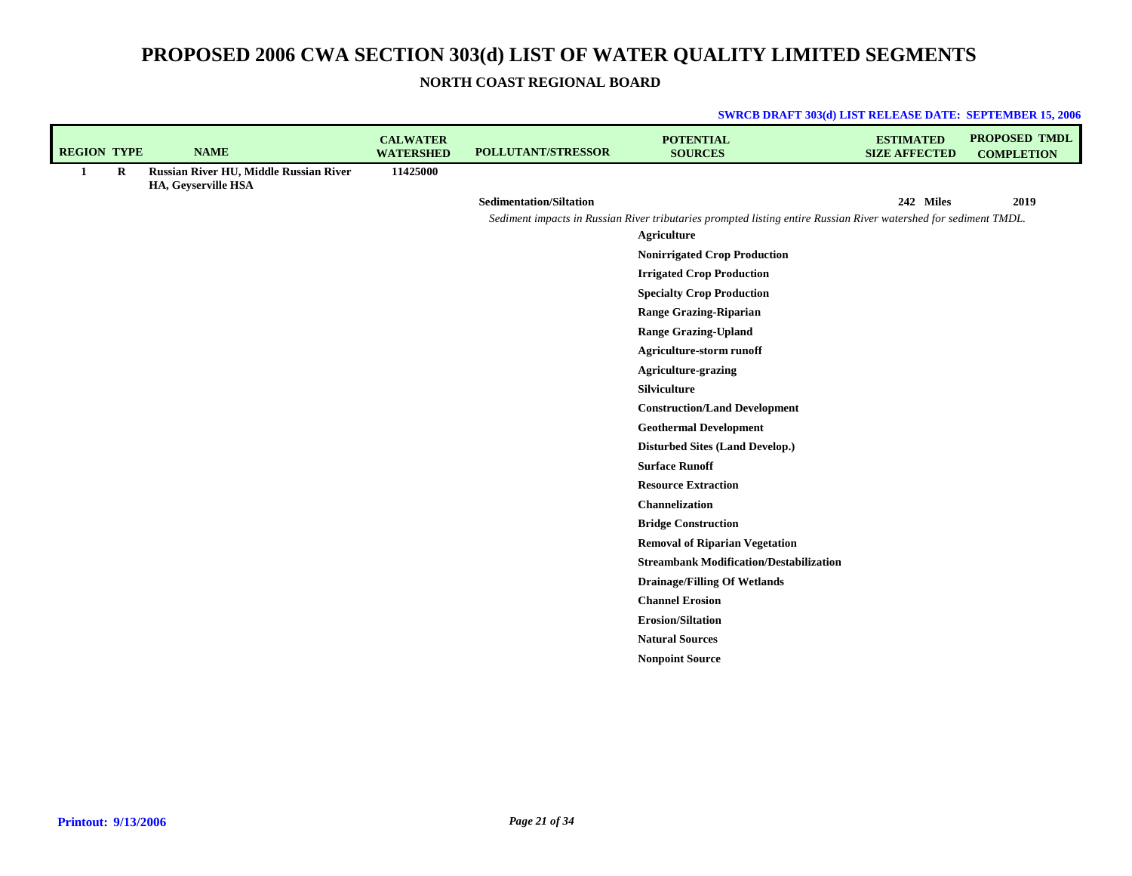**SWRCB DRAFT 303(d) LIST RELEASE DATE: SEPTEMBER 15, 2006**

**NORTH COAST REGIONAL BOARD**

| <b>REGION TYPE</b> |         | <b>NAME</b>                                                   | <b>CALWATER</b><br><b>WATERSHED</b> | POLLUTANT/STRESSOR             | <b>POTENTIAL</b><br><b>SOURCES</b>                                                                               | <b>ESTIMATED</b><br><b>SIZE AFFECTED</b> | <b>PROPOSED TMDL</b><br><b>COMPLETION</b> |
|--------------------|---------|---------------------------------------------------------------|-------------------------------------|--------------------------------|------------------------------------------------------------------------------------------------------------------|------------------------------------------|-------------------------------------------|
| 1                  | $\bf R$ | Russian River HU, Middle Russian River<br>HA, Geyserville HSA | 11425000                            |                                |                                                                                                                  |                                          |                                           |
|                    |         |                                                               |                                     | <b>Sedimentation/Siltation</b> |                                                                                                                  | 242 Miles                                | 2019                                      |
|                    |         |                                                               |                                     |                                | Sediment impacts in Russian River tributaries prompted listing entire Russian River watershed for sediment TMDL. |                                          |                                           |
|                    |         |                                                               |                                     |                                | <b>Agriculture</b>                                                                                               |                                          |                                           |
|                    |         |                                                               |                                     |                                | <b>Nonirrigated Crop Production</b>                                                                              |                                          |                                           |
|                    |         |                                                               |                                     |                                | <b>Irrigated Crop Production</b>                                                                                 |                                          |                                           |
|                    |         |                                                               |                                     |                                | <b>Specialty Crop Production</b>                                                                                 |                                          |                                           |
|                    |         |                                                               |                                     |                                | <b>Range Grazing-Riparian</b>                                                                                    |                                          |                                           |
|                    |         |                                                               |                                     |                                | <b>Range Grazing-Upland</b>                                                                                      |                                          |                                           |
|                    |         |                                                               |                                     |                                | <b>Agriculture-storm runoff</b>                                                                                  |                                          |                                           |
|                    |         |                                                               |                                     |                                | <b>Agriculture-grazing</b>                                                                                       |                                          |                                           |
|                    |         |                                                               |                                     |                                | Silviculture                                                                                                     |                                          |                                           |
|                    |         |                                                               |                                     |                                | <b>Construction/Land Development</b>                                                                             |                                          |                                           |
|                    |         |                                                               |                                     |                                | <b>Geothermal Development</b>                                                                                    |                                          |                                           |
|                    |         |                                                               |                                     |                                | <b>Disturbed Sites (Land Develop.)</b>                                                                           |                                          |                                           |
|                    |         |                                                               |                                     |                                | <b>Surface Runoff</b>                                                                                            |                                          |                                           |
|                    |         |                                                               |                                     |                                | <b>Resource Extraction</b>                                                                                       |                                          |                                           |
|                    |         |                                                               |                                     |                                | Channelization                                                                                                   |                                          |                                           |
|                    |         |                                                               |                                     |                                | <b>Bridge Construction</b>                                                                                       |                                          |                                           |
|                    |         |                                                               |                                     |                                | <b>Removal of Riparian Vegetation</b>                                                                            |                                          |                                           |
|                    |         |                                                               |                                     |                                | <b>Streambank Modification/Destabilization</b>                                                                   |                                          |                                           |
|                    |         |                                                               |                                     |                                | <b>Drainage/Filling Of Wetlands</b>                                                                              |                                          |                                           |
|                    |         |                                                               |                                     |                                | <b>Channel Erosion</b>                                                                                           |                                          |                                           |
|                    |         |                                                               |                                     |                                | <b>Erosion/Siltation</b>                                                                                         |                                          |                                           |
|                    |         |                                                               |                                     |                                | <b>Natural Sources</b>                                                                                           |                                          |                                           |
|                    |         |                                                               |                                     |                                | <b>Nonpoint Source</b>                                                                                           |                                          |                                           |
|                    |         |                                                               |                                     |                                |                                                                                                                  |                                          |                                           |

## **Printout: 9/13/2006**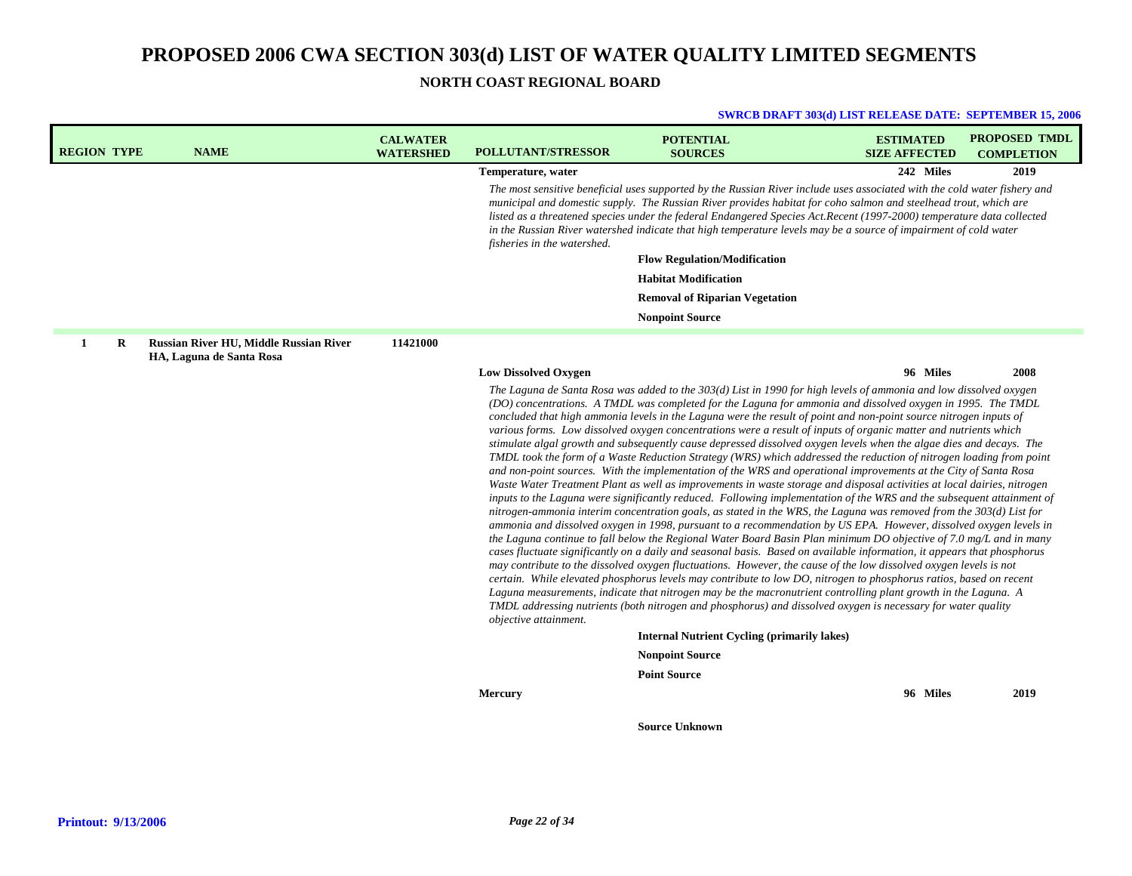**NORTH COAST REGIONAL BOARD**

| <b>REGION TYPE</b> | <b>NAME</b>                                                        | <b>CALWATER</b><br><b>WATERSHED</b> | POLLUTANT/STRESSOR          | <b>POTENTIAL</b><br><b>SOURCES</b>                                                                                                                                                                                                                                                                                                                                                                                                                                                                                                                                                                                                                                                                                                                                                                                                                                                                                                                                                                                                                                                                                                                                                                                                                                                                                                                                                                                                                                                                                                                                                                                                                                                                                                                                                                                                                                                                                                                   | <b>ESTIMATED</b><br><b>SIZE AFFECTED</b> | <b>PROPOSED TMDL</b><br><b>COMPLETION</b> |
|--------------------|--------------------------------------------------------------------|-------------------------------------|-----------------------------|------------------------------------------------------------------------------------------------------------------------------------------------------------------------------------------------------------------------------------------------------------------------------------------------------------------------------------------------------------------------------------------------------------------------------------------------------------------------------------------------------------------------------------------------------------------------------------------------------------------------------------------------------------------------------------------------------------------------------------------------------------------------------------------------------------------------------------------------------------------------------------------------------------------------------------------------------------------------------------------------------------------------------------------------------------------------------------------------------------------------------------------------------------------------------------------------------------------------------------------------------------------------------------------------------------------------------------------------------------------------------------------------------------------------------------------------------------------------------------------------------------------------------------------------------------------------------------------------------------------------------------------------------------------------------------------------------------------------------------------------------------------------------------------------------------------------------------------------------------------------------------------------------------------------------------------------------|------------------------------------------|-------------------------------------------|
|                    |                                                                    |                                     | Temperature, water          |                                                                                                                                                                                                                                                                                                                                                                                                                                                                                                                                                                                                                                                                                                                                                                                                                                                                                                                                                                                                                                                                                                                                                                                                                                                                                                                                                                                                                                                                                                                                                                                                                                                                                                                                                                                                                                                                                                                                                      | 242 Miles                                | 2019                                      |
|                    |                                                                    |                                     | fisheries in the watershed. | The most sensitive beneficial uses supported by the Russian River include uses associated with the cold water fishery and<br>municipal and domestic supply. The Russian River provides habitat for coho salmon and steelhead trout, which are<br>listed as a threatened species under the federal Endangered Species Act.Recent (1997-2000) temperature data collected<br>in the Russian River watershed indicate that high temperature levels may be a source of impairment of cold water                                                                                                                                                                                                                                                                                                                                                                                                                                                                                                                                                                                                                                                                                                                                                                                                                                                                                                                                                                                                                                                                                                                                                                                                                                                                                                                                                                                                                                                           |                                          |                                           |
|                    |                                                                    |                                     |                             | <b>Flow Regulation/Modification</b>                                                                                                                                                                                                                                                                                                                                                                                                                                                                                                                                                                                                                                                                                                                                                                                                                                                                                                                                                                                                                                                                                                                                                                                                                                                                                                                                                                                                                                                                                                                                                                                                                                                                                                                                                                                                                                                                                                                  |                                          |                                           |
|                    |                                                                    |                                     |                             | <b>Habitat Modification</b>                                                                                                                                                                                                                                                                                                                                                                                                                                                                                                                                                                                                                                                                                                                                                                                                                                                                                                                                                                                                                                                                                                                                                                                                                                                                                                                                                                                                                                                                                                                                                                                                                                                                                                                                                                                                                                                                                                                          |                                          |                                           |
|                    |                                                                    |                                     |                             | <b>Removal of Riparian Vegetation</b>                                                                                                                                                                                                                                                                                                                                                                                                                                                                                                                                                                                                                                                                                                                                                                                                                                                                                                                                                                                                                                                                                                                                                                                                                                                                                                                                                                                                                                                                                                                                                                                                                                                                                                                                                                                                                                                                                                                |                                          |                                           |
|                    |                                                                    |                                     |                             | <b>Nonpoint Source</b>                                                                                                                                                                                                                                                                                                                                                                                                                                                                                                                                                                                                                                                                                                                                                                                                                                                                                                                                                                                                                                                                                                                                                                                                                                                                                                                                                                                                                                                                                                                                                                                                                                                                                                                                                                                                                                                                                                                               |                                          |                                           |
| 1<br>R             | Russian River HU, Middle Russian River<br>HA, Laguna de Santa Rosa | 11421000                            |                             |                                                                                                                                                                                                                                                                                                                                                                                                                                                                                                                                                                                                                                                                                                                                                                                                                                                                                                                                                                                                                                                                                                                                                                                                                                                                                                                                                                                                                                                                                                                                                                                                                                                                                                                                                                                                                                                                                                                                                      |                                          |                                           |
|                    |                                                                    |                                     | <b>Low Dissolved Oxygen</b> |                                                                                                                                                                                                                                                                                                                                                                                                                                                                                                                                                                                                                                                                                                                                                                                                                                                                                                                                                                                                                                                                                                                                                                                                                                                                                                                                                                                                                                                                                                                                                                                                                                                                                                                                                                                                                                                                                                                                                      | 96 Miles                                 | 2008                                      |
|                    |                                                                    |                                     | objective attainment.       | (DO) concentrations. A TMDL was completed for the Laguna for ammonia and dissolved oxygen in 1995. The TMDL<br>concluded that high ammonia levels in the Laguna were the result of point and non-point source nitrogen inputs of<br>various forms. Low dissolved oxygen concentrations were a result of inputs of organic matter and nutrients which<br>stimulate algal growth and subsequently cause depressed dissolved oxygen levels when the algae dies and decays. The<br>TMDL took the form of a Waste Reduction Strategy (WRS) which addressed the reduction of nitrogen loading from point<br>and non-point sources. With the implementation of the WRS and operational improvements at the City of Santa Rosa<br>Waste Water Treatment Plant as well as improvements in waste storage and disposal activities at local dairies, nitrogen<br>inputs to the Laguna were significantly reduced. Following implementation of the WRS and the subsequent attainment of<br>nitrogen-ammonia interim concentration goals, as stated in the WRS, the Laguna was removed from the 303(d) List for<br>ammonia and dissolved oxygen in 1998, pursuant to a recommendation by US EPA. However, dissolved oxygen levels in<br>the Laguna continue to fall below the Regional Water Board Basin Plan minimum DO objective of 7.0 mg/L and in many<br>cases fluctuate significantly on a daily and seasonal basis. Based on available information, it appears that phosphorus<br>may contribute to the dissolved oxygen fluctuations. However, the cause of the low dissolved oxygen levels is not<br>certain. While elevated phosphorus levels may contribute to low DO, nitrogen to phosphorus ratios, based on recent<br>Laguna measurements, indicate that nitrogen may be the macronutrient controlling plant growth in the Laguna. A<br>TMDL addressing nutrients (both nitrogen and phosphorus) and dissolved oxygen is necessary for water quality |                                          |                                           |
|                    |                                                                    |                                     |                             | <b>Internal Nutrient Cycling (primarily lakes)</b>                                                                                                                                                                                                                                                                                                                                                                                                                                                                                                                                                                                                                                                                                                                                                                                                                                                                                                                                                                                                                                                                                                                                                                                                                                                                                                                                                                                                                                                                                                                                                                                                                                                                                                                                                                                                                                                                                                   |                                          |                                           |
|                    |                                                                    |                                     |                             | <b>Nonpoint Source</b>                                                                                                                                                                                                                                                                                                                                                                                                                                                                                                                                                                                                                                                                                                                                                                                                                                                                                                                                                                                                                                                                                                                                                                                                                                                                                                                                                                                                                                                                                                                                                                                                                                                                                                                                                                                                                                                                                                                               |                                          |                                           |
|                    |                                                                    |                                     | <b>Mercury</b>              | <b>Point Source</b>                                                                                                                                                                                                                                                                                                                                                                                                                                                                                                                                                                                                                                                                                                                                                                                                                                                                                                                                                                                                                                                                                                                                                                                                                                                                                                                                                                                                                                                                                                                                                                                                                                                                                                                                                                                                                                                                                                                                  | 96 Miles                                 | 2019                                      |
|                    |                                                                    |                                     |                             |                                                                                                                                                                                                                                                                                                                                                                                                                                                                                                                                                                                                                                                                                                                                                                                                                                                                                                                                                                                                                                                                                                                                                                                                                                                                                                                                                                                                                                                                                                                                                                                                                                                                                                                                                                                                                                                                                                                                                      |                                          |                                           |
|                    |                                                                    |                                     |                             | <b>Source Unknown</b>                                                                                                                                                                                                                                                                                                                                                                                                                                                                                                                                                                                                                                                                                                                                                                                                                                                                                                                                                                                                                                                                                                                                                                                                                                                                                                                                                                                                                                                                                                                                                                                                                                                                                                                                                                                                                                                                                                                                |                                          |                                           |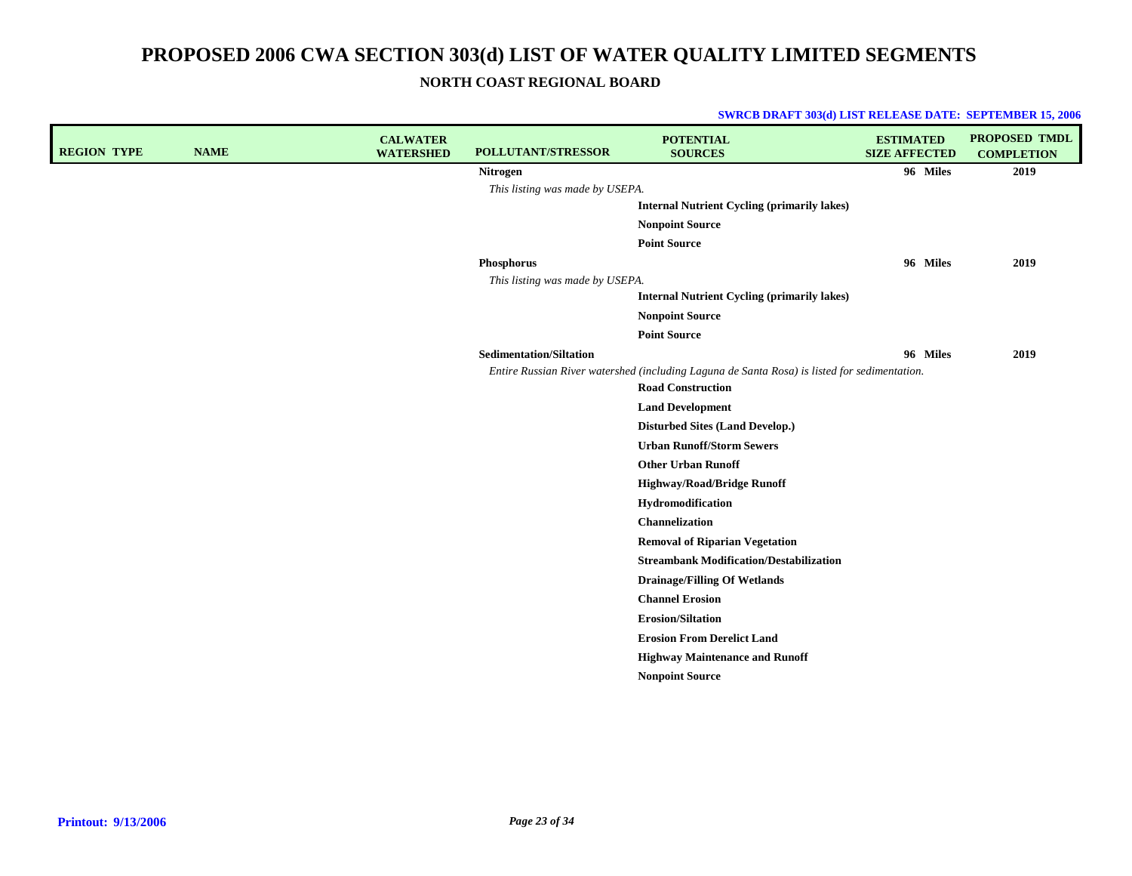**NORTH COAST REGIONAL BOARD**

| <b>REGION TYPE</b> | <b>NAME</b> | <b>CALWATER</b><br><b>WATERSHED</b> | POLLUTANT/STRESSOR              | <b>POTENTIAL</b><br><b>SOURCES</b>                                                                                       | <b>ESTIMATED</b><br><b>SIZE AFFECTED</b> | <b>PROPOSED TMDL</b><br><b>COMPLETION</b> |
|--------------------|-------------|-------------------------------------|---------------------------------|--------------------------------------------------------------------------------------------------------------------------|------------------------------------------|-------------------------------------------|
|                    |             |                                     | Nitrogen                        |                                                                                                                          | 96 Miles                                 | 2019                                      |
|                    |             |                                     | This listing was made by USEPA. |                                                                                                                          |                                          |                                           |
|                    |             |                                     |                                 | <b>Internal Nutrient Cycling (primarily lakes)</b>                                                                       |                                          |                                           |
|                    |             |                                     |                                 | <b>Nonpoint Source</b>                                                                                                   |                                          |                                           |
|                    |             |                                     |                                 | <b>Point Source</b>                                                                                                      |                                          |                                           |
|                    |             |                                     | Phosphorus                      |                                                                                                                          | 96 Miles                                 | 2019                                      |
|                    |             |                                     | This listing was made by USEPA. |                                                                                                                          |                                          |                                           |
|                    |             |                                     |                                 | <b>Internal Nutrient Cycling (primarily lakes)</b>                                                                       |                                          |                                           |
|                    |             |                                     |                                 | <b>Nonpoint Source</b>                                                                                                   |                                          |                                           |
|                    |             |                                     |                                 | <b>Point Source</b>                                                                                                      |                                          |                                           |
|                    |             |                                     | <b>Sedimentation/Siltation</b>  |                                                                                                                          | 96 Miles                                 | 2019                                      |
|                    |             |                                     |                                 | Entire Russian River watershed (including Laguna de Santa Rosa) is listed for sedimentation.<br><b>Road Construction</b> |                                          |                                           |
|                    |             |                                     |                                 | <b>Land Development</b>                                                                                                  |                                          |                                           |
|                    |             |                                     |                                 | <b>Disturbed Sites (Land Develop.)</b>                                                                                   |                                          |                                           |
|                    |             |                                     |                                 | <b>Urban Runoff/Storm Sewers</b>                                                                                         |                                          |                                           |
|                    |             |                                     |                                 | <b>Other Urban Runoff</b>                                                                                                |                                          |                                           |
|                    |             |                                     |                                 | <b>Highway/Road/Bridge Runoff</b>                                                                                        |                                          |                                           |
|                    |             |                                     |                                 | Hydromodification                                                                                                        |                                          |                                           |
|                    |             |                                     |                                 | Channelization                                                                                                           |                                          |                                           |
|                    |             |                                     |                                 | <b>Removal of Riparian Vegetation</b>                                                                                    |                                          |                                           |
|                    |             |                                     |                                 | <b>Streambank Modification/Destabilization</b>                                                                           |                                          |                                           |
|                    |             |                                     |                                 | <b>Drainage/Filling Of Wetlands</b>                                                                                      |                                          |                                           |
|                    |             |                                     |                                 | <b>Channel Erosion</b>                                                                                                   |                                          |                                           |
|                    |             |                                     |                                 | <b>Erosion/Siltation</b>                                                                                                 |                                          |                                           |
|                    |             |                                     |                                 | <b>Erosion From Derelict Land</b>                                                                                        |                                          |                                           |
|                    |             |                                     |                                 | <b>Highway Maintenance and Runoff</b>                                                                                    |                                          |                                           |
|                    |             |                                     |                                 | <b>Nonpoint Source</b>                                                                                                   |                                          |                                           |
|                    |             |                                     |                                 |                                                                                                                          |                                          |                                           |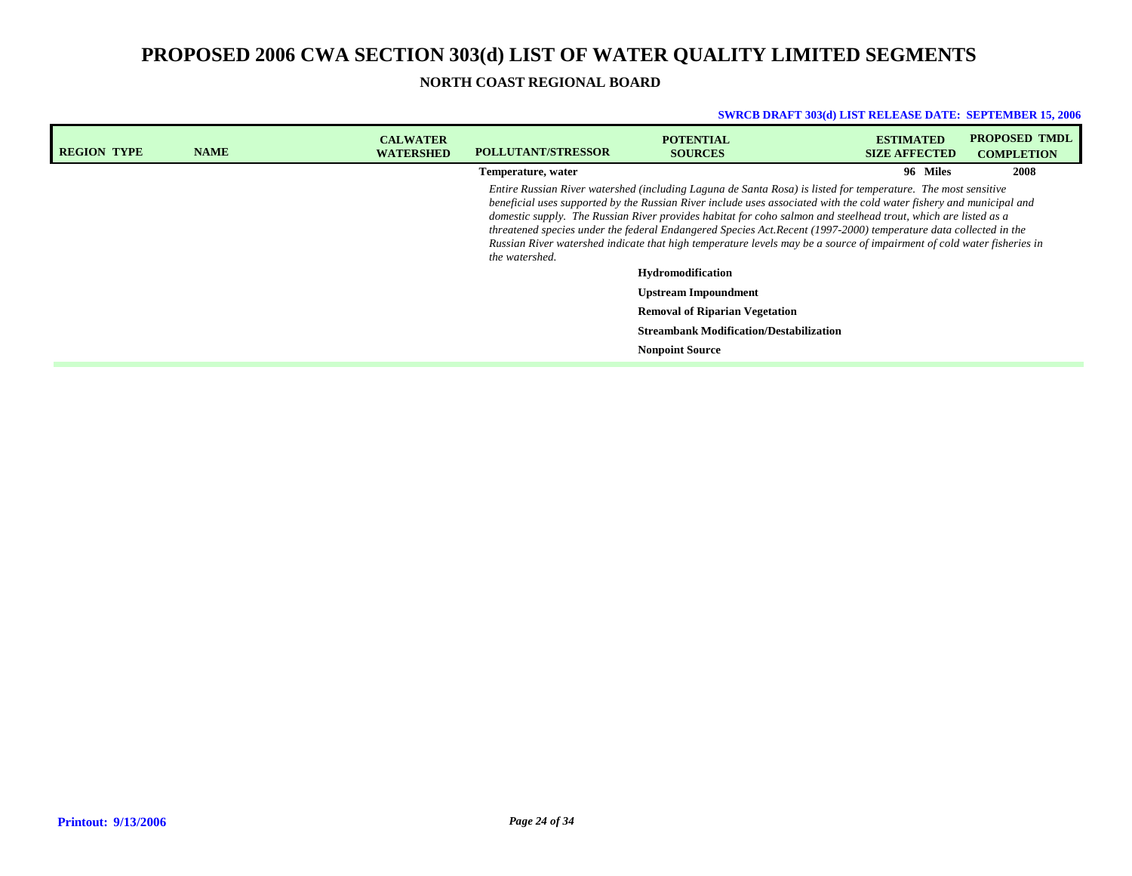## **PROPOSED 2006 CWA SECTION 303(d) LIST OF WATER QUALITY LIMITED SEGMENTS NORTH COAST REGIONAL BOARD**

| <b>REGION TYPE</b> | <b>NAME</b> | <b>CALWATER</b><br><b>WATERSHED</b>                                                                                                                                                                                                                                                                                                                                                                                                                                                                                                                                                                                     | <b>POLLUTANT/STRESSOR</b> | <b>POTENTIAL</b><br><b>SOURCES</b>             | <b>ESTIMATED</b><br><b>SIZE AFFECTED</b> | <b>PROPOSED TMDL</b><br><b>COMPLETION</b> |  |
|--------------------|-------------|-------------------------------------------------------------------------------------------------------------------------------------------------------------------------------------------------------------------------------------------------------------------------------------------------------------------------------------------------------------------------------------------------------------------------------------------------------------------------------------------------------------------------------------------------------------------------------------------------------------------------|---------------------------|------------------------------------------------|------------------------------------------|-------------------------------------------|--|
|                    |             |                                                                                                                                                                                                                                                                                                                                                                                                                                                                                                                                                                                                                         | Temperature, water        |                                                | 96 Miles                                 | 2008                                      |  |
|                    |             | Entire Russian River watershed (including Laguna de Santa Rosa) is listed for temperature. The most sensitive<br>beneficial uses supported by the Russian River include uses associated with the cold water fishery and municipal and<br>domestic supply. The Russian River provides habitat for coho salmon and steelhead trout, which are listed as a<br>threatened species under the federal Endangered Species Act.Recent (1997-2000) temperature data collected in the<br>Russian River watershed indicate that high temperature levels may be a source of impairment of cold water fisheries in<br>the watershed. |                           |                                                |                                          |                                           |  |
|                    |             |                                                                                                                                                                                                                                                                                                                                                                                                                                                                                                                                                                                                                         |                           | <b>Hydromodification</b>                       |                                          |                                           |  |
|                    |             |                                                                                                                                                                                                                                                                                                                                                                                                                                                                                                                                                                                                                         |                           | <b>Upstream Impoundment</b>                    |                                          |                                           |  |
|                    |             |                                                                                                                                                                                                                                                                                                                                                                                                                                                                                                                                                                                                                         |                           | <b>Removal of Riparian Vegetation</b>          |                                          |                                           |  |
|                    |             |                                                                                                                                                                                                                                                                                                                                                                                                                                                                                                                                                                                                                         |                           | <b>Streambank Modification/Destabilization</b> |                                          |                                           |  |
|                    |             |                                                                                                                                                                                                                                                                                                                                                                                                                                                                                                                                                                                                                         |                           | <b>Nonpoint Source</b>                         |                                          |                                           |  |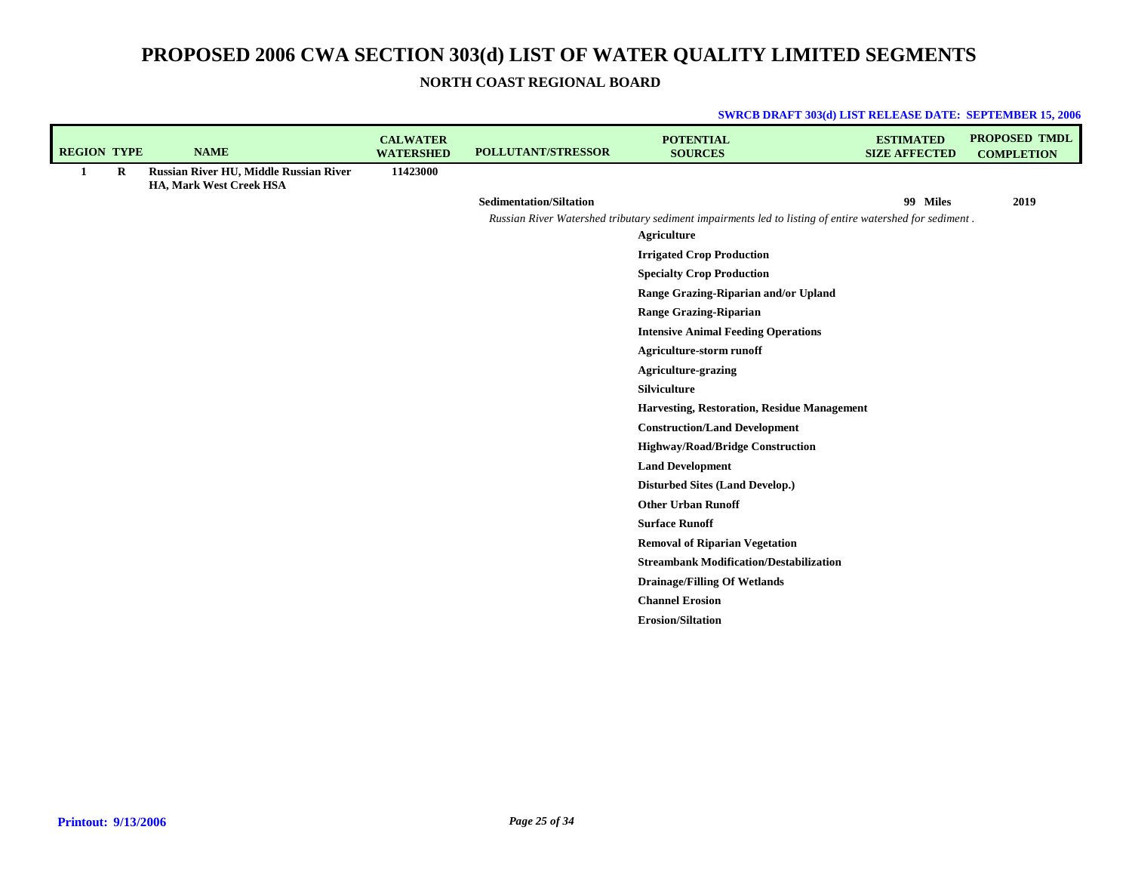**NORTH COAST REGIONAL BOARD**

| <b>REGION TYPE</b> |         | <b>NAME</b>                                                       | <b>CALWATER</b><br><b>WATERSHED</b> | POLLUTANT/STRESSOR             | <b>POTENTIAL</b><br><b>SOURCES</b>                                                                      | <b>ESTIMATED</b><br><b>SIZE AFFECTED</b> | <b>PROPOSED TMDL</b><br><b>COMPLETION</b> |
|--------------------|---------|-------------------------------------------------------------------|-------------------------------------|--------------------------------|---------------------------------------------------------------------------------------------------------|------------------------------------------|-------------------------------------------|
| 1                  | $\bf R$ | Russian River HU, Middle Russian River<br>HA, Mark West Creek HSA | 11423000                            |                                |                                                                                                         |                                          |                                           |
|                    |         |                                                                   |                                     | <b>Sedimentation/Siltation</b> |                                                                                                         | 99 Miles                                 | 2019                                      |
|                    |         |                                                                   |                                     |                                | Russian River Watershed tributary sediment impairments led to listing of entire watershed for sediment. |                                          |                                           |
|                    |         |                                                                   |                                     |                                | <b>Agriculture</b>                                                                                      |                                          |                                           |
|                    |         |                                                                   |                                     |                                | <b>Irrigated Crop Production</b>                                                                        |                                          |                                           |
|                    |         |                                                                   |                                     |                                | <b>Specialty Crop Production</b>                                                                        |                                          |                                           |
|                    |         |                                                                   |                                     |                                | Range Grazing-Riparian and/or Upland                                                                    |                                          |                                           |
|                    |         |                                                                   |                                     |                                | <b>Range Grazing-Riparian</b>                                                                           |                                          |                                           |
|                    |         |                                                                   |                                     |                                | <b>Intensive Animal Feeding Operations</b>                                                              |                                          |                                           |
|                    |         |                                                                   |                                     |                                | <b>Agriculture-storm runoff</b>                                                                         |                                          |                                           |
|                    |         |                                                                   |                                     |                                | <b>Agriculture-grazing</b>                                                                              |                                          |                                           |
|                    |         |                                                                   |                                     |                                | <b>Silviculture</b>                                                                                     |                                          |                                           |
|                    |         |                                                                   |                                     |                                | Harvesting, Restoration, Residue Management                                                             |                                          |                                           |
|                    |         |                                                                   |                                     |                                | <b>Construction/Land Development</b>                                                                    |                                          |                                           |
|                    |         |                                                                   |                                     |                                | <b>Highway/Road/Bridge Construction</b>                                                                 |                                          |                                           |
|                    |         |                                                                   |                                     |                                | <b>Land Development</b>                                                                                 |                                          |                                           |
|                    |         |                                                                   |                                     |                                | <b>Disturbed Sites (Land Develop.)</b>                                                                  |                                          |                                           |
|                    |         |                                                                   |                                     |                                | <b>Other Urban Runoff</b>                                                                               |                                          |                                           |
|                    |         |                                                                   |                                     |                                | <b>Surface Runoff</b>                                                                                   |                                          |                                           |
|                    |         |                                                                   |                                     |                                | <b>Removal of Riparian Vegetation</b>                                                                   |                                          |                                           |
|                    |         |                                                                   |                                     |                                | <b>Streambank Modification/Destabilization</b>                                                          |                                          |                                           |
|                    |         |                                                                   |                                     |                                | <b>Drainage/Filling Of Wetlands</b>                                                                     |                                          |                                           |
|                    |         |                                                                   |                                     |                                | <b>Channel Erosion</b>                                                                                  |                                          |                                           |
|                    |         |                                                                   |                                     |                                | <b>Erosion/Siltation</b>                                                                                |                                          |                                           |
|                    |         |                                                                   |                                     |                                |                                                                                                         |                                          |                                           |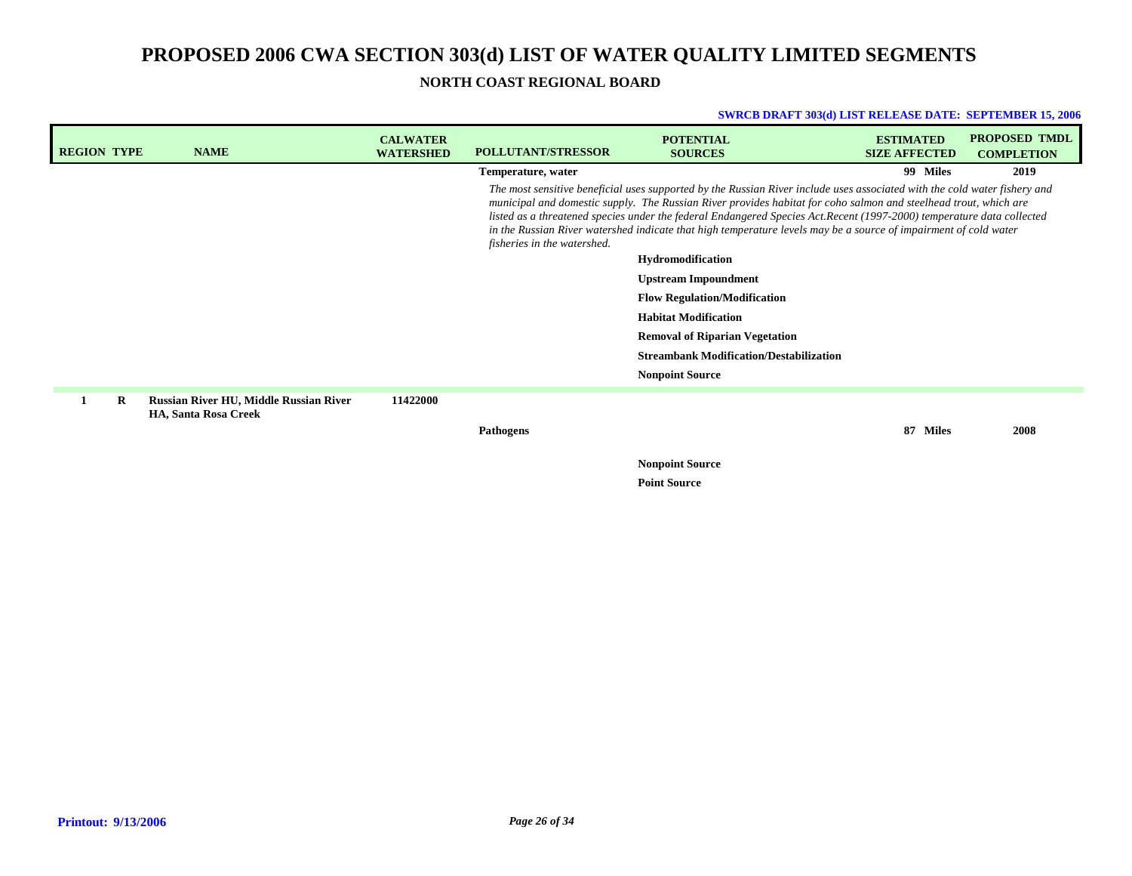## **NORTH COAST REGIONAL BOARD**

| <b>REGION TYPE</b> |   | <b>NAME</b>                                                           | <b>CALWATER</b><br><b>WATERSHED</b> | <b>POLLUTANT/STRESSOR</b>   | <b>POTENTIAL</b><br><b>SOURCES</b>                                                                                                                                                                                                                                                                                                                                                                                                                                                          | <b>ESTIMATED</b><br><b>SIZE AFFECTED</b> | <b>PROPOSED TMDL</b><br><b>COMPLETION</b> |
|--------------------|---|-----------------------------------------------------------------------|-------------------------------------|-----------------------------|---------------------------------------------------------------------------------------------------------------------------------------------------------------------------------------------------------------------------------------------------------------------------------------------------------------------------------------------------------------------------------------------------------------------------------------------------------------------------------------------|------------------------------------------|-------------------------------------------|
|                    |   |                                                                       |                                     | Temperature, water          |                                                                                                                                                                                                                                                                                                                                                                                                                                                                                             | 99 Miles                                 | 2019                                      |
|                    |   |                                                                       |                                     | fisheries in the watershed. | The most sensitive beneficial uses supported by the Russian River include uses associated with the cold water fishery and<br>municipal and domestic supply. The Russian River provides habitat for coho salmon and steelhead trout, which are<br>listed as a threatened species under the federal Endangered Species Act. Recent (1997-2000) temperature data collected<br>in the Russian River watershed indicate that high temperature levels may be a source of impairment of cold water |                                          |                                           |
|                    |   |                                                                       |                                     |                             | Hydromodification                                                                                                                                                                                                                                                                                                                                                                                                                                                                           |                                          |                                           |
|                    |   |                                                                       |                                     |                             | <b>Upstream Impoundment</b>                                                                                                                                                                                                                                                                                                                                                                                                                                                                 |                                          |                                           |
|                    |   |                                                                       |                                     |                             | <b>Flow Regulation/Modification</b>                                                                                                                                                                                                                                                                                                                                                                                                                                                         |                                          |                                           |
|                    |   |                                                                       |                                     |                             | <b>Habitat Modification</b>                                                                                                                                                                                                                                                                                                                                                                                                                                                                 |                                          |                                           |
|                    |   |                                                                       |                                     |                             | <b>Removal of Riparian Vegetation</b>                                                                                                                                                                                                                                                                                                                                                                                                                                                       |                                          |                                           |
|                    |   |                                                                       |                                     |                             | <b>Streambank Modification/Destabilization</b>                                                                                                                                                                                                                                                                                                                                                                                                                                              |                                          |                                           |
|                    |   |                                                                       |                                     |                             | <b>Nonpoint Source</b>                                                                                                                                                                                                                                                                                                                                                                                                                                                                      |                                          |                                           |
|                    | R | Russian River HU, Middle Russian River<br><b>HA, Santa Rosa Creek</b> | 11422000                            |                             |                                                                                                                                                                                                                                                                                                                                                                                                                                                                                             |                                          |                                           |
|                    |   |                                                                       |                                     | <b>Pathogens</b>            |                                                                                                                                                                                                                                                                                                                                                                                                                                                                                             | 87 Miles                                 | 2008                                      |
|                    |   |                                                                       |                                     |                             | <b>Nonpoint Source</b><br><b>Point Source</b>                                                                                                                                                                                                                                                                                                                                                                                                                                               |                                          |                                           |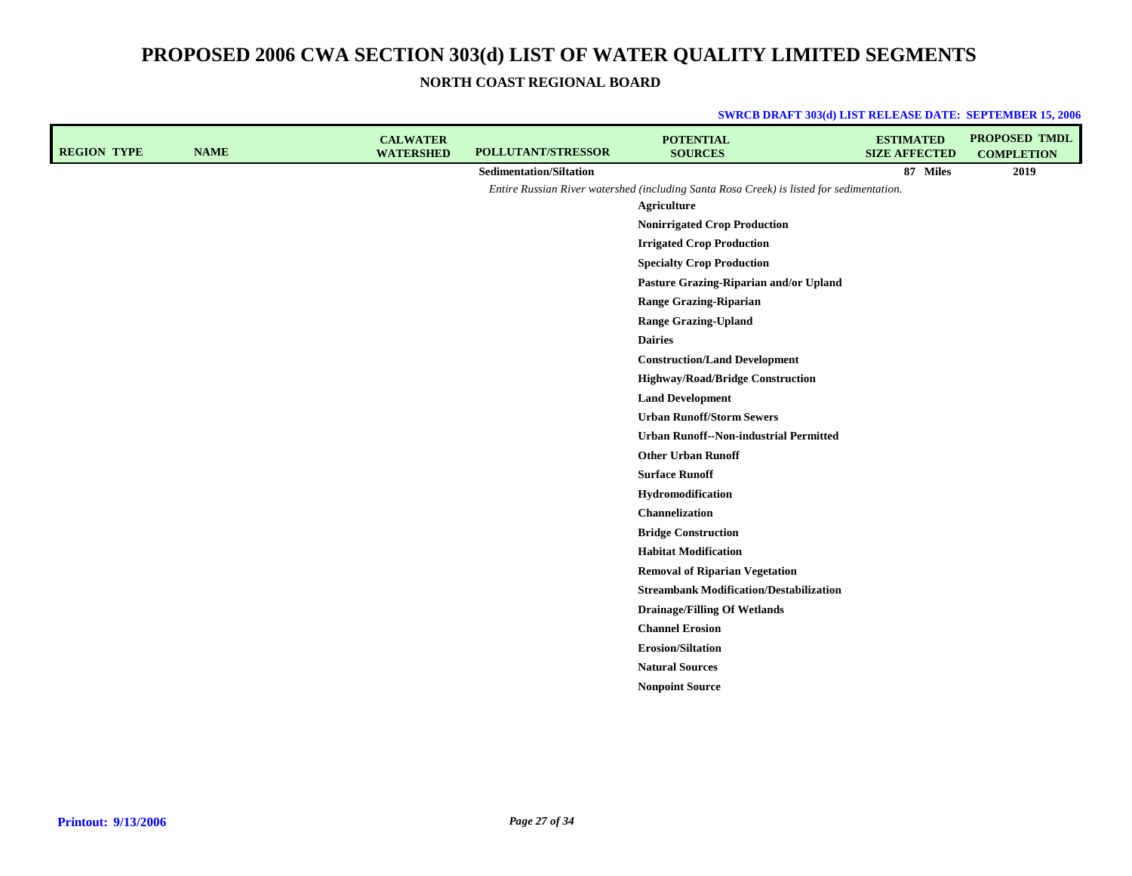**NORTH COAST REGIONAL BOARD**

| <b>REGION TYPE</b> | <b>NAME</b> | <b>CALWATER</b><br><b>WATERSHED</b> | <b>POLLUTANT/STRESSOR</b>               | <b>POTENTIAL</b><br><b>SOURCES</b>                                                       | <b>ESTIMATED</b><br><b>SIZE AFFECTED</b> | <b>PROPOSED TMDL</b><br><b>COMPLETION</b> |
|--------------------|-------------|-------------------------------------|-----------------------------------------|------------------------------------------------------------------------------------------|------------------------------------------|-------------------------------------------|
|                    |             |                                     | <b>Sedimentation/Siltation</b>          |                                                                                          | 87 Miles                                 | 2019                                      |
|                    |             |                                     |                                         | Entire Russian River watershed (including Santa Rosa Creek) is listed for sedimentation. |                                          |                                           |
|                    |             |                                     |                                         | <b>Agriculture</b>                                                                       |                                          |                                           |
|                    |             |                                     |                                         | <b>Nonirrigated Crop Production</b>                                                      |                                          |                                           |
|                    |             |                                     | <b>Irrigated Crop Production</b>        |                                                                                          |                                          |                                           |
|                    |             | <b>Specialty Crop Production</b>    |                                         |                                                                                          |                                          |                                           |
|                    |             |                                     |                                         | Pasture Grazing-Riparian and/or Upland                                                   |                                          |                                           |
|                    |             |                                     | <b>Range Grazing-Riparian</b>           |                                                                                          |                                          |                                           |
|                    |             |                                     | <b>Range Grazing-Upland</b>             |                                                                                          |                                          |                                           |
|                    |             |                                     |                                         | <b>Dairies</b>                                                                           |                                          |                                           |
|                    |             |                                     | <b>Construction/Land Development</b>    |                                                                                          |                                          |                                           |
|                    |             |                                     | <b>Highway/Road/Bridge Construction</b> |                                                                                          |                                          |                                           |
|                    |             |                                     |                                         | <b>Land Development</b>                                                                  |                                          |                                           |
|                    |             |                                     | <b>Urban Runoff/Storm Sewers</b>        |                                                                                          |                                          |                                           |
|                    |             |                                     |                                         | <b>Urban Runoff--Non-industrial Permitted</b>                                            |                                          |                                           |
|                    |             |                                     |                                         | <b>Other Urban Runoff</b>                                                                |                                          |                                           |
|                    |             |                                     |                                         | <b>Surface Runoff</b>                                                                    |                                          |                                           |
|                    |             |                                     |                                         | Hydromodification                                                                        |                                          |                                           |
|                    |             |                                     |                                         | Channelization                                                                           |                                          |                                           |
|                    |             |                                     |                                         | <b>Bridge Construction</b>                                                               |                                          |                                           |
|                    |             |                                     |                                         | <b>Habitat Modification</b>                                                              |                                          |                                           |
|                    |             |                                     |                                         | <b>Removal of Riparian Vegetation</b>                                                    |                                          |                                           |
|                    |             |                                     |                                         | <b>Streambank Modification/Destabilization</b>                                           |                                          |                                           |
|                    |             |                                     |                                         | <b>Drainage/Filling Of Wetlands</b>                                                      |                                          |                                           |
|                    |             |                                     |                                         | <b>Channel Erosion</b>                                                                   |                                          |                                           |
|                    |             |                                     |                                         | <b>Erosion/Siltation</b>                                                                 |                                          |                                           |
|                    |             |                                     |                                         | <b>Natural Sources</b>                                                                   |                                          |                                           |
|                    |             |                                     |                                         | <b>Nonpoint Source</b>                                                                   |                                          |                                           |
|                    |             |                                     |                                         |                                                                                          |                                          |                                           |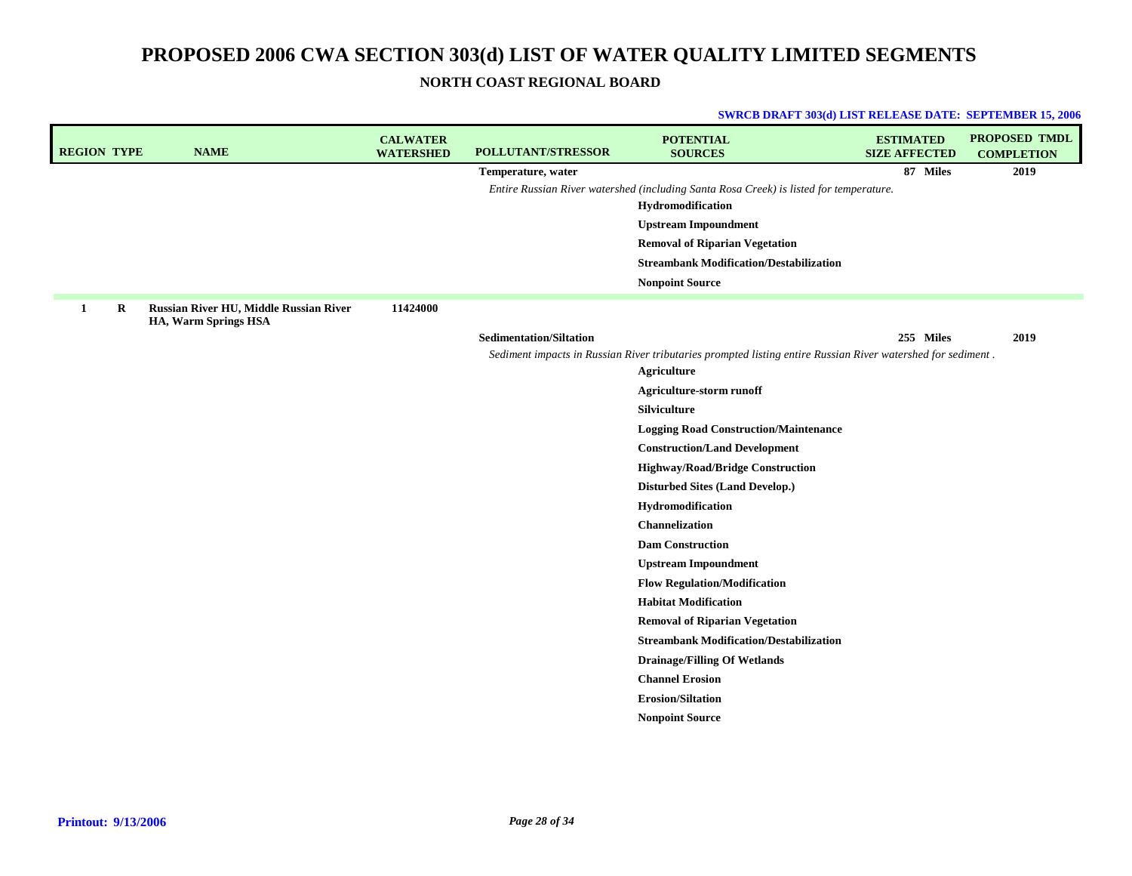## **NORTH COAST REGIONAL BOARD**

| <b>REGION TYPE</b> | <b>NAME</b>                                                    | <b>CALWATER</b><br><b>WATERSHED</b> | POLLUTANT/STRESSOR             | <b>POTENTIAL</b><br><b>SOURCES</b>                                                                          | <b>ESTIMATED</b><br><b>SIZE AFFECTED</b> | <b>PROPOSED TMDL</b><br><b>COMPLETION</b> |
|--------------------|----------------------------------------------------------------|-------------------------------------|--------------------------------|-------------------------------------------------------------------------------------------------------------|------------------------------------------|-------------------------------------------|
|                    |                                                                |                                     | Temperature, water             |                                                                                                             | 87 Miles                                 | 2019                                      |
|                    |                                                                |                                     |                                | Entire Russian River watershed (including Santa Rosa Creek) is listed for temperature.                      |                                          |                                           |
|                    |                                                                |                                     |                                | Hydromodification                                                                                           |                                          |                                           |
|                    |                                                                |                                     |                                | <b>Upstream Impoundment</b>                                                                                 |                                          |                                           |
|                    |                                                                |                                     |                                | <b>Removal of Riparian Vegetation</b>                                                                       |                                          |                                           |
|                    |                                                                |                                     |                                | <b>Streambank Modification/Destabilization</b>                                                              |                                          |                                           |
|                    |                                                                |                                     |                                | <b>Nonpoint Source</b>                                                                                      |                                          |                                           |
| 1<br>R             | Russian River HU, Middle Russian River<br>HA, Warm Springs HSA | 11424000                            |                                |                                                                                                             |                                          |                                           |
|                    |                                                                |                                     | <b>Sedimentation/Siltation</b> |                                                                                                             | 255 Miles                                | 2019                                      |
|                    |                                                                |                                     |                                | Sediment impacts in Russian River tributaries prompted listing entire Russian River watershed for sediment. |                                          |                                           |
|                    |                                                                |                                     |                                | Agriculture                                                                                                 |                                          |                                           |
|                    |                                                                |                                     |                                | Agriculture-storm runoff                                                                                    |                                          |                                           |
|                    |                                                                |                                     |                                | Silviculture                                                                                                |                                          |                                           |
|                    |                                                                |                                     |                                | <b>Logging Road Construction/Maintenance</b>                                                                |                                          |                                           |
|                    |                                                                |                                     |                                | <b>Construction/Land Development</b>                                                                        |                                          |                                           |
|                    |                                                                |                                     |                                | <b>Highway/Road/Bridge Construction</b>                                                                     |                                          |                                           |
|                    |                                                                |                                     |                                | <b>Disturbed Sites (Land Develop.)</b>                                                                      |                                          |                                           |
|                    |                                                                |                                     |                                | Hydromodification                                                                                           |                                          |                                           |
|                    |                                                                |                                     |                                | <b>Channelization</b>                                                                                       |                                          |                                           |
|                    |                                                                |                                     |                                | <b>Dam Construction</b>                                                                                     |                                          |                                           |
|                    |                                                                |                                     |                                | <b>Upstream Impoundment</b>                                                                                 |                                          |                                           |
|                    |                                                                |                                     |                                | <b>Flow Regulation/Modification</b>                                                                         |                                          |                                           |
|                    |                                                                |                                     |                                | <b>Habitat Modification</b>                                                                                 |                                          |                                           |
|                    |                                                                |                                     |                                | <b>Removal of Riparian Vegetation</b>                                                                       |                                          |                                           |
|                    |                                                                |                                     |                                | <b>Streambank Modification/Destabilization</b>                                                              |                                          |                                           |
|                    |                                                                |                                     |                                | <b>Drainage/Filling Of Wetlands</b>                                                                         |                                          |                                           |
|                    |                                                                |                                     |                                | <b>Channel Erosion</b>                                                                                      |                                          |                                           |
|                    |                                                                |                                     |                                | <b>Erosion/Siltation</b>                                                                                    |                                          |                                           |
|                    |                                                                |                                     |                                | <b>Nonpoint Source</b>                                                                                      |                                          |                                           |
|                    |                                                                |                                     |                                |                                                                                                             |                                          |                                           |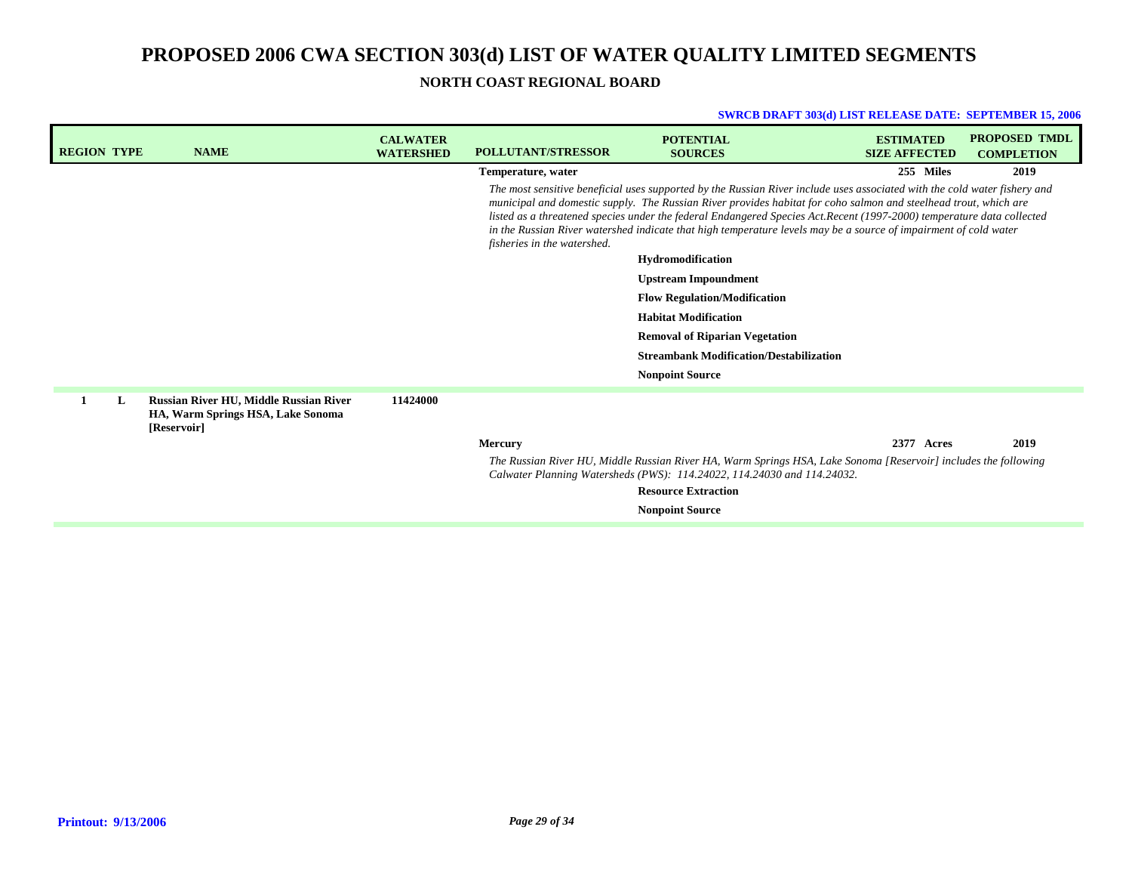## **NORTH COAST REGIONAL BOARD**

| <b>REGION TYPE</b> | <b>NAME</b>                                                                                       | <b>CALWATER</b><br><b>WATERSHED</b> | <b>POLLUTANT/STRESSOR</b>   | <b>POTENTIAL</b><br><b>SOURCES</b>                                                                                                                                                                                                                                                                                                                                                                                                                                                         | <b>ESTIMATED</b><br><b>SIZE AFFECTED</b> | <b>PROPOSED TMDL</b><br><b>COMPLETION</b> |
|--------------------|---------------------------------------------------------------------------------------------------|-------------------------------------|-----------------------------|--------------------------------------------------------------------------------------------------------------------------------------------------------------------------------------------------------------------------------------------------------------------------------------------------------------------------------------------------------------------------------------------------------------------------------------------------------------------------------------------|------------------------------------------|-------------------------------------------|
|                    |                                                                                                   |                                     | Temperature, water          |                                                                                                                                                                                                                                                                                                                                                                                                                                                                                            | 255 Miles                                | 2019                                      |
|                    |                                                                                                   |                                     | fisheries in the watershed. | The most sensitive beneficial uses supported by the Russian River include uses associated with the cold water fishery and<br>municipal and domestic supply. The Russian River provides habitat for coho salmon and steelhead trout, which are<br>listed as a threatened species under the federal Endangered Species Act.Recent (1997-2000) temperature data collected<br>in the Russian River watershed indicate that high temperature levels may be a source of impairment of cold water |                                          |                                           |
|                    |                                                                                                   |                                     |                             | Hydromodification                                                                                                                                                                                                                                                                                                                                                                                                                                                                          |                                          |                                           |
|                    |                                                                                                   |                                     |                             | <b>Upstream Impoundment</b>                                                                                                                                                                                                                                                                                                                                                                                                                                                                |                                          |                                           |
|                    |                                                                                                   |                                     |                             | <b>Flow Regulation/Modification</b>                                                                                                                                                                                                                                                                                                                                                                                                                                                        |                                          |                                           |
|                    |                                                                                                   |                                     |                             | <b>Habitat Modification</b>                                                                                                                                                                                                                                                                                                                                                                                                                                                                |                                          |                                           |
|                    |                                                                                                   |                                     |                             | <b>Removal of Riparian Vegetation</b>                                                                                                                                                                                                                                                                                                                                                                                                                                                      |                                          |                                           |
|                    |                                                                                                   |                                     |                             | <b>Streambank Modification/Destabilization</b>                                                                                                                                                                                                                                                                                                                                                                                                                                             |                                          |                                           |
|                    |                                                                                                   |                                     |                             | <b>Nonpoint Source</b>                                                                                                                                                                                                                                                                                                                                                                                                                                                                     |                                          |                                           |
| L                  | <b>Russian River HU, Middle Russian River</b><br>HA, Warm Springs HSA, Lake Sonoma<br>[Reservoir] | 11424000                            |                             |                                                                                                                                                                                                                                                                                                                                                                                                                                                                                            |                                          |                                           |
|                    |                                                                                                   |                                     | <b>Mercury</b>              |                                                                                                                                                                                                                                                                                                                                                                                                                                                                                            | 2377 Acres                               | 2019                                      |
|                    |                                                                                                   |                                     |                             | The Russian River HU, Middle Russian River HA, Warm Springs HSA, Lake Sonoma [Reservoir] includes the following<br>Calwater Planning Watersheds (PWS): 114.24022, 114.24030 and 114.24032.                                                                                                                                                                                                                                                                                                 |                                          |                                           |
|                    |                                                                                                   |                                     |                             | <b>Resource Extraction</b>                                                                                                                                                                                                                                                                                                                                                                                                                                                                 |                                          |                                           |
|                    |                                                                                                   |                                     |                             | <b>Nonpoint Source</b>                                                                                                                                                                                                                                                                                                                                                                                                                                                                     |                                          |                                           |
|                    |                                                                                                   |                                     |                             |                                                                                                                                                                                                                                                                                                                                                                                                                                                                                            |                                          |                                           |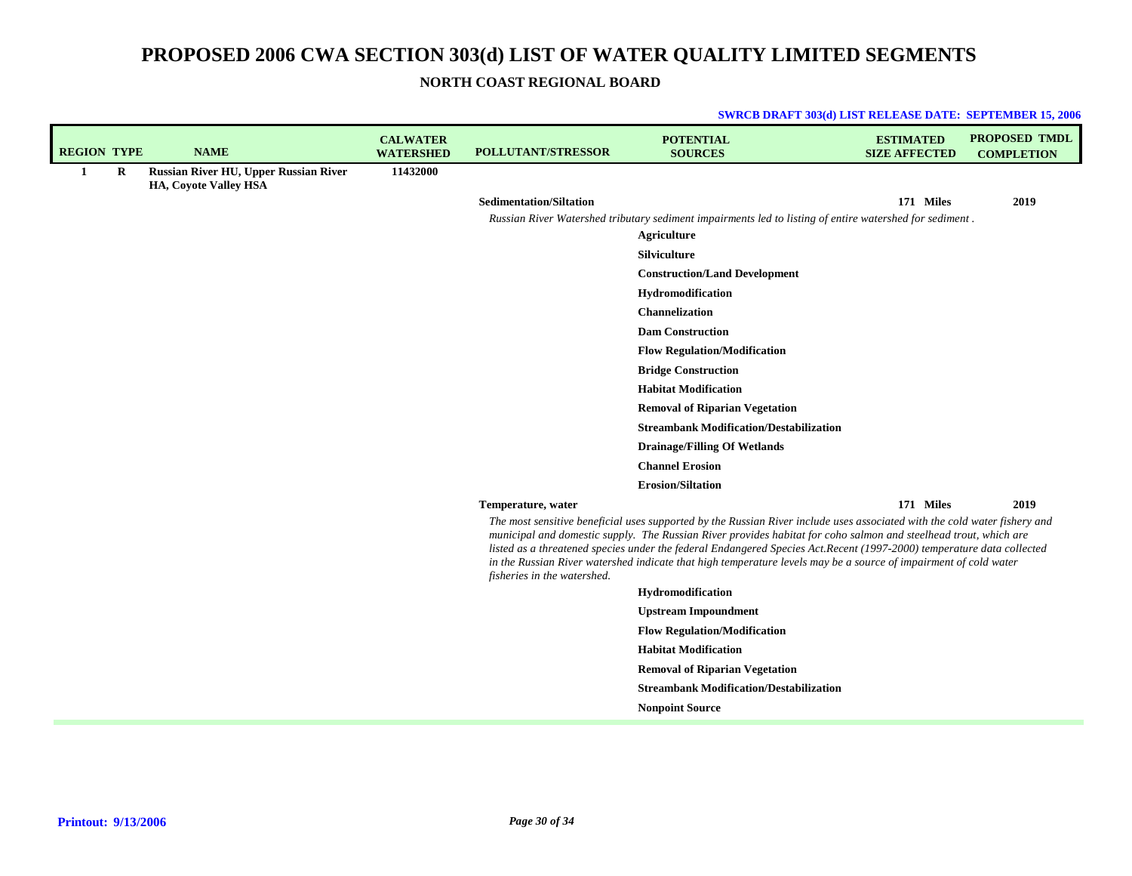**SWRCB DRAFT 303(d) LIST RELEASE DATE: SEPTEMBER 15, 2006**

**NORTH COAST REGIONAL BOARD**

| <b>REGION TYPE</b> |   | <b>NAME</b>                                                                  | <b>CALWATER</b><br><b>WATERSHED</b> | <b>POLLUTANT/STRESSOR</b>      | <b>POTENTIAL</b><br><b>SOURCES</b>                                                                                                                                                                                                                                                                                                                            | <b>ESTIMATED</b><br><b>SIZE AFFECTED</b> | <b>PROPOSED TMDL</b><br><b>COMPLETION</b> |
|--------------------|---|------------------------------------------------------------------------------|-------------------------------------|--------------------------------|---------------------------------------------------------------------------------------------------------------------------------------------------------------------------------------------------------------------------------------------------------------------------------------------------------------------------------------------------------------|------------------------------------------|-------------------------------------------|
| -1                 | R | <b>Russian River HU, Upper Russian River</b><br><b>HA, Coyote Valley HSA</b> | 11432000                            |                                |                                                                                                                                                                                                                                                                                                                                                               |                                          |                                           |
|                    |   |                                                                              |                                     | <b>Sedimentation/Siltation</b> |                                                                                                                                                                                                                                                                                                                                                               | 171 Miles                                | 2019                                      |
|                    |   |                                                                              |                                     |                                | Russian River Watershed tributary sediment impairments led to listing of entire watershed for sediment.                                                                                                                                                                                                                                                       |                                          |                                           |
|                    |   |                                                                              |                                     |                                | Agriculture                                                                                                                                                                                                                                                                                                                                                   |                                          |                                           |
|                    |   |                                                                              |                                     |                                | <b>Silviculture</b>                                                                                                                                                                                                                                                                                                                                           |                                          |                                           |
|                    |   |                                                                              |                                     |                                | <b>Construction/Land Development</b>                                                                                                                                                                                                                                                                                                                          |                                          |                                           |
|                    |   |                                                                              |                                     |                                | Hydromodification                                                                                                                                                                                                                                                                                                                                             |                                          |                                           |
|                    |   |                                                                              |                                     |                                | Channelization                                                                                                                                                                                                                                                                                                                                                |                                          |                                           |
|                    |   |                                                                              |                                     |                                | <b>Dam Construction</b>                                                                                                                                                                                                                                                                                                                                       |                                          |                                           |
|                    |   |                                                                              |                                     |                                | <b>Flow Regulation/Modification</b>                                                                                                                                                                                                                                                                                                                           |                                          |                                           |
|                    |   |                                                                              |                                     |                                | <b>Bridge Construction</b>                                                                                                                                                                                                                                                                                                                                    |                                          |                                           |
|                    |   |                                                                              |                                     |                                | <b>Habitat Modification</b>                                                                                                                                                                                                                                                                                                                                   |                                          |                                           |
|                    |   |                                                                              |                                     |                                | <b>Removal of Riparian Vegetation</b>                                                                                                                                                                                                                                                                                                                         |                                          |                                           |
|                    |   |                                                                              |                                     |                                | <b>Streambank Modification/Destabilization</b>                                                                                                                                                                                                                                                                                                                |                                          |                                           |
|                    |   |                                                                              |                                     |                                | <b>Drainage/Filling Of Wetlands</b>                                                                                                                                                                                                                                                                                                                           |                                          |                                           |
|                    |   |                                                                              |                                     |                                | <b>Channel Erosion</b>                                                                                                                                                                                                                                                                                                                                        |                                          |                                           |
|                    |   |                                                                              |                                     |                                | <b>Erosion/Siltation</b>                                                                                                                                                                                                                                                                                                                                      |                                          | 2019                                      |
|                    |   |                                                                              |                                     | Temperature, water             | The most sensitive beneficial uses supported by the Russian River include uses associated with the cold water fishery and                                                                                                                                                                                                                                     | 171 Miles                                |                                           |
|                    |   |                                                                              |                                     | fisheries in the watershed.    | municipal and domestic supply. The Russian River provides habitat for coho salmon and steelhead trout, which are<br>listed as a threatened species under the federal Endangered Species Act.Recent (1997-2000) temperature data collected<br>in the Russian River watershed indicate that high temperature levels may be a source of impairment of cold water |                                          |                                           |
|                    |   |                                                                              |                                     |                                | Hydromodification                                                                                                                                                                                                                                                                                                                                             |                                          |                                           |
|                    |   |                                                                              |                                     |                                | <b>Upstream Impoundment</b>                                                                                                                                                                                                                                                                                                                                   |                                          |                                           |
|                    |   |                                                                              |                                     |                                | <b>Flow Regulation/Modification</b>                                                                                                                                                                                                                                                                                                                           |                                          |                                           |
|                    |   |                                                                              |                                     |                                | <b>Habitat Modification</b>                                                                                                                                                                                                                                                                                                                                   |                                          |                                           |
|                    |   |                                                                              |                                     |                                | <b>Removal of Riparian Vegetation</b>                                                                                                                                                                                                                                                                                                                         |                                          |                                           |
|                    |   |                                                                              |                                     |                                | <b>Streambank Modification/Destabilization</b>                                                                                                                                                                                                                                                                                                                |                                          |                                           |
|                    |   |                                                                              |                                     |                                | <b>Nonpoint Source</b>                                                                                                                                                                                                                                                                                                                                        |                                          |                                           |
|                    |   |                                                                              |                                     |                                |                                                                                                                                                                                                                                                                                                                                                               |                                          |                                           |

## **Printout: 9/13/2006**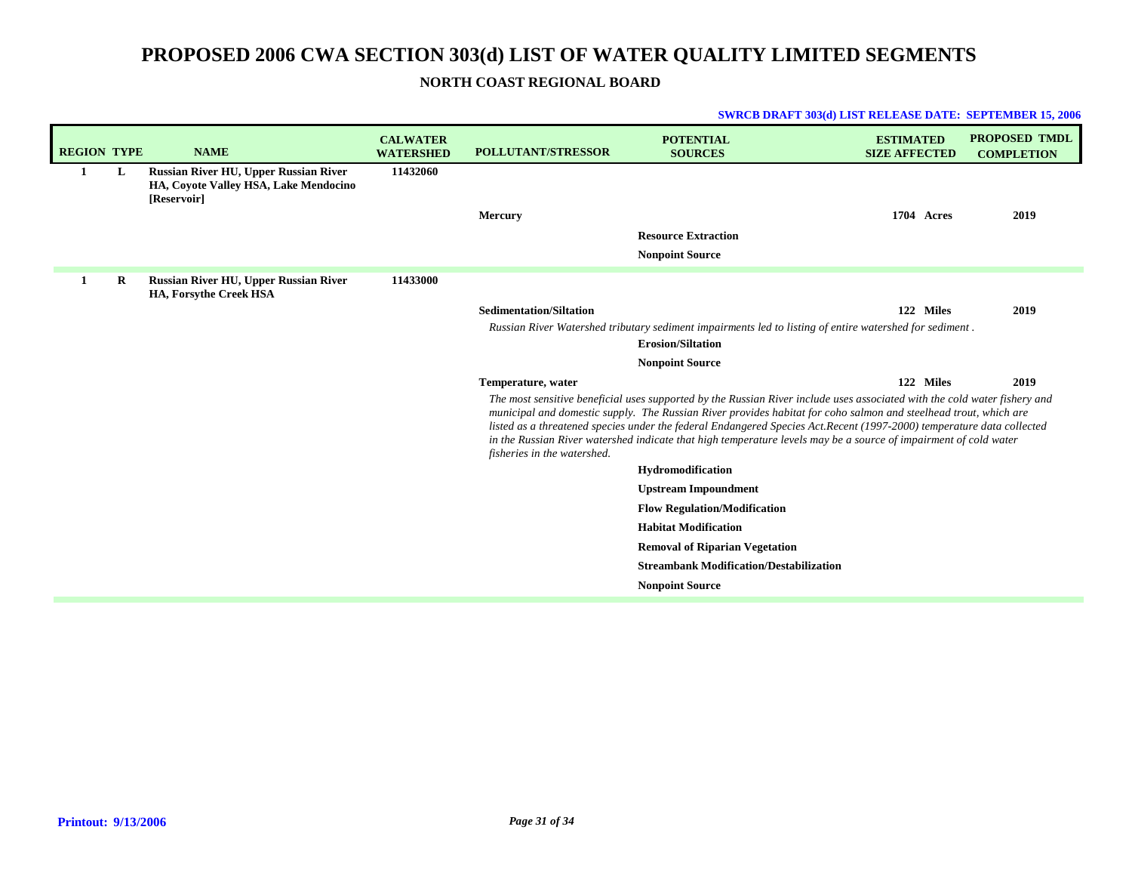## **NORTH COAST REGIONAL BOARD**

|                    |   |                                                                                                      |                                     |                                | <b>SWRCB DRAFT 303(d) LIST RELEASE DATE: SEPTEMBER 15, 2006</b>                                                                                                                                                                                                                                                                                                                                                                                                                            |                                          |                                           |
|--------------------|---|------------------------------------------------------------------------------------------------------|-------------------------------------|--------------------------------|--------------------------------------------------------------------------------------------------------------------------------------------------------------------------------------------------------------------------------------------------------------------------------------------------------------------------------------------------------------------------------------------------------------------------------------------------------------------------------------------|------------------------------------------|-------------------------------------------|
| <b>REGION TYPE</b> |   | <b>NAME</b>                                                                                          | <b>CALWATER</b><br><b>WATERSHED</b> | <b>POLLUTANT/STRESSOR</b>      | <b>POTENTIAL</b><br><b>SOURCES</b>                                                                                                                                                                                                                                                                                                                                                                                                                                                         | <b>ESTIMATED</b><br><b>SIZE AFFECTED</b> | <b>PROPOSED TMDL</b><br><b>COMPLETION</b> |
| 1                  | L | <b>Russian River HU, Upper Russian River</b><br>HA, Coyote Valley HSA, Lake Mendocino<br>[Reservoir] | 11432060                            |                                |                                                                                                                                                                                                                                                                                                                                                                                                                                                                                            |                                          |                                           |
|                    |   |                                                                                                      |                                     | <b>Mercury</b>                 |                                                                                                                                                                                                                                                                                                                                                                                                                                                                                            | 1704 Acres                               | 2019                                      |
|                    |   |                                                                                                      |                                     |                                | <b>Resource Extraction</b>                                                                                                                                                                                                                                                                                                                                                                                                                                                                 |                                          |                                           |
|                    |   |                                                                                                      |                                     |                                | <b>Nonpoint Source</b>                                                                                                                                                                                                                                                                                                                                                                                                                                                                     |                                          |                                           |
| 1                  | R | <b>Russian River HU, Upper Russian River</b><br>HA, Forsythe Creek HSA                               | 11433000                            |                                |                                                                                                                                                                                                                                                                                                                                                                                                                                                                                            |                                          |                                           |
|                    |   |                                                                                                      |                                     | <b>Sedimentation/Siltation</b> |                                                                                                                                                                                                                                                                                                                                                                                                                                                                                            | 122 Miles                                | 2019                                      |
|                    |   |                                                                                                      |                                     |                                | Russian River Watershed tributary sediment impairments led to listing of entire watershed for sediment.<br><b>Erosion/Siltation</b>                                                                                                                                                                                                                                                                                                                                                        |                                          |                                           |
|                    |   |                                                                                                      |                                     |                                | <b>Nonpoint Source</b>                                                                                                                                                                                                                                                                                                                                                                                                                                                                     |                                          |                                           |
|                    |   |                                                                                                      |                                     | Temperature, water             |                                                                                                                                                                                                                                                                                                                                                                                                                                                                                            | 122 Miles                                | 2019                                      |
|                    |   |                                                                                                      |                                     | fisheries in the watershed.    | The most sensitive beneficial uses supported by the Russian River include uses associated with the cold water fishery and<br>municipal and domestic supply. The Russian River provides habitat for coho salmon and steelhead trout, which are<br>listed as a threatened species under the federal Endangered Species Act.Recent (1997-2000) temperature data collected<br>in the Russian River watershed indicate that high temperature levels may be a source of impairment of cold water |                                          |                                           |
|                    |   |                                                                                                      |                                     |                                | Hydromodification                                                                                                                                                                                                                                                                                                                                                                                                                                                                          |                                          |                                           |
|                    |   |                                                                                                      |                                     |                                | <b>Upstream Impoundment</b>                                                                                                                                                                                                                                                                                                                                                                                                                                                                |                                          |                                           |
|                    |   |                                                                                                      |                                     |                                | <b>Flow Regulation/Modification</b>                                                                                                                                                                                                                                                                                                                                                                                                                                                        |                                          |                                           |
|                    |   |                                                                                                      |                                     |                                | <b>Habitat Modification</b>                                                                                                                                                                                                                                                                                                                                                                                                                                                                |                                          |                                           |
|                    |   |                                                                                                      |                                     |                                | <b>Removal of Riparian Vegetation</b>                                                                                                                                                                                                                                                                                                                                                                                                                                                      |                                          |                                           |
|                    |   |                                                                                                      |                                     |                                | <b>Streambank Modification/Destabilization</b>                                                                                                                                                                                                                                                                                                                                                                                                                                             |                                          |                                           |
|                    |   |                                                                                                      |                                     |                                | <b>Nonpoint Source</b>                                                                                                                                                                                                                                                                                                                                                                                                                                                                     |                                          |                                           |

## **Printout: 9/13/2006**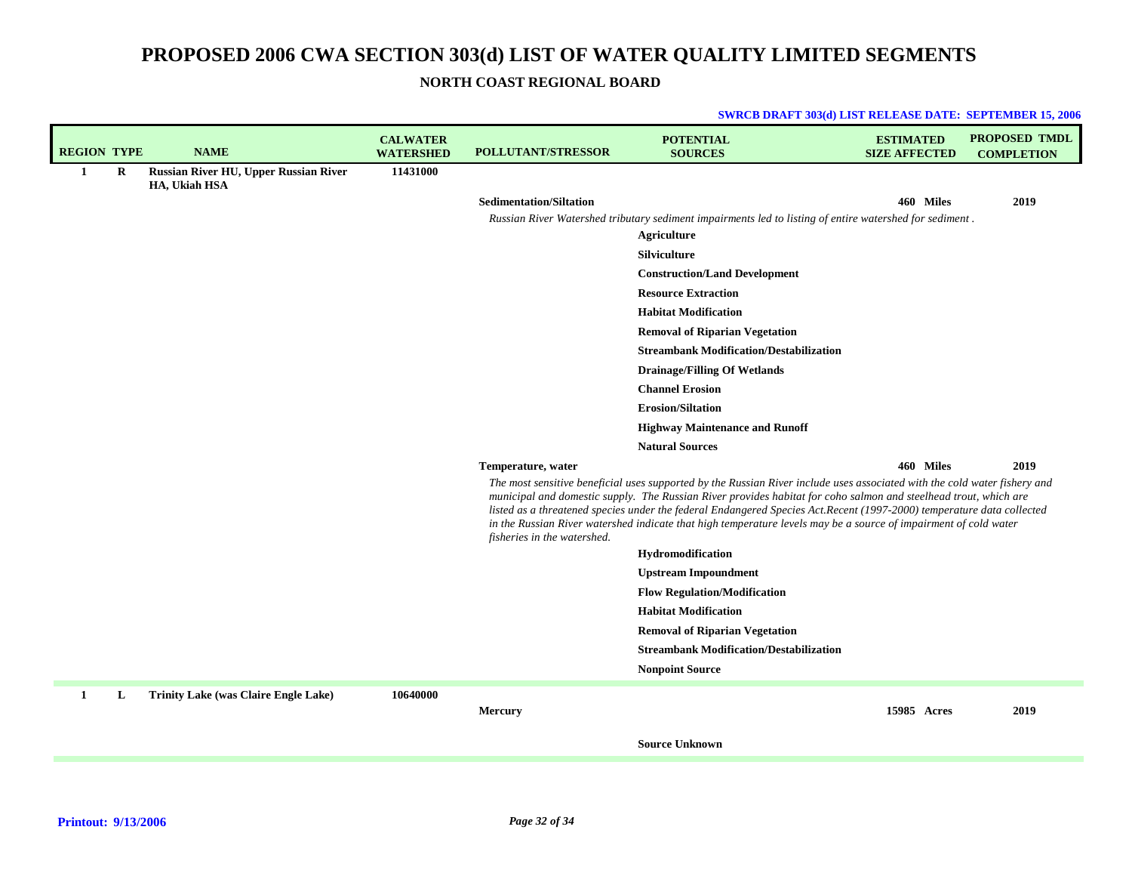**NORTH COAST REGIONAL BOARD**

| <b>REGION TYPE</b> |         | <b>NAME</b>                                            | <b>CALWATER</b><br><b>WATERSHED</b> | <b>POLLUTANT/STRESSOR</b>      | <b>POTENTIAL</b><br><b>SOURCES</b>                                                                                                                                                                                                                                                                                                                                                                                                                                                          | <b>ESTIMATED</b><br><b>SIZE AFFECTED</b> | <b>PROPOSED TMDL</b><br><b>COMPLETION</b> |
|--------------------|---------|--------------------------------------------------------|-------------------------------------|--------------------------------|---------------------------------------------------------------------------------------------------------------------------------------------------------------------------------------------------------------------------------------------------------------------------------------------------------------------------------------------------------------------------------------------------------------------------------------------------------------------------------------------|------------------------------------------|-------------------------------------------|
| $\mathbf{1}$       | $\bf R$ | Russian River HU, Upper Russian River<br>HA, Ukiah HSA | 11431000                            |                                |                                                                                                                                                                                                                                                                                                                                                                                                                                                                                             |                                          |                                           |
|                    |         |                                                        |                                     | <b>Sedimentation/Siltation</b> |                                                                                                                                                                                                                                                                                                                                                                                                                                                                                             | 460 Miles                                | 2019                                      |
|                    |         |                                                        |                                     |                                | Russian River Watershed tributary sediment impairments led to listing of entire watershed for sediment.<br><b>Agriculture</b>                                                                                                                                                                                                                                                                                                                                                               |                                          |                                           |
|                    |         |                                                        |                                     |                                | Silviculture                                                                                                                                                                                                                                                                                                                                                                                                                                                                                |                                          |                                           |
|                    |         |                                                        |                                     |                                | <b>Construction/Land Development</b>                                                                                                                                                                                                                                                                                                                                                                                                                                                        |                                          |                                           |
|                    |         |                                                        |                                     |                                | <b>Resource Extraction</b>                                                                                                                                                                                                                                                                                                                                                                                                                                                                  |                                          |                                           |
|                    |         |                                                        |                                     |                                | <b>Habitat Modification</b>                                                                                                                                                                                                                                                                                                                                                                                                                                                                 |                                          |                                           |
|                    |         |                                                        |                                     |                                | <b>Removal of Riparian Vegetation</b>                                                                                                                                                                                                                                                                                                                                                                                                                                                       |                                          |                                           |
|                    |         |                                                        |                                     |                                | <b>Streambank Modification/Destabilization</b>                                                                                                                                                                                                                                                                                                                                                                                                                                              |                                          |                                           |
|                    |         |                                                        |                                     |                                | <b>Drainage/Filling Of Wetlands</b>                                                                                                                                                                                                                                                                                                                                                                                                                                                         |                                          |                                           |
|                    |         |                                                        |                                     |                                | <b>Channel Erosion</b>                                                                                                                                                                                                                                                                                                                                                                                                                                                                      |                                          |                                           |
|                    |         |                                                        |                                     |                                | <b>Erosion/Siltation</b>                                                                                                                                                                                                                                                                                                                                                                                                                                                                    |                                          |                                           |
|                    |         |                                                        |                                     |                                | <b>Highway Maintenance and Runoff</b>                                                                                                                                                                                                                                                                                                                                                                                                                                                       |                                          |                                           |
|                    |         |                                                        |                                     |                                | <b>Natural Sources</b>                                                                                                                                                                                                                                                                                                                                                                                                                                                                      |                                          |                                           |
|                    |         |                                                        |                                     | Temperature, water             |                                                                                                                                                                                                                                                                                                                                                                                                                                                                                             | 460 Miles                                | 2019                                      |
|                    |         |                                                        |                                     | fisheries in the watershed.    | The most sensitive beneficial uses supported by the Russian River include uses associated with the cold water fishery and<br>municipal and domestic supply. The Russian River provides habitat for coho salmon and steelhead trout, which are<br>listed as a threatened species under the federal Endangered Species Act. Recent (1997-2000) temperature data collected<br>in the Russian River watershed indicate that high temperature levels may be a source of impairment of cold water |                                          |                                           |
|                    |         |                                                        |                                     |                                | Hydromodification                                                                                                                                                                                                                                                                                                                                                                                                                                                                           |                                          |                                           |
|                    |         |                                                        |                                     |                                | <b>Upstream Impoundment</b>                                                                                                                                                                                                                                                                                                                                                                                                                                                                 |                                          |                                           |
|                    |         |                                                        |                                     |                                | <b>Flow Regulation/Modification</b>                                                                                                                                                                                                                                                                                                                                                                                                                                                         |                                          |                                           |
|                    |         |                                                        |                                     |                                | <b>Habitat Modification</b>                                                                                                                                                                                                                                                                                                                                                                                                                                                                 |                                          |                                           |
|                    |         |                                                        |                                     |                                | <b>Removal of Riparian Vegetation</b>                                                                                                                                                                                                                                                                                                                                                                                                                                                       |                                          |                                           |
|                    |         |                                                        |                                     |                                | <b>Streambank Modification/Destabilization</b>                                                                                                                                                                                                                                                                                                                                                                                                                                              |                                          |                                           |
|                    |         |                                                        |                                     |                                | <b>Nonpoint Source</b>                                                                                                                                                                                                                                                                                                                                                                                                                                                                      |                                          |                                           |
| 1                  | L       | <b>Trinity Lake (was Claire Engle Lake)</b>            | 10640000                            | <b>Mercury</b>                 |                                                                                                                                                                                                                                                                                                                                                                                                                                                                                             | 15985 Acres                              | 2019                                      |
|                    |         |                                                        |                                     |                                | <b>Source Unknown</b>                                                                                                                                                                                                                                                                                                                                                                                                                                                                       |                                          |                                           |
|                    |         |                                                        |                                     |                                |                                                                                                                                                                                                                                                                                                                                                                                                                                                                                             |                                          |                                           |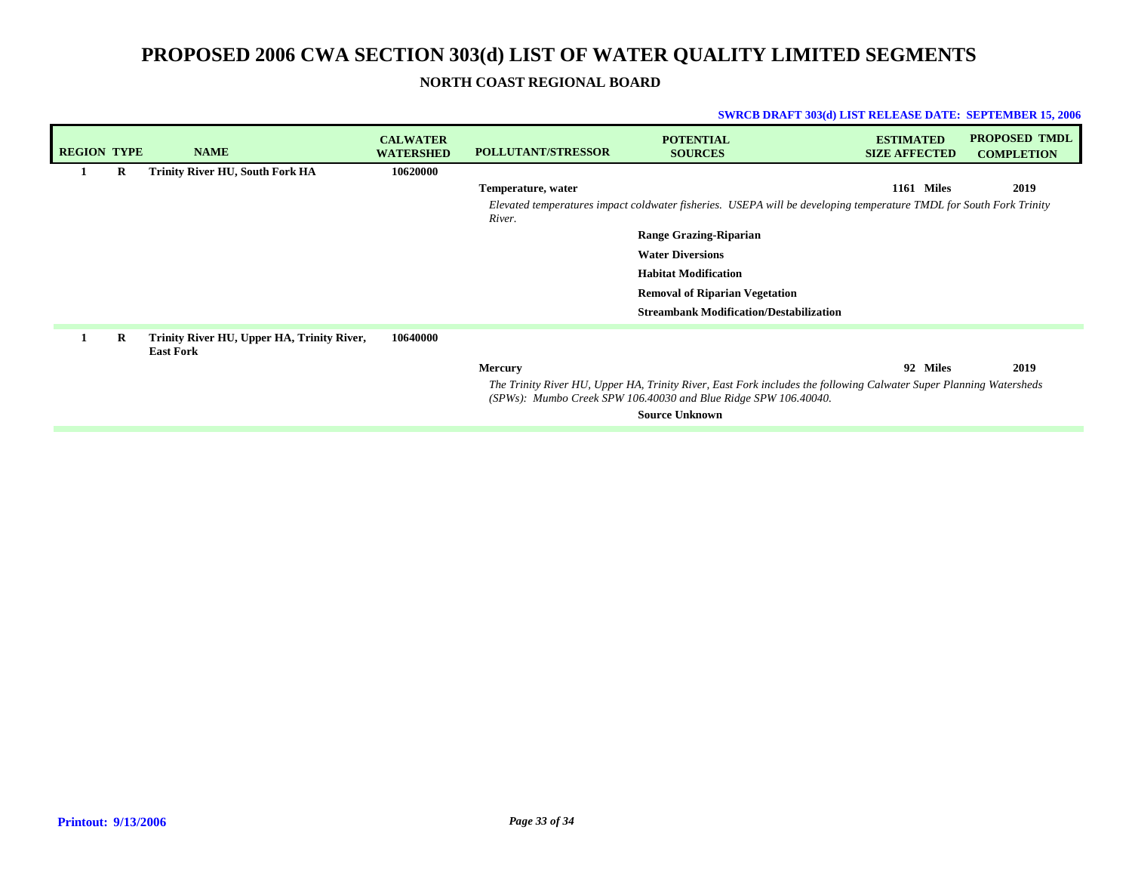**NORTH COAST REGIONAL BOARD**

| <b>REGION TYPE</b> |   | <b>NAME</b>                                                    | <b>CALWATER</b><br><b>WATERSHED</b> | <b>POLLUTANT/STRESSOR</b> | <b>POTENTIAL</b><br><b>SOURCES</b>                                                                                                                                                      | <b>ESTIMATED</b><br><b>SIZE AFFECTED</b> | <b>PROPOSED TMDL</b><br><b>COMPLETION</b> |
|--------------------|---|----------------------------------------------------------------|-------------------------------------|---------------------------|-----------------------------------------------------------------------------------------------------------------------------------------------------------------------------------------|------------------------------------------|-------------------------------------------|
| 1                  | R | <b>Trinity River HU, South Fork HA</b>                         | 10620000                            |                           |                                                                                                                                                                                         |                                          |                                           |
|                    |   |                                                                |                                     | Temperature, water        |                                                                                                                                                                                         | 1161<br><b>Miles</b>                     | 2019                                      |
|                    |   |                                                                |                                     | River.                    | Elevated temperatures impact coldwater fisheries. USEPA will be developing temperature TMDL for South Fork Trinity                                                                      |                                          |                                           |
|                    |   |                                                                |                                     |                           | <b>Range Grazing-Riparian</b>                                                                                                                                                           |                                          |                                           |
|                    |   |                                                                |                                     |                           | <b>Water Diversions</b>                                                                                                                                                                 |                                          |                                           |
|                    |   |                                                                |                                     |                           | <b>Habitat Modification</b>                                                                                                                                                             |                                          |                                           |
|                    |   |                                                                |                                     |                           | <b>Removal of Riparian Vegetation</b>                                                                                                                                                   |                                          |                                           |
|                    |   |                                                                |                                     |                           | <b>Streambank Modification/Destabilization</b>                                                                                                                                          |                                          |                                           |
|                    | R | Trinity River HU, Upper HA, Trinity River,<br><b>East Fork</b> | 10640000                            |                           |                                                                                                                                                                                         |                                          |                                           |
|                    |   |                                                                |                                     | <b>Mercury</b>            |                                                                                                                                                                                         | 92 Miles                                 | 2019                                      |
|                    |   |                                                                |                                     |                           | The Trinity River HU, Upper HA, Trinity River, East Fork includes the following Calwater Super Planning Watersheds<br>$(SPWs):$ Mumbo Creek SPW 106.40030 and Blue Ridge SPW 106.40040. |                                          |                                           |
|                    |   |                                                                |                                     |                           | <b>Source Unknown</b>                                                                                                                                                                   |                                          |                                           |
|                    |   |                                                                |                                     |                           |                                                                                                                                                                                         |                                          |                                           |